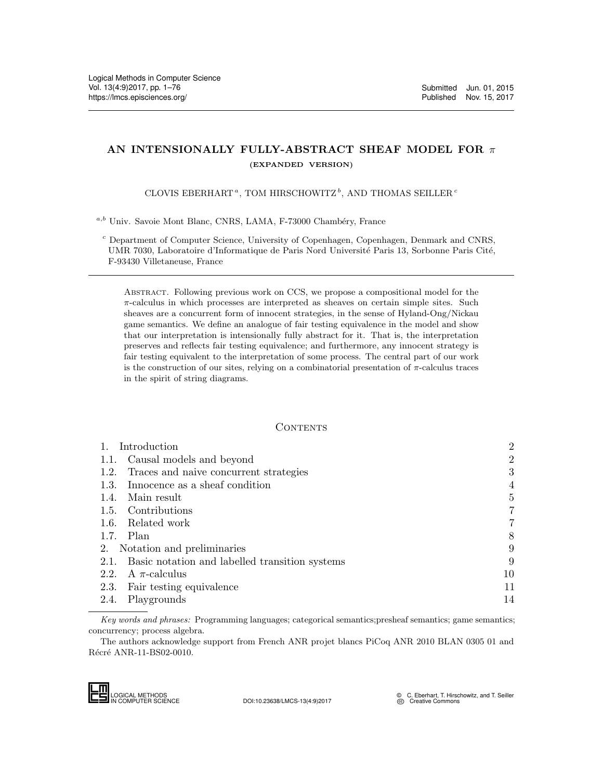# AN INTENSIONALLY FULLY-ABSTRACT SHEAF MODEL FOR  $\pi$ (EXPANDED VERSION)

CLOVIS EBERHART<sup>a</sup>, TOM HIRSCHOWITZ<sup>b</sup>, AND THOMAS SEILLER<sup>c</sup>

 $a,b$  Univ. Savoie Mont Blanc, CNRS, LAMA, F-73000 Chambéry, France

 $c$  Department of Computer Science, University of Copenhagen, Copenhagen, Denmark and CNRS, UMR 7030, Laboratoire d'Informatique de Paris Nord Université Paris 13, Sorbonne Paris Cité, F-93430 Villetaneuse, France

Abstract. Following previous work on CCS, we propose a compositional model for the  $\pi$ -calculus in which processes are interpreted as sheaves on certain simple sites. Such sheaves are a concurrent form of innocent strategies, in the sense of Hyland-Ong/Nickau game semantics. We define an analogue of fair testing equivalence in the model and show that our interpretation is intensionally fully abstract for it. That is, the interpretation preserves and reflects fair testing equivalence; and furthermore, any innocent strategy is fair testing equivalent to the interpretation of some process. The central part of our work is the construction of our sites, relying on a combinatorial presentation of  $\pi$ -calculus traces in the spirit of string diagrams.

### CONTENTS

| 1.   | Introduction                                                            | $\overline{2}$                                                                                                                                                                                            |
|------|-------------------------------------------------------------------------|-----------------------------------------------------------------------------------------------------------------------------------------------------------------------------------------------------------|
| 1.1. | Causal models and beyond                                                | $\overline{2}$                                                                                                                                                                                            |
| 1.2. | Traces and naive concurrent strategies                                  | 3                                                                                                                                                                                                         |
| 1.3. | Innocence as a sheaf condition                                          | 4                                                                                                                                                                                                         |
| 1.4. | Main result                                                             | $\overline{5}$                                                                                                                                                                                            |
|      | 1.5. Contributions                                                      | $\overline{7}$                                                                                                                                                                                            |
| 1.6. | Related work                                                            | 7                                                                                                                                                                                                         |
|      | $1.7.$ Plan                                                             | 8                                                                                                                                                                                                         |
| 2.   | Notation and preliminaries                                              | 9                                                                                                                                                                                                         |
| 2.1. | Basic notation and labelled transition systems                          | 9                                                                                                                                                                                                         |
| 2.2. | A $\pi$ -calculus                                                       | 10                                                                                                                                                                                                        |
| 2.3. | Fair testing equivalence                                                | 11                                                                                                                                                                                                        |
| 2.4. | Playgrounds                                                             | 14                                                                                                                                                                                                        |
|      | concurrency; process algebra.<br>Récré ANR-11-BS02-0010.                | Key words and phrases: Programming languages; categorical semantics; presheaf semantics; game semantics;<br>The authors acknowledge support from French ANR projet blancs PiCoq ANR 2010 BLAN 0305 01 and |
|      | LOGICAL METHODS<br>IN COMPUTER SCIENCE<br>DOI:10.23638/LMCS-13(4:9)2017 | C. Eberhart, T. Hirschowitz, and T. Seiller<br>@ Creative Commons                                                                                                                                         |

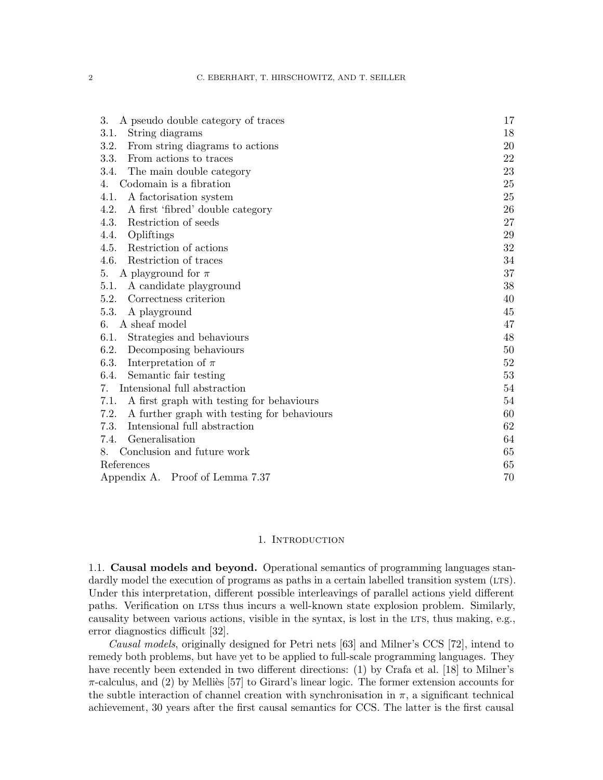| 3.<br>A pseudo double category of traces            | 17 |  |
|-----------------------------------------------------|----|--|
| 3.1.<br>String diagrams                             | 18 |  |
| 3.2.<br>From string diagrams to actions             | 20 |  |
| 3.3.<br>From actions to traces                      | 22 |  |
| 3.4.<br>The main double category                    | 23 |  |
| Codomain is a fibration<br>4.                       | 25 |  |
| 4.1.<br>A factorisation system                      | 25 |  |
| 4.2.<br>A first 'fibred' double category            | 26 |  |
| 4.3.<br>Restriction of seeds                        | 27 |  |
| Opliftings<br>4.4.                                  | 29 |  |
| Restriction of actions<br>4.5.                      | 32 |  |
| 4.6.<br>Restriction of traces                       | 34 |  |
| A playground for $\pi$<br>5.                        | 37 |  |
| A candidate playground<br>5.1.                      | 38 |  |
| Correctness criterion<br>5.2.                       | 40 |  |
| 5.3.<br>A playground                                | 45 |  |
| A sheaf model<br>6.                                 | 47 |  |
| 6.1.<br>Strategies and behaviours                   | 48 |  |
| 6.2.<br>Decomposing behaviours                      | 50 |  |
| 6.3.<br>Interpretation of $\pi$                     | 52 |  |
| Semantic fair testing<br>6.4.                       | 53 |  |
| Intensional full abstraction<br>7.                  |    |  |
| 7.1.<br>A first graph with testing for behaviours   | 54 |  |
| 7.2.<br>A further graph with testing for behaviours | 60 |  |
| Intensional full abstraction<br>7.3.                | 62 |  |
| Generalisation<br>7.4.                              | 64 |  |
| Conclusion and future work<br>8.                    | 65 |  |
| References                                          |    |  |
| Appendix A. Proof of Lemma 7.37                     |    |  |

#### 1. INTRODUCTION

<span id="page-1-1"></span><span id="page-1-0"></span>1.1. Causal models and beyond. Operational semantics of programming languages standardly model the execution of programs as paths in a certain labelled transition system (LTS). Under this interpretation, different possible interleavings of parallel actions yield different paths. Verification on LTSs thus incurs a well-known state explosion problem. Similarly, causality between various actions, visible in the syntax, is lost in the LTS, thus making, e.g., error diagnostics difficult [\[32\]](#page-66-0).

Causal models, originally designed for Petri nets [\[63\]](#page-68-0) and Milner's CCS [\[72\]](#page-68-1), intend to remedy both problems, but have yet to be applied to full-scale programming languages. They have recently been extended in two different directions: (1) by Crafa et al. [\[18\]](#page-65-0) to Milner's  $\pi$ -calculus, and (2) by Melliès [\[57\]](#page-67-0) to Girard's linear logic. The former extension accounts for the subtle interaction of channel creation with synchronisation in  $\pi$ , a significant technical achievement, 30 years after the first causal semantics for CCS. The latter is the first causal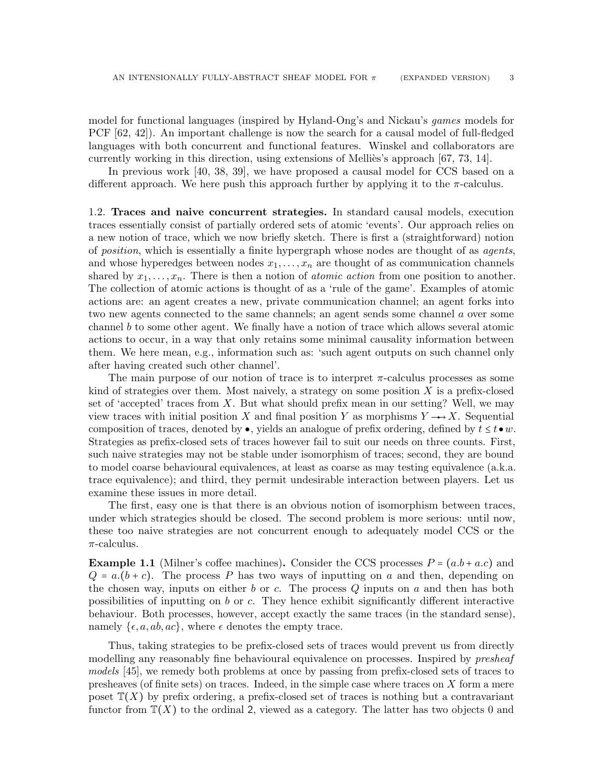model for functional languages (inspired by Hyland-Ong's and Nickau's games models for PCF [\[62,](#page-68-2) [42\]](#page-67-1)). An important challenge is now the search for a causal model of full-fledged languages with both concurrent and functional features. Winskel and collaborators are currently working in this direction, using extensions of Mellies's approach  $[67, 73, 14]$  $[67, 73, 14]$  $[67, 73, 14]$ .

In previous work [\[40,](#page-66-1) [38,](#page-66-2) [39\]](#page-66-3), we have proposed a causal model for CCS based on a different approach. We here push this approach further by applying it to the  $\pi$ -calculus.

<span id="page-2-0"></span>1.2. Traces and naive concurrent strategies. In standard causal models, execution traces essentially consist of partially ordered sets of atomic 'events'. Our approach relies on a new notion of trace, which we now briefly sketch. There is first a (straightforward) notion of position, which is essentially a finite hypergraph whose nodes are thought of as agents, and whose hyperedges between nodes  $x_1, \ldots, x_n$  are thought of as communication channels shared by  $x_1, \ldots, x_n$ . There is then a notion of *atomic action* from one position to another. The collection of atomic actions is thought of as a 'rule of the game'. Examples of atomic actions are: an agent creates a new, private communication channel; an agent forks into two new agents connected to the same channels; an agent sends some channel a over some channel b to some other agent. We finally have a notion of trace which allows several atomic actions to occur, in a way that only retains some minimal causality information between them. We here mean, e.g., information such as: 'such agent outputs on such channel only after having created such other channel'.

The main purpose of our notion of trace is to interpret  $\pi$ -calculus processes as some kind of strategies over them. Most naively, a strategy on some position  $X$  is a prefix-closed set of 'accepted' traces from  $X$ . But what should prefix mean in our setting? Well, we may view traces with initial position X and final position Y as morphisms  $Y \rightarrow X$ . Sequential composition of traces, denoted by  $\bullet$ , yields an analogue of prefix ordering, defined by  $t \leq t \bullet w$ . Strategies as prefix-closed sets of traces however fail to suit our needs on three counts. First, such naive strategies may not be stable under isomorphism of traces; second, they are bound to model coarse behavioural equivalences, at least as coarse as may testing equivalence (a.k.a. trace equivalence); and third, they permit undesirable interaction between players. Let us examine these issues in more detail.

The first, easy one is that there is an obvious notion of isomorphism between traces, under which strategies should be closed. The second problem is more serious: until now, these too naive strategies are not concurrent enough to adequately model CCS or the  $\pi$ -calculus.

<span id="page-2-1"></span>**Example 1.1** (Milner's coffee machines). Consider the CCS processes  $P = (a.b + a.c)$  and  $Q = a(b + c)$ . The process P has two ways of inputting on a and then, depending on the chosen way, inputs on either b or c. The process  $Q$  inputs on a and then has both possibilities of inputting on  $b$  or  $c$ . They hence exhibit significantly different interactive behaviour. Both processes, however, accept exactly the same traces (in the standard sense), namely  $\{\epsilon, a, ab, ac\}$ , where  $\epsilon$  denotes the empty trace.

Thus, taking strategies to be prefix-closed sets of traces would prevent us from directly modelling any reasonably fine behavioural equivalence on processes. Inspired by *presheaf* models [\[45\]](#page-67-2), we remedy both problems at once by passing from prefix-closed sets of traces to presheaves (of finite sets) on traces. Indeed, in the simple case where traces on  $X$  form a mere poset  $\mathbb{T}(X)$  by prefix ordering, a prefix-closed set of traces is nothing but a contravariant functor from  $\mathbb{T}(X)$  to the ordinal 2, viewed as a category. The latter has two objects 0 and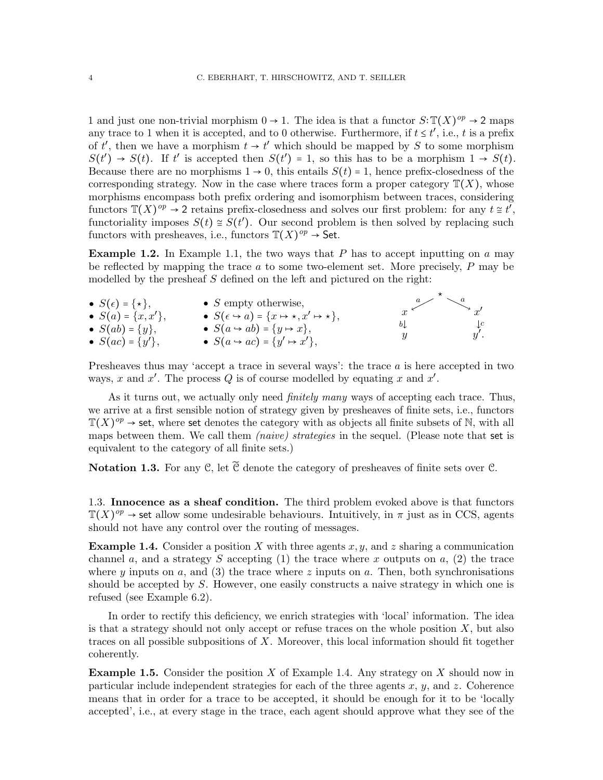1 and just one non-trivial morphism  $0 \to 1$ . The idea is that a functor  $S: \mathbb{T}(X)^{op} \to 2$  maps any trace to 1 when it is accepted, and to 0 otherwise. Furthermore, if  $t \leq t'$ , i.e., t is a prefix of t', then we have a morphism  $t \to t'$  which should be mapped by S to some morphism  $S(t') \rightarrow S(t)$ . If t' is accepted then  $S(t') = 1$ , so this has to be a morphism  $1 \rightarrow S(t)$ . Because there are no morphisms  $1 \rightarrow 0$ , this entails  $S(t) = 1$ , hence prefix-closedness of the corresponding strategy. Now in the case where traces form a proper category  $\mathbb{T}(X)$ , whose morphisms encompass both prefix ordering and isomorphism between traces, considering functors  $\mathbb{T}(X)^{op} \to 2$  retains prefix-closedness and solves our first problem: for any  $t \geq t^{\overline{t}}$ , functoriality imposes  $S(t) \cong S(t')$ . Our second problem is then solved by replacing such functors with presheaves, i.e., functors  $\mathbb{T}(X)^{op} \to$  Set.

**Example 1.2.** In Example [1.1,](#page-2-1) the two ways that  $P$  has to accept inputting on  $a$  may be reflected by mapping the trace  $a$  to some two-element set. More precisely,  $P$  may be modelled by the presheaf  $S$  defined on the left and pictured on the right:

| $\bullet S(\epsilon) = {\star},$ | • $S$ empty otherwise,                                                  |          | $\searrow x'$         |
|----------------------------------|-------------------------------------------------------------------------|----------|-----------------------|
| • $S(a) = \{x, x'\},\,$          | • $S(\epsilon \rightarrow a) = \{x \mapsto \star, x' \mapsto \star\},\$ |          |                       |
| • $S(ab) = \{y\},\,$             | • $S(a \leftrightarrow ab) = \{y \mapsto x\},\,$                        | $b\perp$ | $\downarrow$ c<br>y'. |
| • $S(ac) = {y'}$ ,               | • $S(a \rightarrow ac) = \{y' \mapsto x'\},\$                           | У        |                       |

Presheaves thus may 'accept a trace in several ways': the trace a is here accepted in two ways, x and  $x'$ . The process Q is of course modelled by equating x and  $x'$ .

As it turns out, we actually only need *finitely many* ways of accepting each trace. Thus, we arrive at a first sensible notion of strategy given by presheaves of finite sets, i.e., functors  $\mathbb{T}(X)^{op} \to \mathsf{set}$ , where set denotes the category with as objects all finite subsets of N, with all maps between them. We call them *(naive)* strategies in the sequel. (Please note that set is equivalent to the category of all finite sets.)

<span id="page-3-2"></span>**Notation 1.3.** For any C, let  $\widetilde{C}$  denote the category of presheaves of finite sets over C.

<span id="page-3-0"></span>1.3. Innocence as a sheaf condition. The third problem evoked above is that functors  $\mathbb{T}(X)^{op} \to \mathsf{set}$  allow some undesirable behaviours. Intuitively, in  $\pi$  just as in CCS, agents should not have any control over the routing of messages.

<span id="page-3-1"></span>**Example 1.4.** Consider a position X with three agents  $x, y$ , and z sharing a communication channel a, and a strategy S accepting (1) the trace where x outputs on  $a$ , (2) the trace where y inputs on a, and (3) the trace where z inputs on a. Then, both synchronisations should be accepted by S. However, one easily constructs a naive strategy in which one is refused (see Example [6.2\)](#page-47-1).

In order to rectify this deficiency, we enrich strategies with 'local' information. The idea is that a strategy should not only accept or refuse traces on the whole position  $X$ , but also traces on all possible subpositions of  $X$ . Moreover, this local information should fit together coherently.

**Example 1.5.** Consider the position X of Example [1.4.](#page-3-1) Any strategy on X should now in particular include independent strategies for each of the three agents  $x, y$ , and  $z$ . Coherence means that in order for a trace to be accepted, it should be enough for it to be 'locally accepted', i.e., at every stage in the trace, each agent should approve what they see of the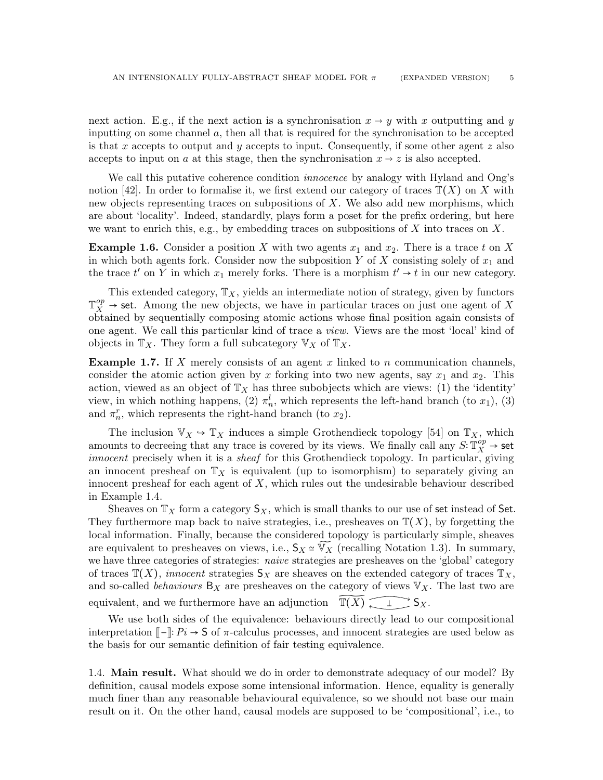next action. E.g., if the next action is a synchronisation  $x \to y$  with x outputting and y inputting on some channel  $a$ , then all that is required for the synchronisation to be accepted is that x accepts to output and y accepts to input. Consequently, if some other agent  $z$  also accepts to input on a at this stage, then the synchronisation  $x \to z$  is also accepted.

We call this putative coherence condition *innocence* by analogy with Hyland and Ong's notion [\[42\]](#page-67-1). In order to formalise it, we first extend our category of traces  $\mathbb{T}(X)$  on X with new objects representing traces on subpositions of X. We also add new morphisms, which are about 'locality'. Indeed, standardly, plays form a poset for the prefix ordering, but here we want to enrich this, e.g., by embedding traces on subpositions of X into traces on X.

**Example 1.6.** Consider a position X with two agents  $x_1$  and  $x_2$ . There is a trace t on X in which both agents fork. Consider now the subposition Y of X consisting solely of  $x_1$  and the trace  $t'$  on Y in which  $x_1$  merely forks. There is a morphism  $t' \rightarrow t$  in our new category.

This extended category,  $\mathbb{T}_X$ , yields an intermediate notion of strategy, given by functors  $\mathbb{T}_X^{op} \to$  set. Among the new objects, we have in particular traces on just one agent of X obtained by sequentially composing atomic actions whose final position again consists of one agent. We call this particular kind of trace a view. Views are the most 'local' kind of objects in  $\mathbb{T}_X$ . They form a full subcategory  $\mathbb{V}_X$  of  $\mathbb{T}_X$ .

**Example 1.7.** If X merely consists of an agent x linked to n communication channels, consider the atomic action given by x forking into two new agents, say  $x_1$  and  $x_2$ . This action, viewed as an object of  $\mathbb{T}_X$  has three subobjects which are views: (1) the 'identity' view, in which nothing happens, (2)  $\pi_n^l$ , which represents the left-hand branch (to  $x_1$ ), (3) and  $\pi_n^r$ , which represents the right-hand branch (to  $x_2$ ).

The inclusion  $\mathbb{V}_X \hookrightarrow \mathbb{T}_X$  induces a simple Grothendieck topology [\[54\]](#page-67-3) on  $\mathbb{T}_X$ , which amounts to decreeing that any trace is covered by its views. We finally call any  $S: \mathbb{T}_X^{op} \to \mathsf{set}$ innocent precisely when it is a sheaf for this Grothendieck topology. In particular, giving an innocent presheaf on  $\mathbb{T}_X$  is equivalent (up to isomorphism) to separately giving an innocent presheaf for each agent of  $X$ , which rules out the undesirable behaviour described in Example [1.4.](#page-3-1)

Sheaves on  $\mathbb{T}_X$  form a category  $\mathsf{S}_X$ , which is small thanks to our use of set instead of Set. They furthermore map back to naive strategies, i.e., presheaves on  $\mathbb{T}(X)$ , by forgetting the local information. Finally, because the considered topology is particularly simple, sheaves are equivalent to presheaves on views, i.e.,  $S_X \simeq \widetilde{V}_X$  (recalling Notation [1.3\)](#page-3-2). In summary, we have three categories of strategies: *naive* strategies are presheaves on the 'global' category of traces  $\mathbb{T}(X)$ , innocent strategies  $\mathsf{S}_X$  are sheaves on the extended category of traces  $\mathbb{T}_X$ , and so-called *behaviours*  $B_X$  are presheaves on the category of views  $V_X$ . The last two are equivalent, and we furthermore have an adjunction  $\widetilde{\mathbb{T}(X)} \subset \mathbb{R}$ .

We use both sides of the equivalence: behaviours directly lead to our compositional interpretation  $\llbracket - \rrbracket$ :  $Pi: \rightarrow S$  of  $\pi$ -calculus processes, and innocent strategies are used below as the basis for our semantic definition of fair testing equivalence.

<span id="page-4-0"></span>1.4. **Main result.** What should we do in order to demonstrate adequacy of our model? By definition, causal models expose some intensional information. Hence, equality is generally much finer than any reasonable behavioural equivalence, so we should not base our main result on it. On the other hand, causal models are supposed to be 'compositional', i.e., to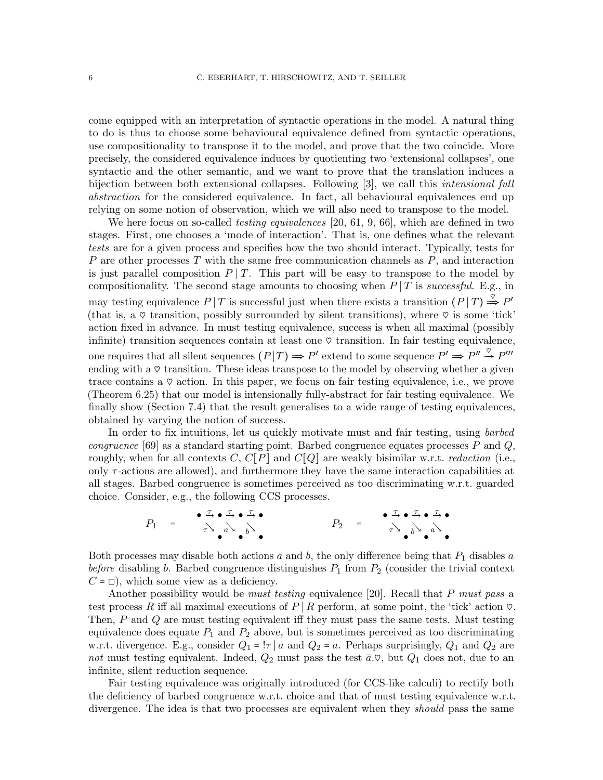come equipped with an interpretation of syntactic operations in the model. A natural thing to do is thus to choose some behavioural equivalence defined from syntactic operations, use compositionality to transpose it to the model, and prove that the two coincide. More precisely, the considered equivalence induces by quotienting two 'extensional collapses', one syntactic and the other semantic, and we want to prove that the translation induces a bijection between both extensional collapses. Following [\[3\]](#page-64-2), we call this intensional full abstraction for the considered equivalence. In fact, all behavioural equivalences end up relying on some notion of observation, which we will also need to transpose to the model.

We here focus on so-called *testing equivalences* [\[20,](#page-65-2) [61,](#page-68-5) [9,](#page-65-3) [66\]](#page-68-6), which are defined in two stages. First, one chooses a 'mode of interaction'. That is, one defines what the relevant tests are for a given process and specifies how the two should interact. Typically, tests for P are other processes T with the same free communication channels as  $P$ , and interaction is just parallel composition  $P | T$ . This part will be easy to transpose to the model by compositionality. The second stage amounts to choosing when  $P | T$  is successful. E.g., in may testing equivalence  $P | T$  is successful just when there exists a transition  $(P | T) \stackrel{\circ}{\Rightarrow} P'$ (that is, a  $\heartsuit$  transition, possibly surrounded by silent transitions), where  $\heartsuit$  is some 'tick' action fixed in advance. In must testing equivalence, success is when all maximal (possibly infinite) transition sequences contain at least one  $\heartsuit$  transition. In fair testing equivalence, one requires that all silent sequences  $(P|T) \Rightarrow P'$  extend to some sequence  $P' \Rightarrow P'' \stackrel{\heartsuit}{\rightarrow} P'''$ ending with a  $\circ$  transition. These ideas transpose to the model by observing whether a given trace contains a  $\heartsuit$  action. In this paper, we focus on fair testing equivalence, i.e., we prove (Theorem [6.25\)](#page-53-2) that our model is intensionally fully-abstract for fair testing equivalence. We finally show (Section [7.4\)](#page-63-0) that the result generalises to a wide range of testing equivalences, obtained by varying the notion of success.

In order to fix intuitions, let us quickly motivate must and fair testing, using *barbed congruence* [\[69\]](#page-68-7) as a standard starting point. Barbed congruence equates processes P and Q, roughly, when for all contexts C,  $C[P]$  and  $C[Q]$  are weakly bisimilar w.r.t. *reduction* (i.e., only  $\tau$ -actions are allowed), and furthermore they have the same interaction capabilities at all stages. Barbed congruence is sometimes perceived as too discriminating w.r.t. guarded choice. Consider, e.g., the following CCS processes.

$$
P_1 = \begin{array}{c} \bullet \xrightarrow{\tau} \bullet \xrightarrow{\tau} \bullet \xrightarrow{\tau} \bullet \\ \uparrow \searrow \wedge \bullet \searrow \bullet \searrow \bullet \end{array} \qquad P_2 = \begin{array}{c} \bullet \xrightarrow{\tau} \bullet \xrightarrow{\tau} \bullet \xrightarrow{\tau} \bullet \\ \uparrow \searrow \bullet \searrow \bullet \searrow \bullet \end{array}
$$

Both processes may disable both actions a and b, the only difference being that  $P_1$  disables a before disabling b. Barbed congruence distinguishes  $P_1$  from  $P_2$  (consider the trivial context  $C = \Box$ , which some view as a deficiency.

Another possibility would be *must testing* equivalence [\[20\]](#page-65-2). Recall that P *must pass* a test process R iff all maximal executions of P | R perform, at some point, the 'tick' action  $\heartsuit$ . Then, P and Q are must testing equivalent iff they must pass the same tests. Must testing equivalence does equate  $P_1$  and  $P_2$  above, but is sometimes perceived as too discriminating w.r.t. divergence. E.g., consider  $Q_1 = \vert \tau \vert a$  and  $Q_2 = a$ . Perhaps surprisingly,  $Q_1$  and  $Q_2$  are not must testing equivalent. Indeed,  $Q_2$  must pass the test  $\bar{a}.\heartsuit$ , but  $Q_1$  does not, due to an infinite, silent reduction sequence.

Fair testing equivalence was originally introduced (for CCS-like calculi) to rectify both the deficiency of barbed congruence w.r.t. choice and that of must testing equivalence w.r.t. divergence. The idea is that two processes are equivalent when they *should* pass the same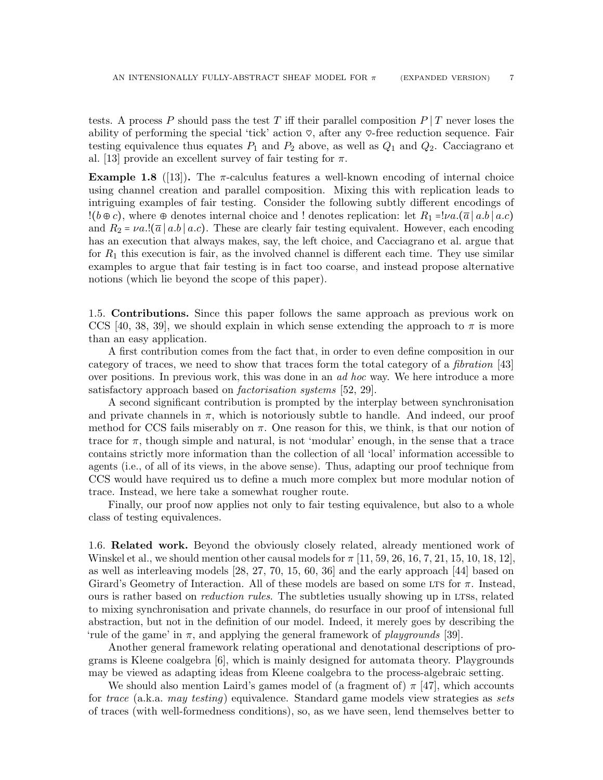tests. A process P should pass the test T iff their parallel composition  $P|T$  never loses the ability of performing the special 'tick' action  $\varphi$ , after any  $\varphi$ -free reduction sequence. Fair testing equivalence thus equates  $P_1$  and  $P_2$  above, as well as  $Q_1$  and  $Q_2$ . Cacciagrano et al. [\[13\]](#page-65-4) provide an excellent survey of fair testing for  $\pi$ .

**Example 1.8** ([\[13\]](#page-65-4)). The  $\pi$ -calculus features a well-known encoding of internal choice using channel creation and parallel composition. Mixing this with replication leads to intriguing examples of fair testing. Consider the following subtly different encodings of  $!(b \oplus c)$ , where  $\oplus$  denotes internal choice and ! denotes replication: let  $R_1 = \nu a.(\overline{a} \mid a.b \mid a.c)$ and  $R_2 = \nu a.$  [ $\overline{a} \mid a.b \mid a.c$ ). These are clearly fair testing equivalent. However, each encoding has an execution that always makes, say, the left choice, and Cacciagrano et al. argue that for  $R_1$  this execution is fair, as the involved channel is different each time. They use similar examples to argue that fair testing is in fact too coarse, and instead propose alternative notions (which lie beyond the scope of this paper).

<span id="page-6-0"></span>1.5. Contributions. Since this paper follows the same approach as previous work on CCS [\[40,](#page-66-1) [38,](#page-66-2) [39\]](#page-66-3), we should explain in which sense extending the approach to  $\pi$  is more than an easy application.

A first contribution comes from the fact that, in order to even define composition in our category of traces, we need to show that traces form the total category of a fibration [\[43\]](#page-67-4) over positions. In previous work, this was done in an ad hoc way. We here introduce a more satisfactory approach based on *factorisation systems* [\[52,](#page-67-5) [29\]](#page-66-4).

A second significant contribution is prompted by the interplay between synchronisation and private channels in  $\pi$ , which is notoriously subtle to handle. And indeed, our proof method for CCS fails miserably on  $\pi$ . One reason for this, we think, is that our notion of trace for  $\pi$ , though simple and natural, is not 'modular' enough, in the sense that a trace contains strictly more information than the collection of all 'local' information accessible to agents (i.e., of all of its views, in the above sense). Thus, adapting our proof technique from CCS would have required us to define a much more complex but more modular notion of trace. Instead, we here take a somewhat rougher route.

Finally, our proof now applies not only to fair testing equivalence, but also to a whole class of testing equivalences.

<span id="page-6-1"></span>1.6. Related work. Beyond the obviously closely related, already mentioned work of Winskel et al., we should mention other causal models for  $\pi$  [\[11,](#page-65-5) [59,](#page-67-6) [26,](#page-66-5) [16,](#page-65-6) [7,](#page-65-7) [21,](#page-65-8) [15,](#page-65-9) [10,](#page-65-10) [18,](#page-65-0) [12\]](#page-65-11), as well as interleaving models [\[28,](#page-66-6) [27,](#page-66-7) [70,](#page-68-8) [15,](#page-65-9) [60,](#page-68-9) [36\]](#page-66-8) and the early approach [\[44\]](#page-67-7) based on Girard's Geometry of Interaction. All of these models are based on some LTS for  $\pi$ . Instead, ours is rather based on *reduction rules*. The subtleties usually showing up in LTSs, related to mixing synchronisation and private channels, do resurface in our proof of intensional full abstraction, but not in the definition of our model. Indeed, it merely goes by describing the 'rule of the game' in  $\pi$ , and applying the general framework of *playgrounds* [\[39\]](#page-66-3).

Another general framework relating operational and denotational descriptions of programs is Kleene coalgebra [\[6\]](#page-65-12), which is mainly designed for automata theory. Playgrounds may be viewed as adapting ideas from Kleene coalgebra to the process-algebraic setting.

We should also mention Laird's games model of (a fragment of)  $\pi$  |47|, which accounts for trace (a.k.a. may testing) equivalence. Standard game models view strategies as sets of traces (with well-formedness conditions), so, as we have seen, lend themselves better to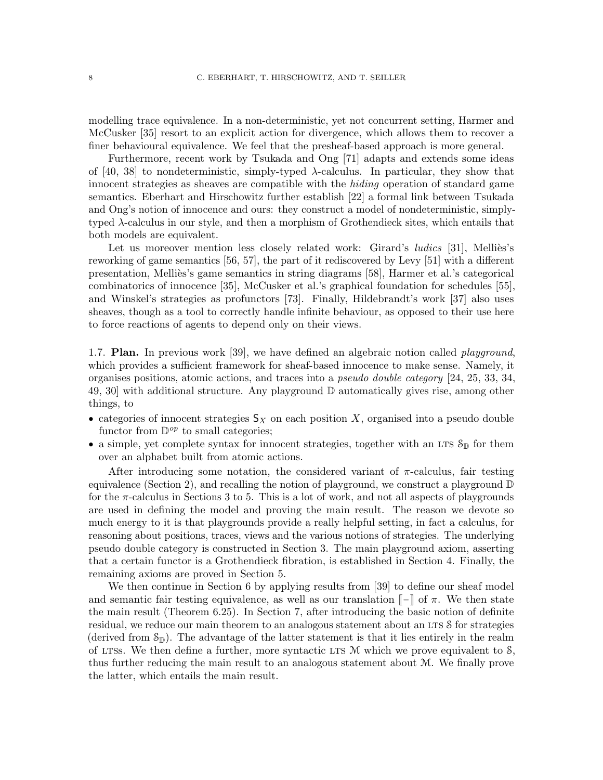modelling trace equivalence. In a non-deterministic, yet not concurrent setting, Harmer and McCusker [\[35\]](#page-66-9) resort to an explicit action for divergence, which allows them to recover a finer behavioural equivalence. We feel that the presheaf-based approach is more general.

Furthermore, recent work by Tsukada and Ong [\[71\]](#page-68-10) adapts and extends some ideas of [\[40,](#page-66-1) [38\]](#page-66-2) to nondeterministic, simply-typed  $\lambda$ -calculus. In particular, they show that innocent strategies as sheaves are compatible with the hiding operation of standard game semantics. Eberhart and Hirschowitz further establish [\[22\]](#page-65-13) a formal link between Tsukada and Ong's notion of innocence and ours: they construct a model of nondeterministic, simplytyped λ-calculus in our style, and then a morphism of Grothendieck sites, which entails that both models are equivalent.

Let us moreover mention less closely related work: Girard's *ludics* [\[31\]](#page-66-10), Melliès's reworking of game semantics [\[56,](#page-67-9) [57\]](#page-67-0), the part of it rediscovered by Levy [\[51\]](#page-67-10) with a different presentation, Melli`es's game semantics in string diagrams [\[58\]](#page-67-11), Harmer et al.'s categorical combinatorics of innocence [\[35\]](#page-66-9), McCusker et al.'s graphical foundation for schedules [\[55\]](#page-67-12), and Winskel's strategies as profunctors [\[73\]](#page-68-4). Finally, Hildebrandt's work [\[37\]](#page-66-11) also uses sheaves, though as a tool to correctly handle infinite behaviour, as opposed to their use here to force reactions of agents to depend only on their views.

<span id="page-7-0"></span>1.7. **Plan.** In previous work [\[39\]](#page-66-3), we have defined an algebraic notion called *playground*. which provides a sufficient framework for sheaf-based innocence to make sense. Namely, it organises positions, atomic actions, and traces into a pseudo double category [\[24,](#page-66-12) [25,](#page-66-13) [33,](#page-66-14) [34,](#page-66-15) [49,](#page-67-13) [30\]](#page-66-16) with additional structure. Any playground D automatically gives rise, among other things, to

- categories of innocent strategies  $S_X$  on each position X, organised into a pseudo double functor from  $\mathbb{D}^{op}$  to small categories;
- $\bullet\,$  a simple, yet complete syntax for innocent strategies, together with an LTS  $\mathcal{S}_{\mathbb{D}}$  for them over an alphabet built from atomic actions.

After introducing some notation, the considered variant of  $\pi$ -calculus, fair testing equivalence (Section [2\)](#page-8-0), and recalling the notion of playground, we construct a playground  $\mathbb D$ for the  $\pi$ -calculus in Sections [3](#page-16-0) to [5.](#page-36-0) This is a lot of work, and not all aspects of playgrounds are used in defining the model and proving the main result. The reason we devote so much energy to it is that playgrounds provide a really helpful setting, in fact a calculus, for reasoning about positions, traces, views and the various notions of strategies. The underlying pseudo double category is constructed in Section [3.](#page-16-0) The main playground axiom, asserting that a certain functor is a Grothendieck fibration, is established in Section [4.](#page-24-0) Finally, the remaining axioms are proved in Section [5.](#page-36-0)

We then continue in Section [6](#page-46-0) by applying results from [\[39\]](#page-66-3) to define our sheaf model and semantic fair testing equivalence, as well as our translation  $\llbracket - \rrbracket$  of  $\pi$ . We then state the main result (Theorem [6.25\)](#page-53-2). In Section [7,](#page-53-0) after introducing the basic notion of definite residual, we reduce our main theorem to an analogous statement about an LTS S for strategies (derived from  $\mathcal{S}_{\mathbb{D}}$ ). The advantage of the latter statement is that it lies entirely in the realm of LTSs. We then define a further, more syntactic LTS  $M$  which we prove equivalent to  $S$ , thus further reducing the main result to an analogous statement about M. We finally prove the latter, which entails the main result.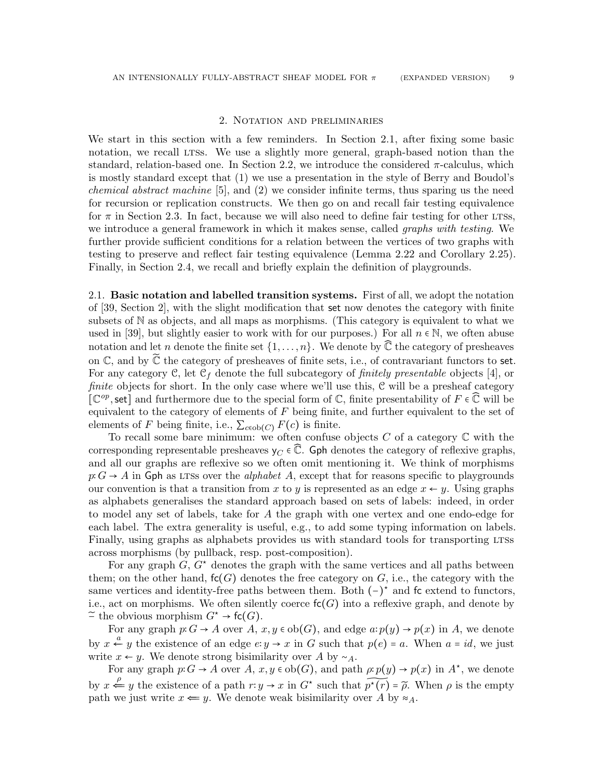#### 2. Notation and preliminaries

<span id="page-8-0"></span>We start in this section with a few reminders. In Section [2.1,](#page-8-1) after fixing some basic notation, we recall LTSS. We use a slightly more general, graph-based notion than the standard, relation-based one. In Section [2.2,](#page-9-0) we introduce the considered  $\pi$ -calculus, which is mostly standard except that (1) we use a presentation in the style of Berry and Boudol's *chemical abstract machine* [\[5\]](#page-64-3), and  $(2)$  we consider infinite terms, thus sparing us the need for recursion or replication constructs. We then go on and recall fair testing equivalence for  $\pi$  in Section [2.3.](#page-10-0) In fact, because we will also need to define fair testing for other LTSs, we introduce a general framework in which it makes sense, called *graphs with testing*. We further provide sufficient conditions for a relation between the vertices of two graphs with testing to preserve and reflect fair testing equivalence (Lemma [2.22](#page-12-0) and Corollary [2.25\)](#page-13-1). Finally, in Section [2.4,](#page-13-0) we recall and briefly explain the definition of playgrounds.

<span id="page-8-1"></span>2.1. Basic notation and labelled transition systems. First of all, we adopt the notation of [\[39,](#page-66-3) Section 2], with the slight modification that set now denotes the category with finite subsets of N as objects, and all maps as morphisms. (This category is equivalent to what we used in [\[39\]](#page-66-3), but slightly easier to work with for our purposes.) For all  $n \in \mathbb{N}$ , we often abuse notation and let n denote the finite set  $\{1,\ldots,n\}$ . We denote by  $\mathbb{\bar{C}}$  the category of presheaves on  $\mathbb C$ , and by  $\widetilde{\mathbb C}$  the category of presheaves of finite sets, i.e., of contravariant functors to set. For any category C, let  $C_f$  denote the full subcategory of *finitely presentable* objects [\[4\]](#page-64-4), or finite objects for short. In the only case where we'll use this, C will be a presheaf category  $\left[\mathbb{C}^{op}, \text{set}\right]$  and furthermore due to the special form of  $\mathbb{C}$ , finite presentability of  $F \in \mathbb{C}$  will be equivalent to the category of elements of  $F$  being finite, and further equivalent to the set of elements of F being finite, i.e.,  $\sum_{c \in \text{ob}(C)} F(c)$  is finite.

To recall some bare minimum: we often confuse objects  $C$  of a category  $\mathbb C$  with the corresponding representable presheaves  $y_C \in \mathbb{C}$ . Gph denotes the category of reflexive graphs, and all our graphs are reflexive so we often omit mentioning it. We think of morphisms  $p: G \to A$  in Gph as LTSs over the *alphabet A*, except that for reasons specific to playgrounds our convention is that a transition from x to y is represented as an edge  $x \leftarrow y$ . Using graphs as alphabets generalises the standard approach based on sets of labels: indeed, in order to model any set of labels, take for A the graph with one vertex and one endo-edge for each label. The extra generality is useful, e.g., to add some typing information on labels. Finally, using graphs as alphabets provides us with standard tools for transporting LTSs across morphisms (by pullback, resp. post-composition).

For any graph  $G, G^*$  denotes the graph with the same vertices and all paths between them; on the other hand,  $\mathsf{fc}(G)$  denotes the free category on G, i.e., the category with the same vertices and identity-free paths between them. Both  $(-)^*$  and fc extend to functors, i.e., act on morphisms. We often silently coerce  $\mathsf{fc}(G)$  into a reflexive graph, and denote by  $\tilde{\neg}$  the obvious morphism  $G^* \to \mathsf{fc}(G)$ .

For any graph  $p: G \to A$  over  $A, x, y \in ob(G)$ , and edge  $a: p(y) \to p(x)$  in A, we denote by  $x \stackrel{a}{\leftarrow} y$  the existence of an edge  $e: y \to x$  in G such that  $p(e) = a$ . When  $a = id$ , we just write  $x \leftarrow y$ . We denote strong bisimilarity over A by ~ $\alpha$ .

For any graph  $p: G \to A$  over  $A, x, y \in ob(G)$ , and path  $\rho: p(y) \to p(x)$  in  $A^*$ , we denote by  $x \stackrel{\rho}{\Leftarrow} y$  the existence of a path  $r: y \to x$  in  $G^*$  such that  $p^*(r) = \rho$ . When  $\rho$  is the empty path we just write  $x \leftarrow y$ . We denote weak bisimilarity over A by  $\approx_A$ .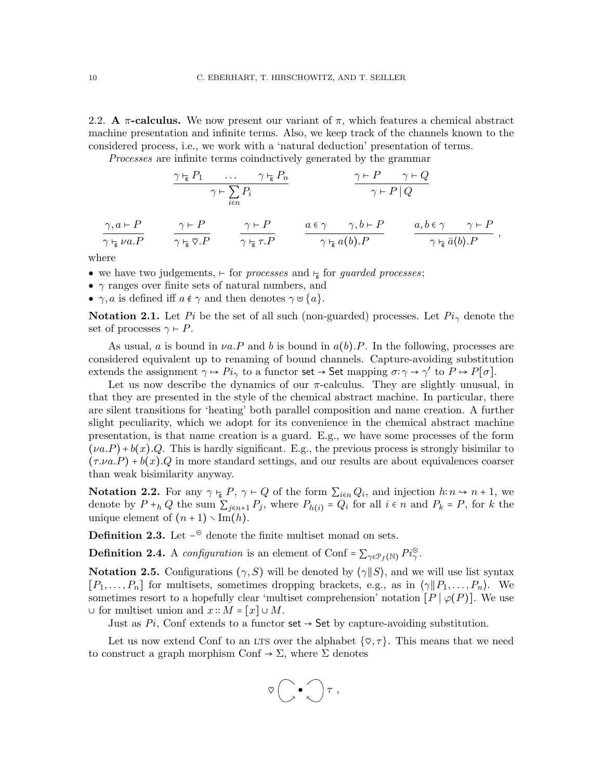<span id="page-9-0"></span>2.2. A  $\pi$ -calculus. We now present our variant of  $\pi$ , which features a chemical abstract machine presentation and infinite terms. Also, we keep track of the channels known to the considered process, i.e., we work with a 'natural deduction' presentation of terms.

Processes are infinite terms coinductively generated by the grammar

$$
\frac{\gamma \vdash_{\mathbf{g}} P_1 \qquad \cdots \qquad \gamma \vdash_{\mathbf{g}} P_n}{\gamma \vdash \sum_{i \in n} P_i} \qquad \qquad \frac{\gamma \vdash P \qquad \gamma \vdash Q}{\gamma \vdash P \mid Q}
$$
\n
$$
\frac{\gamma, a \vdash P}{\gamma \vdash_{\mathbf{g}} \nu a. P} \qquad \frac{\gamma \vdash P}{\gamma \vdash_{\mathbf{g}} \gamma. P} \qquad \frac{a \in \gamma \qquad \gamma, b \vdash P}{\gamma \vdash_{\mathbf{g}} a(b). P} \qquad \frac{a, b \in \gamma \qquad \gamma \vdash P}{\gamma \vdash_{\mathbf{g}} \bar{a}\langle b\rangle. P} ,
$$

where

- we have two judgements,  $\vdash$  for processes and  $\vdash$  for guarded processes;
- $\bullet$   $\gamma$  ranges over finite sets of natural numbers, and
- $\gamma$ , *a* is defined iff  $a \notin \gamma$  and then denotes  $\gamma \cup \{a\}$ .

**Notation 2.1.** Let Pi be the set of all such (non-guarded) processes. Let  $Pi_{\gamma}$  denote the set of processes  $\gamma \vdash P$ .

As usual, a is bound in  $va.P$  and b is bound in  $a(b).P$ . In the following, processes are considered equivalent up to renaming of bound channels. Capture-avoiding substitution extends the assignment  $\gamma \mapsto Pi_{\gamma}$  to a functor set  $\rightarrow$  Set mapping  $\sigma: \gamma \rightarrow \gamma'$  to  $P \mapsto P[\sigma]$ .

Let us now describe the dynamics of our  $\pi$ -calculus. They are slightly unusual, in that they are presented in the style of the chemical abstract machine. In particular, there are silent transitions for 'heating' both parallel composition and name creation. A further slight peculiarity, which we adopt for its convenience in the chemical abstract machine presentation, is that name creation is a guard. E.g., we have some processes of the form  $(\nu a.P)+b(x).Q$ . This is hardly significant. E.g., the previous process is strongly bisimilar to  $(\tau.\nu a.P) + b(x).Q$  in more standard settings, and our results are about equivalences coarser than weak bisimilarity anyway.

**Notation 2.2.** For any  $\gamma \vdash_{\mathsf{g}} P$ ,  $\gamma \vdash Q$  of the form  $\sum_{i \in n} Q_i$ , and injection  $h: n \to n+1$ , we denote by  $P +_h Q$  the sum  $\sum_{j \in n+1} P_j$ , where  $P_{h(i)} = Q_i$  for all  $i \in n$  and  $P_k = P$ , for k the unique element of  $(n + 1) \setminus \text{Im}(h)$ .

**Definition 2.3.** Let  $-\textdegree$  denote the finite multiset monad on sets.

**Definition 2.4.** A configuration is an element of Conf =  $\sum_{\gamma \in \mathcal{P}_f(\mathbb{N})} P i_{\gamma}^{\odot}$ .

**Notation 2.5.** Configurations  $(\gamma, S)$  will be denoted by  $(\gamma || S)$ , and we will use list syntax  $[P_1, \ldots, P_n]$  for multisets, sometimes dropping brackets, e.g., as in  $\langle \gamma \| P_1, \ldots, P_n \rangle$ . We sometimes resort to a hopefully clear 'multiset comprehension' notation  $[P | \varphi(P)]$ . We use ∪ for multiset union and  $x$  ∷  $M = [x]$  ∪  $M$ .

Just as  $Pi$ , Conf extends to a functor set  $\rightarrow$  Set by capture-avoiding substitution.

Let us now extend Conf to an LTS over the alphabet  $\{\varphi, \tau\}$ . This means that we need to construct a graph morphism Conf  $\rightarrow \Sigma$ , where  $\Sigma$  denotes

$$
\nabla \left( \bigcirc \bullet \bigcirc \right) \tau \ ,
$$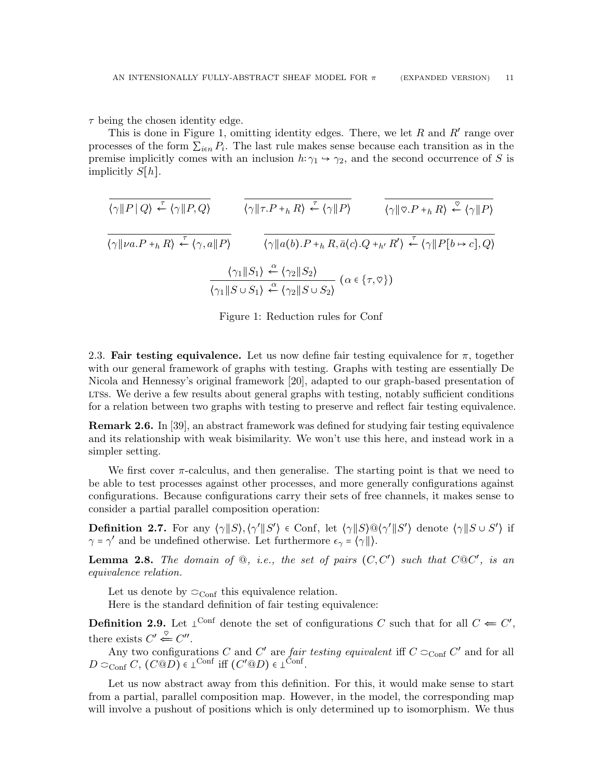$\tau$  being the chosen identity edge.

This is done in Figure [1,](#page-10-1) omitting identity edges. There, we let  $R$  and  $R'$  range over processes of the form  $\sum_{i \in n} P_i$ . The last rule makes sense because each transition as in the premise implicitly comes with an inclusion  $h: \gamma_1 \rightarrow \gamma_2$ , and the second occurrence of S is implicitly  $S[h]$ .

$$
\frac{\langle \gamma \| P | Q \rangle \stackrel{\tau}{\leftarrow} \langle \gamma \| P, Q \rangle}{\langle \gamma \| \nu a. P +_{h} R \rangle \stackrel{\tau}{\leftarrow} \langle \gamma, a \| P \rangle} \qquad \frac{\langle \gamma \| \tau . P +_{h} R \rangle \stackrel{\tau}{\leftarrow} \langle \gamma \| P \rangle}{\langle \gamma \| a(b). P +_{h} R, \bar{a} \langle c \rangle . Q +_{h'} R' \rangle} \stackrel{\varphi}{\leftarrow} \langle \gamma \| P \rangle}
$$
\n
$$
\frac{\langle \gamma \| \nu a. P +_{h} R \rangle \stackrel{\tau}{\leftarrow} \langle \gamma, a \| P \rangle}{\langle \gamma \| S \rangle \stackrel{\alpha}{\leftarrow} \langle \gamma_2 \| S \rangle} \qquad (\alpha \in \{ \tau, \varphi \})
$$
\n
$$
\frac{\langle \gamma_1 \| S \rangle \stackrel{\alpha}{\leftarrow} \langle \gamma_2 \| S \cup S_2 \rangle}{\langle \gamma_1 \| S \cup S_1 \rangle \stackrel{\alpha}{\leftarrow} \langle \gamma_2 \| S \cup S_2 \rangle} \qquad (\alpha \in \{ \tau, \varphi \})
$$

<span id="page-10-1"></span>Figure 1: Reduction rules for Conf

<span id="page-10-0"></span>2.3. Fair testing equivalence. Let us now define fair testing equivalence for  $\pi$ , together with our general framework of graphs with testing. Graphs with testing are essentially De Nicola and Hennessy's original framework [\[20\]](#page-65-2), adapted to our graph-based presentation of LTSS. We derive a few results about general graphs with testing, notably sufficient conditions for a relation between two graphs with testing to preserve and reflect fair testing equivalence.

Remark 2.6. In [\[39\]](#page-66-3), an abstract framework was defined for studying fair testing equivalence and its relationship with weak bisimilarity. We won't use this here, and instead work in a simpler setting.

We first cover  $\pi$ -calculus, and then generalise. The starting point is that we need to be able to test processes against other processes, and more generally configurations against configurations. Because configurations carry their sets of free channels, it makes sense to consider a partial parallel composition operation:

**Definition 2.7.** For any  $\langle \gamma \| S \rangle$ ,  $\langle \gamma' \| S' \rangle \in \text{Conf}$ , let  $\langle \gamma \| S \rangle \mathbb{Q} \langle \gamma' \| S' \rangle$  denote  $\langle \gamma \| S \cup S' \rangle$  if  $\gamma = \gamma'$  and be undefined otherwise. Let furthermore  $\epsilon_{\gamma} = \langle \gamma || \rangle$ .

**Lemma 2.8.** The domain of  $\mathcal{Q}$ , i.e., the set of pairs  $(C, C')$  such that  $C \mathcal{Q} C'$ , is an equivalence relation.

Let us denote by  $\mathit{C_{Conf}}$  this equivalence relation.

Here is the standard definition of fair testing equivalence:

<span id="page-10-2"></span>**Definition 2.9.** Let  $\perp^{\text{Conf}}$  denote the set of configurations C such that for all  $C \Leftarrow C'$ , there exists  $C' \stackrel{\heartsuit}{\Leftarrow} C''$ .

Any two configurations C and C' are *fair testing equivalent* iff  $C \subset_{\text{Conf}} C'$  and for all  $D \subset_{\text{Conf}} C$ ,  $(C@D) \in \perp^{\text{Conf}}$  iff  $(C'@D) \in \perp^{\text{Conf}}$ .

Let us now abstract away from this definition. For this, it would make sense to start from a partial, parallel composition map. However, in the model, the corresponding map will involve a pushout of positions which is only determined up to isomorphism. We thus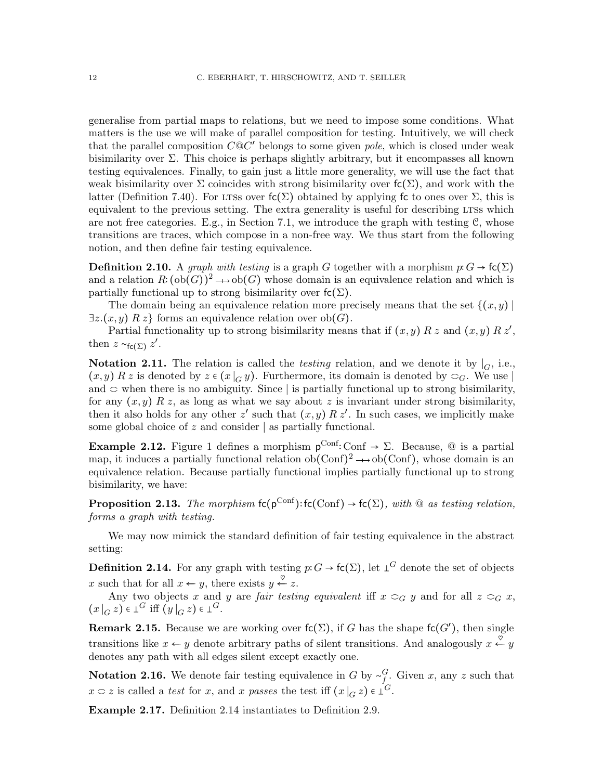generalise from partial maps to relations, but we need to impose some conditions. What matters is the use we will make of parallel composition for testing. Intuitively, we will check that the parallel composition  $C@C'$  belongs to some given pole, which is closed under weak bisimilarity over  $\Sigma$ . This choice is perhaps slightly arbitrary, but it encompasses all known testing equivalences. Finally, to gain just a little more generality, we will use the fact that weak bisimilarity over  $\Sigma$  coincides with strong bisimilarity over  $f_c(\Sigma)$ , and work with the latter (Definition [7.40\)](#page-63-2). For LTSs over  $f(c(\Sigma))$  obtained by applying fc to ones over  $\Sigma$ , this is equivalent to the previous setting. The extra generality is useful for describing LTSs which are not free categories. E.g., in Section [7.1,](#page-53-1) we introduce the graph with testing  $C$ , whose transitions are traces, which compose in a non-free way. We thus start from the following notion, and then define fair testing equivalence.

**Definition 2.10.** A graph with testing is a graph G together with a morphism  $p: G \to \mathsf{fc}(\Sigma)$ and a relation  $R: (\text{ob}(G))^2 \longrightarrow \text{ob}(G)$  whose domain is an equivalence relation and which is partially functional up to strong bisimilarity over  $\mathsf{fc}(\Sigma)$ .

The domain being an equivalence relation more precisely means that the set  $\{(x, y) \mid$  $\exists z.(x, y) \; R \; z$  forms an equivalence relation over  $ob(G)$ .

Partial functionality up to strong bisimilarity means that if  $(x, y) R z$  and  $(x, y) R z'$ , then  $z \sim_{\mathsf{fc}(\Sigma)} z'$ .

Notation 2.11. The relation is called the *testing* relation, and we denote it by  $\vert_G$ , i.e.,  $(x, y)$  R z is denoted by  $z \in (x \mid_G y)$ . Furthermore, its domain is denoted by  $\subset_G$ . We use and  $\circ$  when there is no ambiguity. Since  $|$  is partially functional up to strong bisimilarity, for any  $(x, y)$  R z, as long as what we say about z is invariant under strong bisimilarity, then it also holds for any other  $z'$  such that  $(x, y) R z'$ . In such cases, we implicitly make some global choice of z and consider | as partially functional.

**Example 2.12.** Figure [1](#page-10-1) defines a morphism  $p^{\text{Conf}}$ : Conf  $\rightarrow \Sigma$ . Because, @ is a partial map, it induces a partially functional relation  $ob(Conf)^2 \rightarrow ob(Conf)$ , whose domain is an equivalence relation. Because partially functional implies partially functional up to strong bisimilarity, we have:

**Proposition 2.13.** The morphism  $fc(p^{Conf})$ :  $fc(Conf) \rightarrow fc(\Sigma)$ , with @ as testing relation, forms a graph with testing.

We may now mimick the standard definition of fair testing equivalence in the abstract setting:

<span id="page-11-0"></span>**Definition 2.14.** For any graph with testing  $p: G \to \mathsf{fc}(\Sigma)$ , let  $\bot^G$  denote the set of objects x such that for all  $x \leftarrow y$ , there exists  $y \stackrel{\heartsuit}{\leftarrow} z$ .

Any two objects x and y are fair testing equivalent iff  $x \subset_G y$  and for all  $z \subset_G x$ ,  $(x|_G z) \in \perp^G$  iff  $(y|_G z) \in \perp^G$ .

**Remark 2.15.** Because we are working over  $\mathsf{fc}(\Sigma)$ , if G has the shape  $\mathsf{fc}(G')$ , then single transitions like  $x \leftarrow y$  denote arbitrary paths of silent transitions. And analogously  $x \stackrel{\heartsuit}{\leftarrow} y$ denotes any path with all edges silent except exactly one.

**Notation 2.16.** We denote fair testing equivalence in G by  $\sim_f^G$ . Given x, any z such that  $x \circ z$  is called a *test* for x, and x passes the test iff  $(x|_G z) \in \mathcal{L}^G$ .

Example 2.17. Definition [2.14](#page-11-0) instantiates to Definition [2.9.](#page-10-2)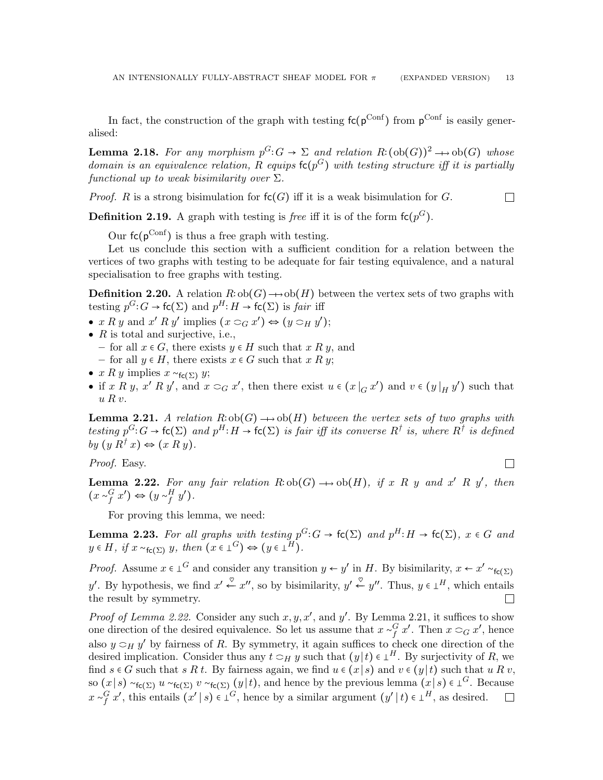In fact, the construction of the graph with testing  $fc(p^{Conf})$  from  $p^{Conf}$  is easily generalised:

**Lemma 2.18.** For any morphism  $p^G: G \to \Sigma$  and relation  $R: (\text{ob}(G))^2 \to \text{ob}(G)$  whose domain is an equivalence relation, R equips  $\mathsf{fc}(p^G)$  with testing structure iff it is partially functional up to weak bisimilarity over  $\Sigma$ .

*Proof.* R is a strong bisimulation for  $f(c)$  iff it is a weak bisimulation for G.  $\Box$ 

**Definition 2.19.** A graph with testing is *free* iff it is of the form  $\mathsf{fc}(p^G)$ .

Our  $fc(p^{\text{Conf}})$  is thus a free graph with testing.

Let us conclude this section with a sufficient condition for a relation between the vertices of two graphs with testing to be adequate for fair testing equivalence, and a natural specialisation to free graphs with testing.

<span id="page-12-2"></span>**Definition 2.20.** A relation  $R$ :  $ob(G)$  →  $ob(H)$  between the vertex sets of two graphs with testing  $p^G$ :  $G \to \mathsf{fc}(\Sigma)$  and  $p^H$ :  $H \to \mathsf{fc}(\Sigma)$  is fair iff

- $x R y$  and  $x' R y'$  implies  $(x \supset_G x') \Leftrightarrow (y \supset_H y')$ ;
- $R$  is total and surjective, i.e.,
	- for all  $x \in G$ , there exists  $y \in H$  such that  $x R y$ , and
	- for all  $y \in H$ , there exists  $x \in G$  such that  $x R y$ ;
- $x R y$  implies  $x \sim_{f_{\mathsf{C}}(\Sigma)} y$ ;
- if x R y, x' R y', and  $x \subset_G x'$ , then there exist  $u \in (x \mid_G x')$  and  $v \in (y \mid_H y')$  such that  $u R v$ .

<span id="page-12-1"></span>**Lemma 2.21.** A relation  $R:ob(G) \longrightarrow ob(H)$  between the vertex sets of two graphs with testing  $p^G: G \to \mathsf{fc}(\Sigma)$  and  $p^H: H \to \mathsf{fc}(\Sigma)$  is fair iff its converse  $R^{\dagger}$  is, where  $R^{\dagger}$  is defined by  $(y R^{\dagger} x) \Leftrightarrow (x R y)$ .

Proof. Easy.

 $\Box$ 

<span id="page-12-0"></span>**Lemma 2.22.** For any fair relation  $R:ob(G) \longrightarrow ob(H)$ , if x R y and x' R y', then  $(x \sim_f^G x') \Leftrightarrow (y \sim_f^H y').$ 

For proving this lemma, we need:

**Lemma 2.23.** For all graphs with testing  $p^G: G \to \mathsf{fc}(\Sigma)$  and  $p^H: H \to \mathsf{fc}(\Sigma)$ ,  $x \in G$  and  $y \in H$ , if  $x \sim_{\mathsf{fc}(\Sigma)} y$ , then  $(x \in \bot^G) \Leftrightarrow (y \in \bot^H)$ .

*Proof.* Assume  $x \in L^G$  and consider any transition  $y \leftarrow y'$  in H. By bisimilarity,  $x \leftarrow x' \sim_{f_c(\Sigma)}$ y'. By hypothesis, we find  $x' \stackrel{\heartsuit}{\leftarrow} x''$ , so by bisimilarity,  $y' \stackrel{\heartsuit}{\leftarrow} y''$ . Thus,  $y \in \perp^H$ , which entails the result by symmetry.  $\Box$ 

*Proof of Lemma [2.22.](#page-12-0)* Consider any such  $x, y, x'$ , and  $y'$ . By Lemma [2.21,](#page-12-1) it suffices to show one direction of the desired equivalence. So let us assume that  $x \sim_f^G x'$ . Then  $x \subset_G x'$ , hence also  $y \supset_H y'$  by fairness of R. By symmetry, it again suffices to check one direction of the desired implication. Consider thus any  $t \subset_H y$  such that  $(y|t) \in L^H$ . By surjectivity of R, we find  $s \in G$  such that  $s R t$ . By fairness again, we find  $u \in (x \mid s)$  and  $v \in (y \mid t)$  such that  $u R v$ , so  $(x|s) \sim_{\mathsf{fc}(\Sigma)} u \sim_{\mathsf{fc}(\Sigma)} (y|t)$ , and hence by the previous lemma  $(x|s) \in \bot^G$ . Because  $x \sim_f^G x'$ , this entails  $(x' | s) \in \perp^G$ , hence by a similar argument  $(y' | t) \in \perp^H$ , as desired.  $\Box$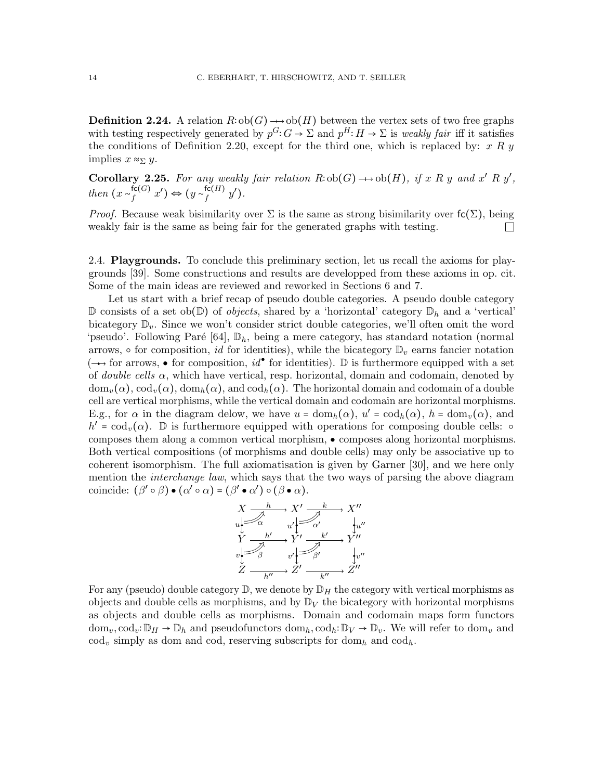**Definition 2.24.** A relation  $R$ ∶ ob( $G$ ) → ob( $H$ ) between the vertex sets of two free graphs with testing respectively generated by  $p^G: G \to \Sigma$  and  $p^H: H \to \Sigma$  is weakly fair iff it satisfies the conditions of Definition [2.20,](#page-12-2) except for the third one, which is replaced by:  $x R y$ implies  $x \approx_{\Sigma} y$ .

<span id="page-13-1"></span>Corollary 2.25. For any weakly fair relation  $R:ob(G) \longrightarrow ob(H)$ , if x R y and x' R y', then  $(x \sim_f^{\mathsf{fc}(G)})$  $f^{(\mathsf{fc}(G)}_f x') \Leftrightarrow (y \sim_f^{\mathsf{fc}(H)})$  $_{f}^{\mathsf{tc}(H)}$   $y^{\prime}).$ 

*Proof.* Because weak bisimilarity over  $\Sigma$  is the same as strong bisimilarity over  $f(c)\Sigma$ , being weakly fair is the same as being fair for the generated graphs with testing.  $\Box$ 

<span id="page-13-0"></span>2.4. Playgrounds. To conclude this preliminary section, let us recall the axioms for playgrounds [\[39\]](#page-66-3). Some constructions and results are developped from these axioms in op. cit. Some of the main ideas are reviewed and reworked in Sections [6](#page-46-0) and [7.](#page-53-0)

Let us start with a brief recap of pseudo double categories. A pseudo double category  $\mathbb D$  consists of a set ob $(\mathbb D)$  of *objects*, shared by a 'horizontal' category  $\mathbb D_h$  and a 'vertical' bicategory  $\mathbb{D}_v$ . Since we won't consider strict double categories, we'll often omit the word 'pseudo'. Following Paré [\[64\]](#page-68-11),  $\mathbb{D}_h$ , being a mere category, has standard notation (normal arrows,  $\circ$  for composition, *id* for identities), while the bicategory  $\mathbb{D}_v$  earns fancier notation  $(\rightarrow)$  for arrows,  $\bullet$  for composition,  $id^{\bullet}$  for identities).  $\mathbb D$  is furthermore equipped with a set of *double cells*  $\alpha$ , which have vertical, resp. horizontal, domain and codomain, denoted by  $\text{dom}_v(\alpha)$ ,  $\text{cod}_v(\alpha)$ ,  $\text{dom}_h(\alpha)$ , and  $\text{cod}_h(\alpha)$ . The horizontal domain and codomain of a double cell are vertical morphisms, while the vertical domain and codomain are horizontal morphisms. E.g., for  $\alpha$  in the diagram delow, we have  $u = \text{dom}_h(\alpha)$ ,  $u' = \text{cod}_h(\alpha)$ ,  $h = \text{dom}_v(\alpha)$ , and  $h' = cod_v(\alpha)$ . D is furthermore equipped with operations for composing double cells:  $\circ$ composes them along a common vertical morphism, ● composes along horizontal morphisms. Both vertical compositions (of morphisms and double cells) may only be associative up to coherent isomorphism. The full axiomatisation is given by Garner [\[30\]](#page-66-16), and we here only mention the *interchange law*, which says that the two ways of parsing the above diagram coincide:  $(\beta' \circ \beta) \bullet (\alpha' \circ \alpha) = (\beta' \bullet \alpha') \circ (\beta \bullet \alpha).$ 



For any (pseudo) double category  $\mathbb{D}$ , we denote by  $\mathbb{D}_H$  the category with vertical morphisms as objects and double cells as morphisms, and by  $\mathbb{D}_V$  the bicategory with horizontal morphisms as objects and double cells as morphisms. Domain and codomain maps form functors  $dom_v, cod_v: \mathbb{D}_H \to \mathbb{D}_h$  and pseudofunctors  $dom_h, cod_h: \mathbb{D}_V \to \mathbb{D}_v$ . We will refer to  $dom_v$  and  $\text{cod}_v$  simply as dom and cod, reserving subscripts for  $\text{dom}_h$  and  $\text{cod}_h$ .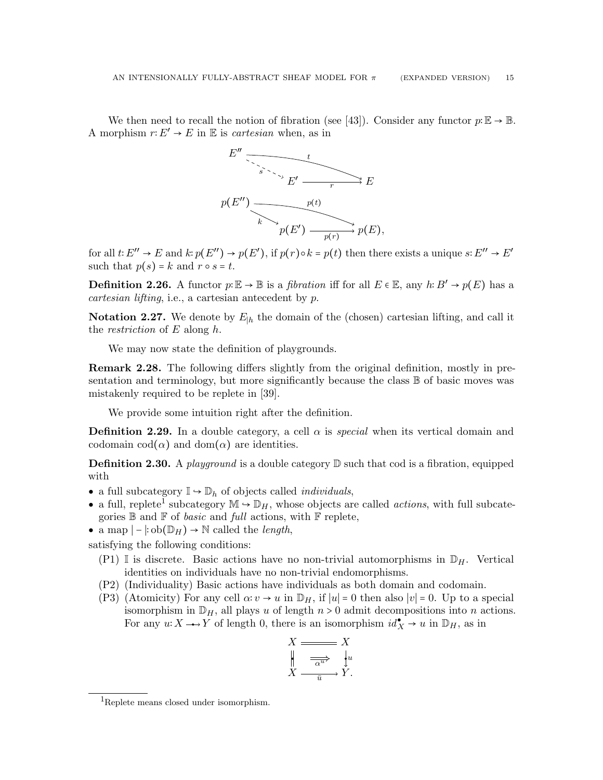We then need to recall the notion of fibration (see [\[43\]](#page-67-4)). Consider any functor  $p:\mathbb{E} \to \mathbb{B}$ . A morphism  $r: E' \to E$  in  $E$  is *cartesian* when, as in



for all  $t: E'' \to E$  and  $k: p(E'') \to p(E')$ , if  $p(r) \circ k = p(t)$  then there exists a unique  $s: E'' \to E'$ such that  $p(s) = k$  and  $r \circ s = t$ .

**Definition 2.26.** A functor  $p:\mathbb{E} \to \mathbb{B}$  is a *fibration* iff for all  $E \in \mathbb{E}$ , any  $h: B' \to p(E)$  has a cartesian lifting, i.e., a cartesian antecedent by p.

**Notation 2.27.** We denote by  $E_{h}$  the domain of the (chosen) cartesian lifting, and call it the *restriction* of  $E$  along  $h$ .

We may now state the definition of playgrounds.

**Remark 2.28.** The following differs slightly from the original definition, mostly in presentation and terminology, but more significantly because the class  $\mathbb B$  of basic moves was mistakenly required to be replete in [\[39\]](#page-66-3).

We provide some intuition right after the definition.

**Definition 2.29.** In a double category, a cell  $\alpha$  is *special* when its vertical domain and codomain  $\text{cod}(\alpha)$  and  $\text{dom}(\alpha)$  are identities.

**Definition 2.30.** A *playground* is a double category  $\mathbb{D}$  such that cod is a fibration, equipped with

- a full subcategory  $\mathbb{I} \rightarrow \mathbb{D}_h$  of objects called *individuals*,
- a full, replete<sup>[1](#page-14-0)</sup> subcategory  $\mathbb{M} \to \mathbb{D}_H$ , whose objects are called *actions*, with full subcategories  $\mathbb B$  and  $\mathbb F$  of *basic* and *full* actions, with  $\mathbb F$  replete,
- a map  $|-\cosh(D_H) \to \mathbb{N}$  called the *length*,

satisfying the following conditions:

- (P1) I is discrete. Basic actions have no non-trivial automorphisms in  $\mathbb{D}_H$ . Vertical identities on individuals have no non-trivial endomorphisms.
- <span id="page-14-2"></span>(P2) (Individuality) Basic actions have individuals as both domain and codomain.
- <span id="page-14-1"></span>(P3) (Atomicity) For any cell  $\alpha: v \to u$  in  $\mathbb{D}_H$ , if  $|u| = 0$  then also  $|v| = 0$ . Up to a special isomorphism in  $\mathbb{D}_H$ , all plays u of length  $n > 0$  admit decompositions into n actions. For any  $u: X \longrightarrow Y$  of length 0, there is an isomorphism  $id_X^{\bullet} \to u$  in  $\mathbb{D}_H$ , as in



<span id="page-14-0"></span><sup>1</sup>Replete means closed under isomorphism.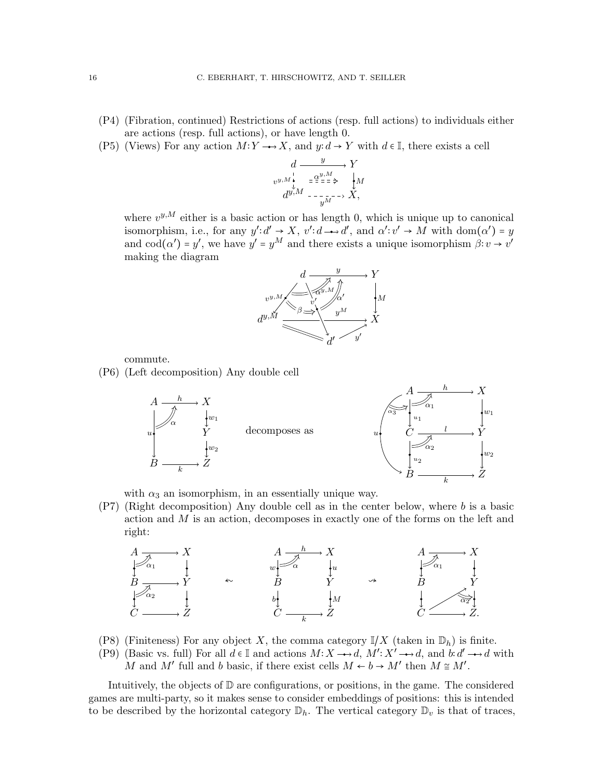- (P4) (Fibration, continued) Restrictions of actions (resp. full actions) to individuals either are actions (resp. full actions), or have length 0.
- <span id="page-15-0"></span>(P5) (Views) For any action  $M: Y \longrightarrow X$ , and  $y: d \to Y$  with  $d \in \mathbb{I}$ , there exists a cell

$$
d \xrightarrow{y} Y
$$
  
\n $v^{y,M} \xleftarrow{\downarrow}_{\mathcal{L}} = \frac{\alpha^{y,M}}{\alpha^{y,M}} \xleftarrow{\downarrow} M$   
\n $d^{y,M} \xleftarrow{\downarrow} \frac{\gamma}{\alpha^{y,M}} \xrightarrow{\downarrow} X,$ 

where  $v^{y,M}$  either is a basic action or has length 0, which is unique up to canonical isomorphism, i.e., for any  $y': d' \to X$ ,  $v': d \to d'$ , and  $\alpha': v' \to M$  with  $dom(\alpha') = y$ and  $\text{cod}(\alpha') = y'$ , we have  $y' = y^M$  and there exists a unique isomorphism  $\beta: v \to v'$ making the diagram



commute.

<span id="page-15-2"></span>(P6) (Left decomposition) Any double cell



with  $\alpha_3$  an isomorphism, in an essentially unique way.

<span id="page-15-3"></span>(P7) (Right decomposition) Any double cell as in the center below, where b is a basic action and M is an action, decomposes in exactly one of the forms on the left and right:



- (P8) (Finiteness) For any object X, the comma category  $\mathbb{I}/X$  (taken in  $\mathbb{D}_h$ ) is finite.
- <span id="page-15-1"></span>(P9) (Basic vs. full) For all  $d \in \mathbb{I}$  and actions  $M: X \rightarrow d$ ,  $M': X' \rightarrow d$ , and  $b: d' \rightarrow d$  with M and M' full and b basic, if there exist cells  $M \leftarrow b \rightarrow M'$  then  $M \cong M'$ .

Intuitively, the objects of  $D$  are configurations, or positions, in the game. The considered games are multi-party, so it makes sense to consider embeddings of positions: this is intended to be described by the horizontal category  $\mathbb{D}_h$ . The vertical category  $\mathbb{D}_v$  is that of traces,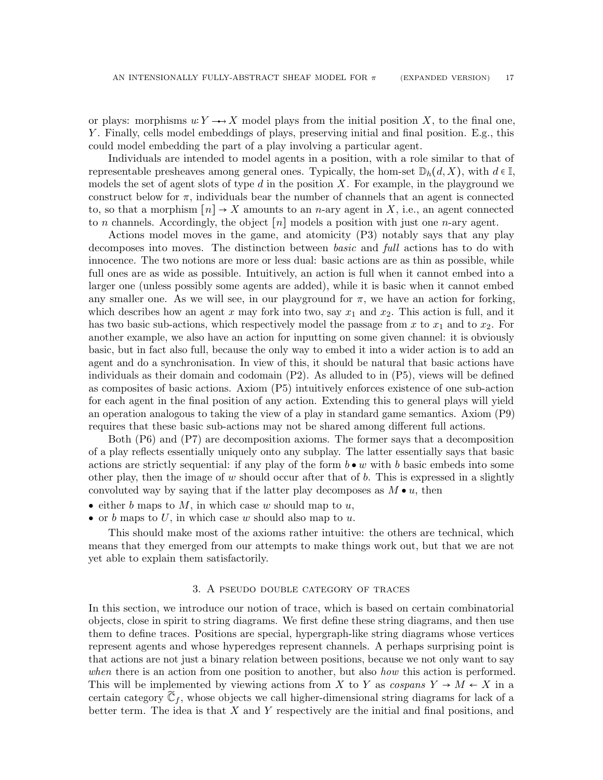or plays: morphisms  $u: Y \longrightarrow X$  model plays from the initial position X, to the final one, Y . Finally, cells model embeddings of plays, preserving initial and final position. E.g., this could model embedding the part of a play involving a particular agent.

Individuals are intended to model agents in a position, with a role similar to that of representable presheaves among general ones. Typically, the hom-set  $\mathbb{D}_h(d, X)$ , with  $d \in \mathbb{I}$ , models the set of agent slots of type  $d$  in the position  $X$ . For example, in the playground we construct below for  $\pi$ , individuals bear the number of channels that an agent is connected to, so that a morphism  $[n] \rightarrow X$  amounts to an *n*-ary agent in X, i.e., an agent connected to *n* channels. Accordingly, the object  $[n]$  models a position with just one *n*-ary agent.

Actions model moves in the game, and atomicity [\(P3\)](#page-14-1) notably says that any play decomposes into moves. The distinction between basic and full actions has to do with innocence. The two notions are more or less dual: basic actions are as thin as possible, while full ones are as wide as possible. Intuitively, an action is full when it cannot embed into a larger one (unless possibly some agents are added), while it is basic when it cannot embed any smaller one. As we will see, in our playground for  $\pi$ , we have an action for forking, which describes how an agent x may fork into two, say  $x_1$  and  $x_2$ . This action is full, and it has two basic sub-actions, which respectively model the passage from x to  $x_1$  and to  $x_2$ . For another example, we also have an action for inputting on some given channel: it is obviously basic, but in fact also full, because the only way to embed it into a wider action is to add an agent and do a synchronisation. In view of this, it should be natural that basic actions have individuals as their domain and codomain [\(P2\).](#page-14-2) As alluded to in [\(P5\),](#page-15-0) views will be defined as composites of basic actions. Axiom [\(P5\)](#page-15-0) intuitively enforces existence of one sub-action for each agent in the final position of any action. Extending this to general plays will yield an operation analogous to taking the view of a play in standard game semantics. Axiom [\(P9\)](#page-15-1) requires that these basic sub-actions may not be shared among different full actions.

Both [\(P6\)](#page-15-2) and [\(P7\)](#page-15-3) are decomposition axioms. The former says that a decomposition of a play reflects essentially uniquely onto any subplay. The latter essentially says that basic actions are strictly sequential: if any play of the form  $b \bullet w$  with b basic embeds into some other play, then the image of w should occur after that of b. This is expressed in a slightly convoluted way by saying that if the latter play decomposes as  $M \bullet u$ , then

- either b maps to M, in which case w should map to  $u$ ,
- or b maps to U, in which case w should also map to  $u$ .

This should make most of the axioms rather intuitive: the others are technical, which means that they emerged from our attempts to make things work out, but that we are not yet able to explain them satisfactorily.

#### 3. A pseudo double category of traces

<span id="page-16-0"></span>In this section, we introduce our notion of trace, which is based on certain combinatorial objects, close in spirit to string diagrams. We first define these string diagrams, and then use them to define traces. Positions are special, hypergraph-like string diagrams whose vertices represent agents and whose hyperedges represent channels. A perhaps surprising point is that actions are not just a binary relation between positions, because we not only want to say when there is an action from one position to another, but also how this action is performed. This will be implemented by viewing actions from X to Y as cospans  $Y \to M \leftarrow X$  in a certain category  $\tilde{\mathbb{C}}_f$ , whose objects we call higher-dimensional string diagrams for lack of a better term. The idea is that  $X$  and  $Y$  respectively are the initial and final positions, and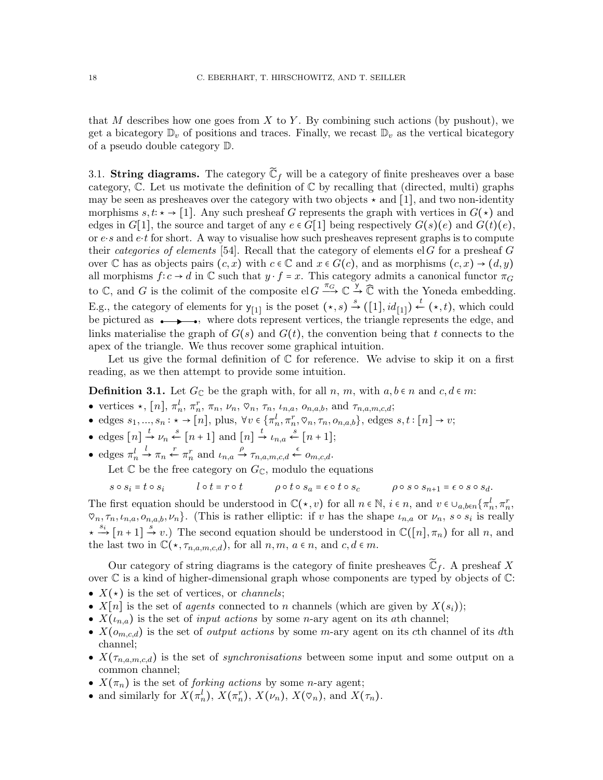that M describes how one goes from X to Y. By combining such actions (by pushout), we get a bicategory  $\mathbb{D}_v$  of positions and traces. Finally, we recast  $\mathbb{D}_v$  as the vertical bicategory of a pseudo double category D.

<span id="page-17-0"></span>3.1. String diagrams. The category  $\widetilde{\mathbb{C}}_f$  will be a category of finite presheaves over a base category,  $\mathbb C$ . Let us motivate the definition of  $\mathbb C$  by recalling that (directed, multi) graphs may be seen as presheaves over the category with two objects  $\star$  and [1], and two non-identity morphisms  $s, t: \star \to [1]$ . Any such presheaf G represents the graph with vertices in  $G(\star)$  and edges in  $G[1]$ , the source and target of any  $e \in G[1]$  being respectively  $G(s)(e)$  and  $G(t)(e)$ , or  $e \cdot s$  and  $e \cdot t$  for short. A way to visualise how such presheaves represent graphs is to compute their *categories of elements* [\[54\]](#page-67-3). Recall that the category of elements elG for a presheaf G over C has as objects pairs  $(c, x)$  with  $c \in \mathbb{C}$  and  $x \in G(c)$ , and as morphisms  $(c, x) \rightarrow (d, y)$ all morphisms  $f: c \to d$  in C such that  $y \cdot f = x$ . This category admits a canonical functor  $\pi_G$ to  $\mathbb C$ , and G is the colimit of the composite el  $G \xrightarrow{\pi_G} \mathbb C \xrightarrow{y} \widehat{\mathbb C}$  with the Yoneda embedding. E.g., the category of elements for  $y_{1}$  is the poset  $(\star, s) \stackrel{s}{\rightarrow} ([1], id_{1}] \stackrel{t}{\leftarrow} (\star, t)$ , which could be pictured as  $\longrightarrow$ , where dots represent vertices, the triangle represents the edge, and links materialise the graph of  $G(s)$  and  $G(t)$ , the convention being that t connects to the apex of the triangle. We thus recover some graphical intuition.

Let us give the formal definition of  $\mathbb C$  for reference. We advise to skip it on a first reading, as we then attempt to provide some intuition.

**Definition 3.1.** Let  $G_{\mathbb{C}}$  be the graph with, for all  $n, m$ , with  $a, b \in n$  and  $c, d \in m$ :

- vertices  $\star$ ,  $[n]$ ,  $\pi_n^l$ ,  $\pi_n^r$ ,  $\pi_n$ ,  $\nu_n$ ,  $\heartsuit_n$ ,  $\tau_n$ ,  $\iota_{n,a}$ ,  $o_{n,a,b}$ , and  $\tau_{n,a,m,c,d}$ ;
- edges  $s_1, ..., s_n : \star \to [n]$ , plus,  $\forall v \in {\pi_n^l, \pi_n^r, \heartsuit_n, \tau_n, o_{n,a,b}}$ , edges  $s, t : [n] \to v$ ;
- edges  $[n] \stackrel{t}{\rightarrow} \nu_n \stackrel{s}{\leftarrow} [n+1]$  and  $[n] \stackrel{t}{\rightarrow} \nu_{n,a} \stackrel{s}{\leftarrow} [n+1]$ ;
- edges  $\pi_n^l$  $\stackrel{l}{\rightarrow} \pi_n \stackrel{r}{\leftarrow} \pi_n^r$  and  $\stackrel{l}{\leftarrow} \eta_{n,a,m,c,d} \stackrel{\epsilon}{\leftarrow} o_{m,c,d}.$

Let  $\mathbb C$  be the free category on  $G_{\mathbb C}$ , modulo the equations

 $s \circ s_i = t \circ s_i$   $l \circ t = r \circ t$   $\rho \circ t \circ s_a = \epsilon \circ t \circ s_c$   $\rho \circ s \circ s_{n+1} = \epsilon \circ s \circ s_d$ .

The first equation should be understood in  $\mathbb{C}(*,v)$  for all  $n \in \mathbb{N}$ ,  $i \in n$ , and  $v \in \bigcup_{a,b \in n} {\{\pi_n^l,\pi_n^r,\pi_m^r\}}$  $\mathcal{O}_n, \tau_n, \iota_{n,a}, o_{n,a,b}, \nu_n$ . (This is rather elliptic: if v has the shape  $\iota_{n,a}$  or  $\nu_n$ ,  $s \circ s_i$  is really  $\star \stackrel{s_i}{\to} [n+1] \stackrel{s}{\to} v$ .) The second equation should be understood in  $\mathbb{C}([n], \pi_n)$  for all n, and the last two in  $\mathbb{C}(*, \tau_{n,a,m,c,d})$ , for all  $n, m, a \in n$ , and  $c, d \in m$ .

Our category of string diagrams is the category of finite presheaves  $\tilde{\mathbb{C}}_f$ . A presheaf X over C is a kind of higher-dimensional graph whose components are typed by objects of C:

- $X(*)$  is the set of vertices, or *channels*;
- $X[n]$  is the set of *agents* connected to n channels (which are given by  $X(s_i)$ );
- $X(\iota_{n,a})$  is the set of *input actions* by some *n*-ary agent on its *ath* channel;
- $X(o_{m,c,d})$  is the set of *output actions* by some m-ary agent on its cth channel of its dth channel;
- $X(\tau_{n,a,m,c,d})$  is the set of *synchronisations* between some input and some output on a common channel;
- $X(\pi_n)$  is the set of *forking actions* by some *n*-ary agent;
- and similarly for  $X(\pi_n^l)$ ,  $X(\pi_n^r)$ ,  $X(\nu_n)$ ,  $X(\varphi_n)$ , and  $X(\tau_n)$ .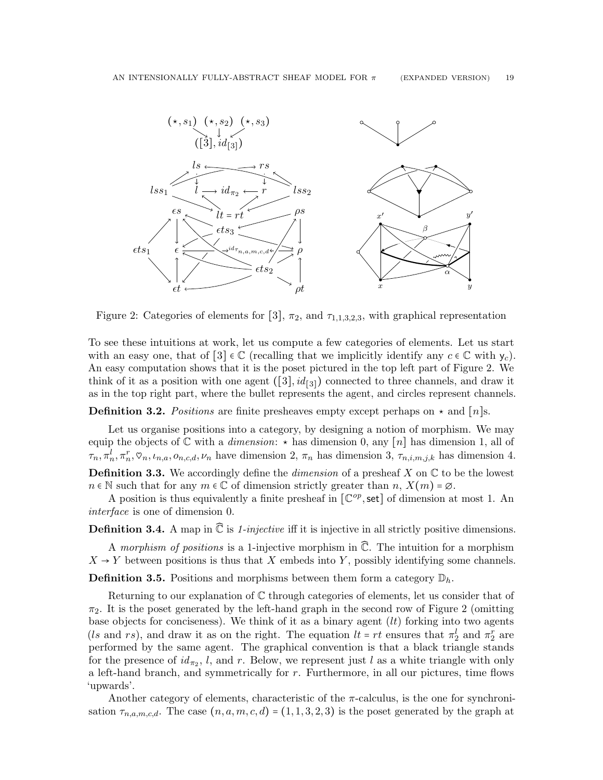

<span id="page-18-0"></span>Figure 2: Categories of elements for [3],  $\pi_2$ , and  $\tau_{1,1,3,2,3}$ , with graphical representation

To see these intuitions at work, let us compute a few categories of elements. Let us start with an easy one, that of  $[3] \in \mathbb{C}$  (recalling that we implicitly identify any  $c \in \mathbb{C}$  with  $y_c$ ). An easy computation shows that it is the poset pictured in the top left part of Figure [2.](#page-18-0) We think of it as a position with one agent  $([3], id_{[3]})$  connected to three channels, and draw it as in the top right part, where the bullet represents the agent, and circles represent channels.

**Definition 3.2.** Positions are finite presheaves empty except perhaps on  $\star$  and [n]s.

Let us organise positions into a category, by designing a notion of morphism. We may equip the objects of  $\mathbb C$  with a *dimension*:  $\star$  has dimension 0, any [n] has dimension 1, all of  $\tau_n, \pi_n^l, \pi_n^r, \varphi_n, \iota_{n,a}, o_{n,c,d}, \nu_n$  have dimension 2,  $\pi_n$  has dimension 3,  $\tau_{n,i,m,j,k}$  has dimension 4. **Definition 3.3.** We accordingly define the *dimension* of a presheaf X on  $\mathbb C$  to be the lowest  $n \in \mathbb{N}$  such that for any  $m \in \mathbb{C}$  of dimension strictly greater than  $n, X(m) = \emptyset$ .

A position is thus equivalently a finite presheaf in  $[\mathbb{C}^{op}, \text{set}]$  of dimension at most 1. An interface is one of dimension 0.

**Definition 3.4.** A map in  $\widehat{\mathbb{C}}$  is 1-injective iff it is injective in all strictly positive dimensions.

A morphism of positions is a 1-injective morphism in  $\widehat{\mathbb{C}}$ . The intuition for a morphism  $X \rightarrow Y$  between positions is thus that X embeds into Y, possibly identifying some channels.

**Definition 3.5.** Positions and morphisms between them form a category  $\mathbb{D}_h$ .

Returning to our explanation of  $\mathbb C$  through categories of elements, let us consider that of  $\pi_2$ . It is the poset generated by the left-hand graph in the second row of Figure [2](#page-18-0) (omitting base objects for conciseness). We think of it as a binary agent  $(lt)$  forking into two agents (*ls* and rs), and draw it as on the right. The equation  $lt = rt$  ensures that  $\pi_2^l$  and  $\pi_2^r$  are performed by the same agent. The graphical convention is that a black triangle stands for the presence of  $id_{\pi_2}$ , l, and r. Below, we represent just l as a white triangle with only a left-hand branch, and symmetrically for  $r$ . Furthermore, in all our pictures, time flows 'upwards'.

Another category of elements, characteristic of the  $\pi$ -calculus, is the one for synchronisation  $\tau_{n,a,m,c,d}$ . The case  $(n, a, m, c, d) = (1, 1, 3, 2, 3)$  is the poset generated by the graph at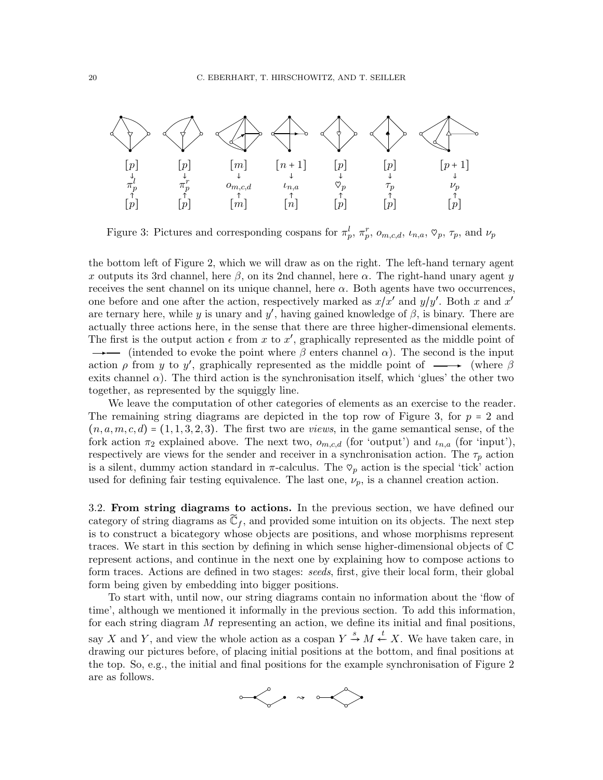

<span id="page-19-1"></span>Figure 3: Pictures and corresponding cospans for  $\pi_p^l$ ,  $\pi_p^r$ ,  $o_{m,c,d}$ ,  $u_{n,a}$ ,  $\heartsuit_p$ ,  $\tau_p$ , and  $\nu_p$ 

the bottom left of Figure [2,](#page-18-0) which we will draw as on the right. The left-hand ternary agent x outputs its 3rd channel, here  $\beta$ , on its 2nd channel, here  $\alpha$ . The right-hand unary agent y receives the sent channel on its unique channel, here  $\alpha$ . Both agents have two occurrences, one before and one after the action, respectively marked as  $x/x'$  and  $y/y'$ . Both x and x' are ternary here, while y is unary and y', having gained knowledge of  $\beta$ , is binary. There are actually three actions here, in the sense that there are three higher-dimensional elements. The first is the output action  $\epsilon$  from x to x', graphically represented as the middle point of  $\rightarrow$  (intended to evoke the point where  $\beta$  enters channel  $\alpha$ ). The second is the input action  $\rho$  from y to y', graphically represented as the middle point of  $\longrightarrow$  (where  $\beta$ exits channel  $\alpha$ ). The third action is the synchronisation itself, which 'glues' the other two together, as represented by the squiggly line.

We leave the computation of other categories of elements as an exercise to the reader. The remaining string diagrams are depicted in the top row of Figure [3,](#page-19-1) for  $p = 2$  and  $(n, a, m, c, d) = (1, 1, 3, 2, 3).$  The first two are *views*, in the game semantical sense, of the fork action  $\pi_2$  explained above. The next two,  $o_{m,c,d}$  (for 'output') and  $l_{n,a}$  (for 'input'), respectively are views for the sender and receiver in a synchronisation action. The  $\tau_p$  action is a silent, dummy action standard in  $\pi$ -calculus. The  $\varphi_p$  action is the special 'tick' action used for defining fair testing equivalence. The last one,  $\nu_p$ , is a channel creation action.

<span id="page-19-0"></span>3.2. From string diagrams to actions. In the previous section, we have defined our category of string diagrams as  $\mathbb{C}_f$ , and provided some intuition on its objects. The next step is to construct a bicategory whose objects are positions, and whose morphisms represent traces. We start in this section by defining in which sense higher-dimensional objects of C represent actions, and continue in the next one by explaining how to compose actions to form traces. Actions are defined in two stages: seeds, first, give their local form, their global form being given by embedding into bigger positions.

To start with, until now, our string diagrams contain no information about the 'flow of time', although we mentioned it informally in the previous section. To add this information, for each string diagram  $M$  representing an action, we define its initial and final positions, say X and Y, and view the whole action as a cospan  $Y \stackrel{s}{\rightarrow} M \stackrel{t}{\leftarrow} X$ . We have taken care, in drawing our pictures before, of placing initial positions at the bottom, and final positions at the top. So, e.g., the initial and final positions for the example synchronisation of Figure [2](#page-18-0) are as follows.

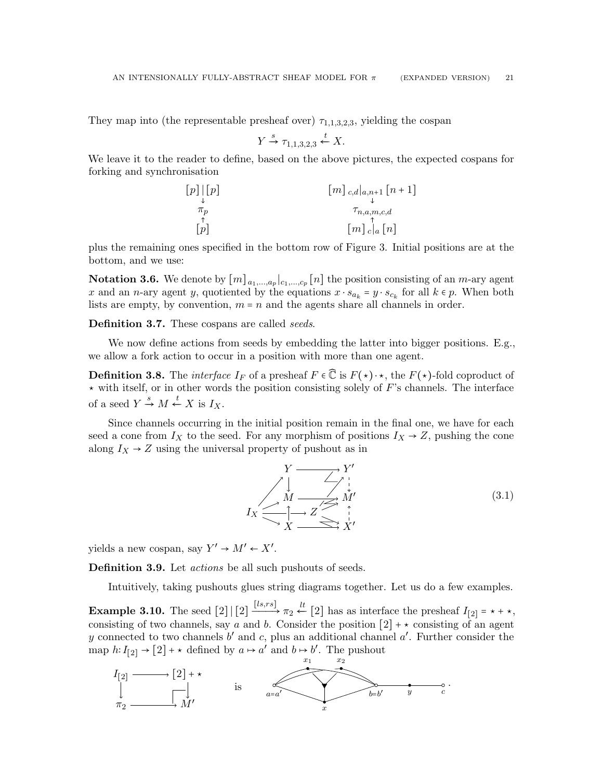They map into (the representable presheaf over)  $\tau_{1,1,3,2,3}$ , yielding the cospan

$$
Y \xrightarrow{s} \tau_{1,1,3,2,3} \xleftarrow{t} X.
$$

We leave it to the reader to define, based on the above pictures, the expected cospans for forking and synchronisation

$$
[p] \begin{bmatrix} p \end{bmatrix}
$$

$$
\begin{matrix} m \\ \downarrow \end{matrix}
$$

$$
\begin{matrix} m \\ \downarrow \end{matrix}
$$

$$
\begin{matrix} \tau_p \\ \tau_{n,a,m,c,d} \\ \hline \end{matrix}
$$

$$
[p]
$$

$$
[m] \begin{matrix} \uparrow \\ c \end{matrix} \begin{bmatrix} n \\ \downarrow \end{bmatrix}
$$

plus the remaining ones specified in the bottom row of Figure [3.](#page-19-1) Initial positions are at the bottom, and we use:

**Notation 3.6.** We denote by  $[m]_{a_1,...,a_p}|_{c_1,...,c_p}[n]$  the position consisting of an *m*-ary agent x and an n-ary agent y, quotiented by the equations  $x \cdot s_{a_k} = y \cdot s_{c_k}$  for all  $k \in p$ . When both lists are empty, by convention,  $m = n$  and the agents share all channels in order.

Definition 3.7. These cospans are called seeds.

We now define actions from seeds by embedding the latter into bigger positions. E.g., we allow a fork action to occur in a position with more than one agent.

**Definition 3.8.** The *interface*  $I_F$  of a presheaf  $F \in \mathbb{C}$  is  $F(\star) \cdot \star$ , the  $F(\star)$ -fold coproduct of  $\star$  with itself, or in other words the position consisting solely of F's channels. The interface of a seed  $Y \xrightarrow{s} M \xleftarrow{t} X$  is  $I_X$ .

Since channels occurring in the initial position remain in the final one, we have for each seed a cone from  $I_X$  to the seed. For any morphism of positions  $I_X \rightarrow Z$ , pushing the cone along  $I_X \rightarrow Z$  using the universal property of pushout as in

<span id="page-20-1"></span>
$$
I_X \xrightarrow{\begin{array}{c}\n Y \longrightarrow Y' \\
 \downarrow \\
 M \longrightarrow Z \longrightarrow M' \\
 \searrow X \longrightarrow Z \longrightarrow X'\n\end{array} (3.1)
$$

yields a new cospan, say  $Y' \to M' \leftarrow X'$ .

Definition 3.9. Let *actions* be all such pushouts of seeds.

Intuitively, taking pushouts glues string diagrams together. Let us do a few examples.

<span id="page-20-0"></span>**Example 3.10.** The seed  $[2] | [2] \xrightarrow{[ls,rs]} \pi_2 \stackrel{lt}{\leftarrow} [2]$  has as interface the presheaf  $I_{[2]} = \star + \star$ , consisting of two channels, say a and b. Consider the position  $[2] + \star$  consisting of an agent y connected to two channels  $b'$  and  $c$ , plus an additional channel  $a'$ . Further consider the map  $h: I_{[2]} \to [2] + \star$  defined by  $a \mapsto a'$  and  $b \mapsto b'$ . The pushout

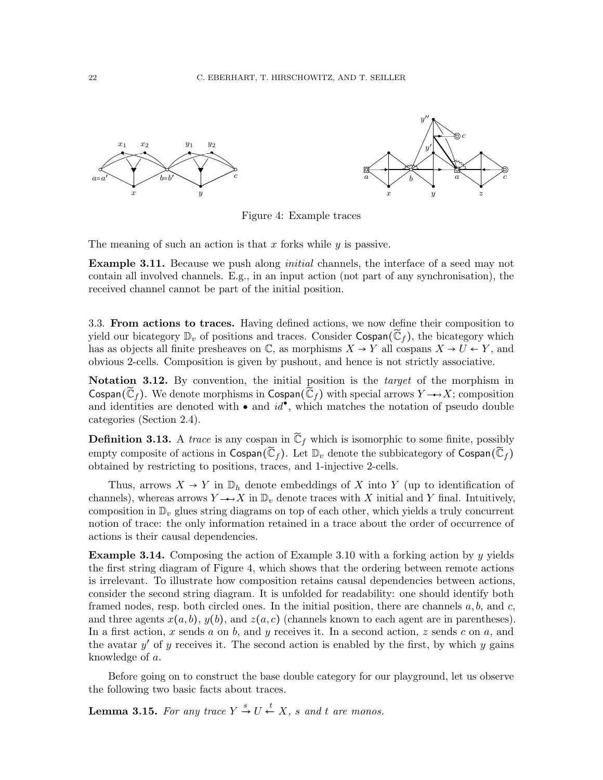



<span id="page-21-1"></span>Figure 4: Example traces

The meaning of such an action is that x forks while  $y$  is passive.

**Example 3.11.** Because we push along *initial* channels, the interface of a seed may not contain all involved channels. E.g., in an input action (not part of any synchronisation), the received channel cannot be part of the initial position.

<span id="page-21-0"></span>3.3. From actions to traces. Having defined actions, we now define their composition to yield our bicategory  $\mathbb{D}_v$  of positions and traces. Consider Cospan( $\tilde{\mathbb{C}}_f$ ), the bicategory which has as objects all finite presheaves on  $\mathbb{C}$ , as morphisms  $X \to Y$  all cospans  $X \to U \leftarrow Y$ , and obvious 2-cells. Composition is given by pushout, and hence is not strictly associative.

Notation 3.12. By convention, the initial position is the *target* of the morphism in Cospan( $\mathbb{C}_f$ ). We denote morphisms in Cospan( $\mathbb{C}_f$ ) with special arrows  $Y \rightarrow X$ ; composition and identities are denoted with  $\bullet$  and  $id^{\bullet}$ , which matches the notation of pseudo double categories (Section [2.4\)](#page-13-0).

**Definition 3.13.** A trace is any cospan in  $\widetilde{\mathbb{C}}_f$  which is isomorphic to some finite, possibly empty composite of actions in  $\mathsf{Cospan}(\tilde{\mathbb{C}}_f)$ . Let  $\mathbb{D}_v$  denote the subbicategory of  $\mathsf{Cospan}(\tilde{\mathbb{C}}_f)$ obtained by restricting to positions, traces, and 1-injective 2-cells.

Thus, arrows  $X \to Y$  in  $\mathbb{D}_h$  denote embeddings of X into Y (up to identification of channels), whereas arrows  $Y \rightarrow X$  in  $\mathbb{D}_v$  denote traces with X initial and Y final. Intuitively, composition in  $\mathbb{D}_v$  glues string diagrams on top of each other, which yields a truly concurrent notion of trace: the only information retained in a trace about the order of occurrence of actions is their causal dependencies.

**Example 3.14.** Composing the action of Example [3.10](#page-20-0) with a forking action by y yields the first string diagram of Figure [4,](#page-21-1) which shows that the ordering between remote actions is irrelevant. To illustrate how composition retains causal dependencies between actions, consider the second string diagram. It is unfolded for readability: one should identify both framed nodes, resp. both circled ones. In the initial position, there are channels  $a, b$ , and  $c$ , and three agents  $x(a, b)$ ,  $y(b)$ , and  $z(a, c)$  (channels known to each agent are in parentheses). In a first action, x sends a on b, and y receives it. In a second action, z sends c on a, and the avatar  $y'$  of  $y$  receives it. The second action is enabled by the first, by which  $y$  gains knowledge of a.

Before going on to construct the base double category for our playground, let us observe the following two basic facts about traces.

<span id="page-21-2"></span>**Lemma 3.15.** For any trace  $Y \stackrel{s}{\rightarrow} U \stackrel{t}{\leftarrow} X$ , s and t are monos.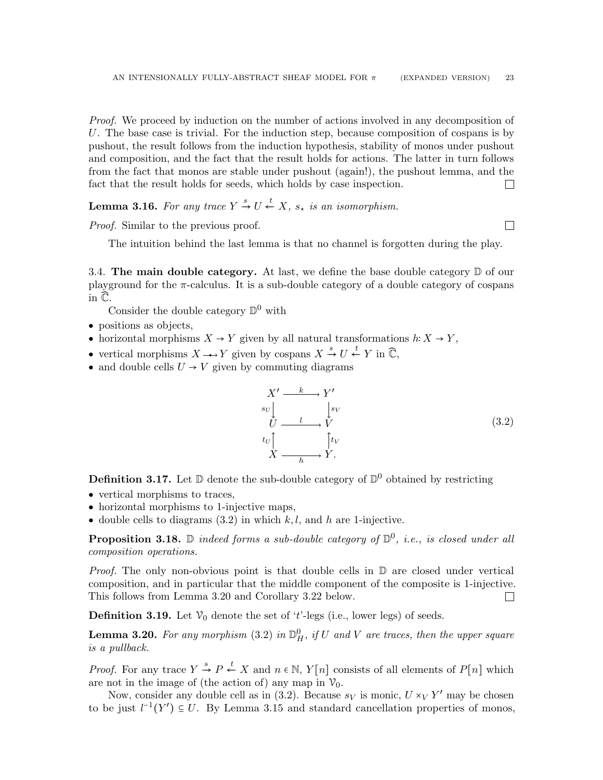Proof. We proceed by induction on the number of actions involved in any decomposition of U. The base case is trivial. For the induction step, because composition of cospans is by pushout, the result follows from the induction hypothesis, stability of monos under pushout and composition, and the fact that the result holds for actions. The latter in turn follows from the fact that monos are stable under pushout (again!), the pushout lemma, and the fact that the result holds for seeds, which holds by case inspection.  $\Box$ 

<span id="page-22-3"></span>**Lemma 3.16.** For any trace  $Y \stackrel{s}{\rightarrow} U \stackrel{t}{\leftarrow} X$ ,  $s_*$  is an isomorphism.

Proof. Similar to the previous proof.

The intuition behind the last lemma is that no channel is forgotten during the play.

<span id="page-22-0"></span>3.4. The main double category. At last, we define the base double category  $\mathbb D$  of our playground for the  $\pi$ -calculus. It is a sub-double category of a double category of cospans in  $\widehat{\mathbb{C}}$ .

Consider the double category  $\mathbb{D}^0$  with

- positions as objects,
- horizontal morphisms  $X \to Y$  given by all natural transformations  $h: X \to Y$ ,
- vertical morphisms  $X \longrightarrow Y$  given by cospans  $X \stackrel{s}{\rightarrow} U \stackrel{t}{\leftarrow} Y$  in  $\widehat{\mathbb{C}}$ ,
- and double cells  $U \rightarrow V$  given by commuting diagrams

<span id="page-22-1"></span>
$$
X' \xrightarrow{k} Y'
$$
  
\n
$$
U \xrightarrow{l} V
$$
  
\n
$$
tU \xrightarrow{l} V
$$
  
\n
$$
X \xrightarrow{f_{tV}} Y.
$$
  
\n(3.2)

**Definition 3.17.** Let  $\mathbb{D}$  denote the sub-double category of  $\mathbb{D}^0$  obtained by restricting

- vertical morphisms to traces,
- horizontal morphisms to 1-injective maps,
- double cells to diagrams  $(3.2)$  in which k, l, and h are 1-injective.

<span id="page-22-5"></span>**Proposition 3.18.**  $\mathbb D$  indeed forms a sub-double category of  $\mathbb D^0$ , i.e., is closed under all composition operations.

*Proof.* The only non-obvious point is that double cells in  $\mathbb D$  are closed under vertical composition, and in particular that the middle component of the composite is 1-injective. This follows from Lemma [3.20](#page-22-2) and Corollary [3.22](#page-23-0) below.  $\Box$ 

<span id="page-22-4"></span>**Definition 3.19.** Let  $\mathcal{V}_0$  denote the set of 't'-legs (i.e., lower legs) of seeds.

<span id="page-22-2"></span>**Lemma 3.20.** For any morphism [\(3.2\)](#page-22-1) in  $\mathbb{D}_{H}^{0}$ , if U and V are traces, then the upper square is a pullback.

*Proof.* For any trace  $Y \stackrel{s}{\rightarrow} P \stackrel{t}{\leftarrow} X$  and  $n \in \mathbb{N}$ ,  $Y[n]$  consists of all elements of  $P[n]$  which are not in the image of (the action of) any map in  $\mathcal{V}_0$ .

Now, consider any double cell as in  $(3.2)$ . Because  $s_V$  is monic,  $U \times_V Y'$  may be chosen to be just  $l^{-1}(Y') \subseteq U$ . By Lemma [3.15](#page-21-2) and standard cancellation properties of monos,

 $\Box$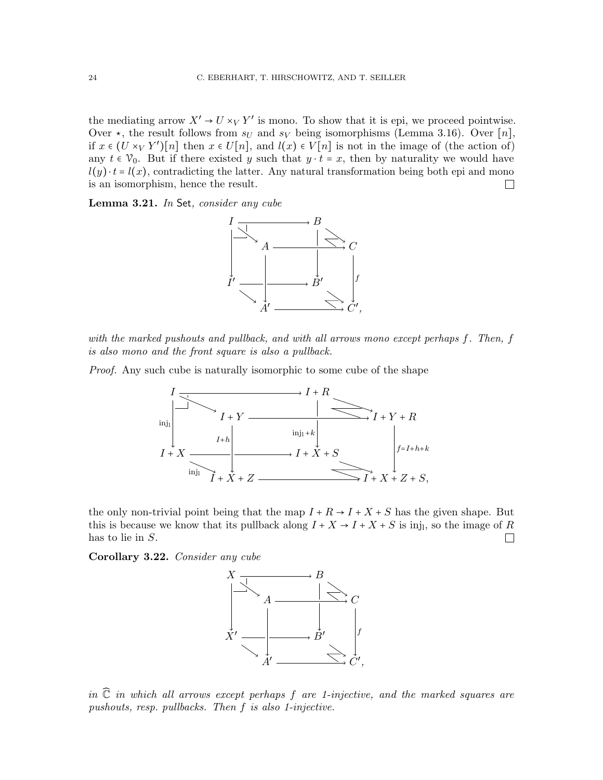the mediating arrow  $X' \to U \times_V Y'$  is mono. To show that it is epi, we proceed pointwise. Over  $\star$ , the result follows from  $s_U$  and  $s_V$  being isomorphisms (Lemma [3.16\)](#page-22-3). Over [n], if  $x \in (U \times_V Y')[n]$  then  $x \in U[n]$ , and  $l(x) \in V[n]$  is not in the image of (the action of) any  $t \in \mathcal{V}_0$ . But if there existed y such that  $y \cdot t = x$ , then by naturality we would have  $l(y) \cdot t = l(x)$ , contradicting the latter. Any natural transformation being both epi and mono is an isomorphism, hence the result.  $\Box$ 

Lemma 3.21. In Set, consider any cube



with the marked pushouts and pullback, and with all arrows mono except perhaps f. Then, f is also mono and the front square is also a pullback.

Proof. Any such cube is naturally isomorphic to some cube of the shape



the only non-trivial point being that the map  $I + R \rightarrow I + X + S$  has the given shape. But this is because we know that its pullback along  $I + X \rightarrow I + X + S$  is inj<sub>l</sub>, so the image of R has to lie in S.  $\Box$ 

<span id="page-23-0"></span>Corollary 3.22. Consider any cube



in  $\hat{\mathbb{C}}$  in which all arrows except perhaps f are 1-injective, and the marked squares are pushouts, resp. pullbacks. Then f is also 1-injective.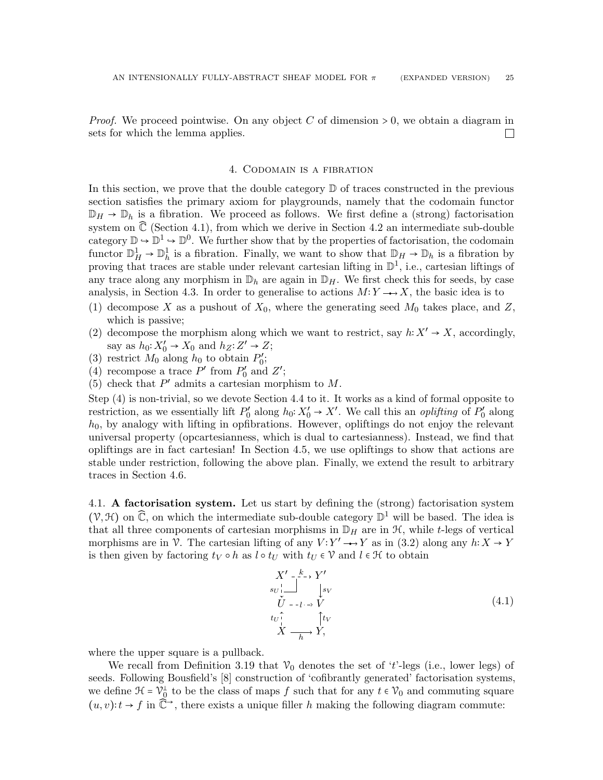*Proof.* We proceed pointwise. On any object C of dimension  $> 0$ , we obtain a diagram in sets for which the lemma applies.  $\overline{\phantom{a}}$ 

#### 4. Codomain is a fibration

<span id="page-24-0"></span>In this section, we prove that the double category  $\mathbb D$  of traces constructed in the previous section satisfies the primary axiom for playgrounds, namely that the codomain functor  $\mathbb{D}_H \to \mathbb{D}_h$  is a fibration. We proceed as follows. We first define a (strong) factorisation system on  $\hat{\mathbb{C}}$  (Section [4.1\)](#page-24-1), from which we derive in Section [4.2](#page-25-0) an intermediate sub-double category  $\mathbb{D} \to \mathbb{D}^1 \to \mathbb{D}^0$ . We further show that by the properties of factorisation, the codomain functor  $\mathbb{D}_H^1 \to \mathbb{D}_h^1$  is a fibration. Finally, we want to show that  $\mathbb{D}_H \to \mathbb{D}_h$  is a fibration by proving that traces are stable under relevant cartesian lifting in  $\mathbb{D}^1$ , i.e., cartesian liftings of any trace along any morphism in  $\mathbb{D}_h$  are again in  $\mathbb{D}_H$ . We first check this for seeds, by case analysis, in Section [4.3.](#page-26-0) In order to generalise to actions  $M: Y \rightarrow X$ , the basic idea is to

- (1) decompose X as a pushout of  $X_0$ , where the generating seed  $M_0$  takes place, and Z, which is passive;
- (2) decompose the morphism along which we want to restrict, say  $h: X' \to X$ , accordingly, say as  $h_0: X'_0 \to X_0$  and  $h_Z: Z' \to Z$ ;
- (3) restrict  $M_0$  along  $h_0$  to obtain  $P'_0$ ;
- <span id="page-24-2"></span>(4) recompose a trace  $P'$  from  $P'_0$  and  $Z'$ ;
- (5) check that  $P'$  admits a cartesian morphism to  $M$ .

Step [\(4\)](#page-24-2) is non-trivial, so we devote Section [4.4](#page-28-0) to it. It works as a kind of formal opposite to restriction, as we essentially lift  $P'_0$  along  $h_0: X'_0 \to X'$ . We call this an *oplifting* of  $P'_0$  along  $h_0$ , by analogy with lifting in opfibrations. However, opliftings do not enjoy the relevant universal property (opcartesianness, which is dual to cartesianness). Instead, we find that opliftings are in fact cartesian! In Section [4.5,](#page-31-0) we use opliftings to show that actions are stable under restriction, following the above plan. Finally, we extend the result to arbitrary traces in Section [4.6.](#page-33-0)

<span id="page-24-1"></span>4.1. A factorisation system. Let us start by defining the (strong) factorisation system  $(\mathcal{V}, \mathcal{H})$  on  $\mathbb{C}$ , on which the intermediate sub-double category  $\mathbb{D}^1$  will be based. The idea is that all three components of cartesian morphisms in  $\mathbb{D}_H$  are in  $\mathcal{H}$ , while t-legs of vertical morphisms are in V. The cartesian lifting of any  $V: Y' \rightarrow Y$  as in [\(3.2\)](#page-22-1) along any  $h: X \rightarrow Y$ is then given by factoring  $t_V \circ h$  as  $l \circ t_U$  with  $t_U \in V$  and  $l \in \mathcal{H}$  to obtain

<span id="page-24-3"></span>
$$
X' \xrightarrow{k \to Y'}
$$
  
\n
$$
\begin{array}{c}\n\overrightarrow{y} \\
\overrightarrow{U} - -\overrightarrow{l} \rightarrow \overrightarrow{V} \\
\overrightarrow{U} \\
\overrightarrow{X} \xrightarrow{f} Y\n\end{array}
$$
  
\n
$$
(4.1)
$$

where the upper square is a pullback.

We recall from Definition [3.19](#page-22-4) that  $\mathcal{V}_0$  denotes the set of 't'-legs (i.e., lower legs) of seeds. Following Bousfield's [\[8\]](#page-65-14) construction of 'cofibrantly generated' factorisation systems, we define  $\mathcal{H} = \mathcal{V}_{0}^{\perp}$  to be the class of maps f such that for any  $t \in \mathcal{V}_{0}$  and commuting square  $(u, v): t \to f$  in  $\tilde{\mathbb{C}}^{\to}$ , there exists a unique filler h making the following diagram commute: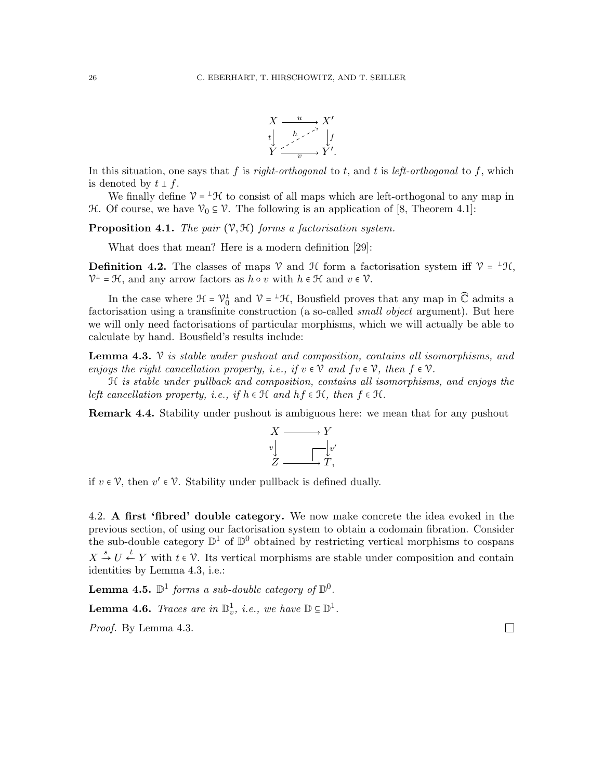

In this situation, one says that f is right-orthogonal to t, and t is left-orthogonal to f, which is denoted by  $t \perp f$ .

We finally define  $V = {}^{\perp} \mathcal{H}$  to consist of all maps which are left-orthogonal to any map in H. Of course, we have  $\mathcal{V}_0 \subseteq \mathcal{V}$ . The following is an application of [\[8,](#page-65-14) Theorem 4.1]:

**Proposition 4.1.** The pair  $(\mathcal{V}, \mathcal{H})$  forms a factorisation system.

What does that mean? Here is a modern definition [\[29\]](#page-66-4):

**Definition 4.2.** The classes of maps  $\mathcal V$  and  $\mathcal H$  form a factorisation system iff  $\mathcal V = {}^{\perp} \mathcal H$ ,  $\mathcal{V}^{\perp} = \mathcal{H}$ , and any arrow factors as  $h \circ v$  with  $h \in \mathcal{H}$  and  $v \in \mathcal{V}$ .

In the case where  $\mathcal{H} = \mathcal{V}_0^{\perp}$  and  $\mathcal{V} = {}^{\perp}\mathcal{H}$ , Bousfield proves that any map in  $\widehat{\mathbb{C}}$  admits a factorisation using a transfinite construction (a so-called *small object* argument). But here we will only need factorisations of particular morphisms, which we will actually be able to calculate by hand. Bousfield's results include:

<span id="page-25-1"></span>**Lemma 4.3.**  $\mathcal V$  is stable under pushout and composition, contains all isomorphisms, and enjoys the right cancellation property, i.e., if  $v \in \mathcal{V}$  and  $f v \in \mathcal{V}$ , then  $f \in \mathcal{V}$ .

H is stable under pullback and composition, contains all isomorphisms, and enjoys the left cancellation property, i.e., if  $h \in \mathcal{H}$  and  $hf \in \mathcal{H}$ , then  $f \in \mathcal{H}$ .

**Remark 4.4.** Stability under pushout is ambiguous here: we mean that for any pushout



if  $v \in \mathcal{V}$ , then  $v' \in \mathcal{V}$ . Stability under pullback is defined dually.

<span id="page-25-0"></span>4.2. A first 'fibred' double category. We now make concrete the idea evoked in the previous section, of using our factorisation system to obtain a codomain fibration. Consider the sub-double category  $\mathbb{D}^1$  of  $\mathbb{D}^0$  obtained by restricting vertical morphisms to cospans  $X \stackrel{s}{\rightarrow} U \stackrel{t}{\leftarrow} Y$  with  $t \in \mathcal{V}$ . Its vertical morphisms are stable under composition and contain identities by Lemma [4.3,](#page-25-1) i.e.:

**Lemma 4.5.**  $\mathbb{D}^1$  forms a sub-double category of  $\mathbb{D}^0$ .

**Lemma 4.6.** Traces are in  $\mathbb{D}_v^1$ , i.e., we have  $\mathbb{D} \subseteq \mathbb{D}^1$ .

Proof. By Lemma [4.3.](#page-25-1)

 $\Box$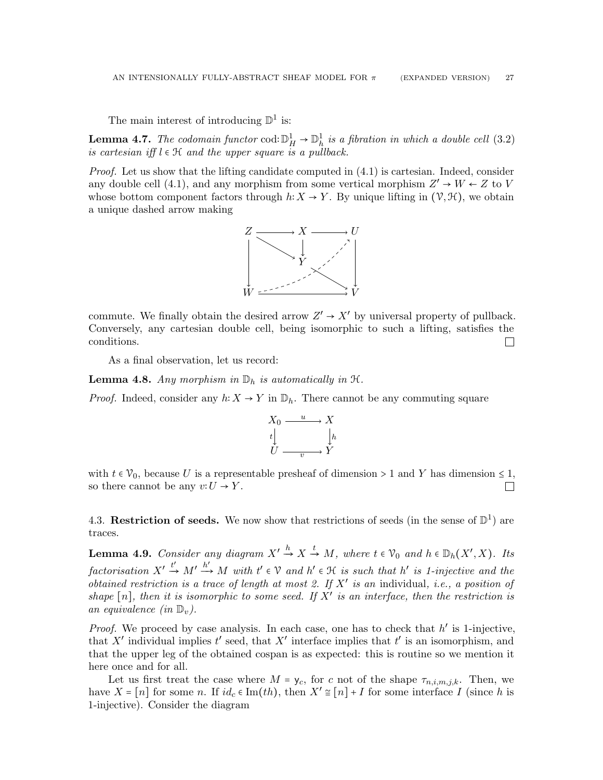The main interest of introducing  $\mathbb{D}^1$  is:

<span id="page-26-2"></span>**Lemma 4.7.** The codomain functor cod:  $\mathbb{D}^1_H \to \mathbb{D}^1_h$  is a fibration in which a double cell [\(3.2\)](#page-22-1) is cartesian iff  $l \in \mathcal{H}$  and the upper square is a pullback.

*Proof.* Let us show that the lifting candidate computed in  $(4.1)$  is cartesian. Indeed, consider any double cell [\(4.1\)](#page-24-3), and any morphism from some vertical morphism  $Z' \to W \leftarrow Z$  to V whose bottom component factors through  $h: X \to Y$ . By unique lifting in  $(\mathcal{V}, \mathcal{H})$ , we obtain a unique dashed arrow making



commute. We finally obtain the desired arrow  $Z' \to X'$  by universal property of pullback. Conversely, any cartesian double cell, being isomorphic to such a lifting, satisfies the conditions.  $\Box$ 

As a final observation, let us record:

**Lemma 4.8.** Any morphism in  $\mathbb{D}_h$  is automatically in  $\mathcal{H}$ .

*Proof.* Indeed, consider any  $h: X \to Y$  in  $\mathbb{D}_h$ . There cannot be any commuting square



with  $t \in \mathcal{V}_0$ , because U is a representable presheaf of dimension > 1 and Y has dimension  $\leq 1$ , so there cannot be any  $v: U \to Y$ .  $\Box$ 

<span id="page-26-0"></span>4.3. Restriction of seeds. We now show that restrictions of seeds (in the sense of  $\mathbb{D}^1$ ) are traces.

<span id="page-26-1"></span>**Lemma 4.9.** Consider any diagram  $X' \stackrel{h}{\rightarrow} X \stackrel{t}{\rightarrow} M$ , where  $t \in \mathcal{V}_0$  and  $h \in \mathbb{D}_h(X', X)$ . Its  $factorisation\ X'\stackrel{t'}{\rightarrow} M'\stackrel{h'}{\rightarrow} M\ with\ t'\in\mathcal{V}\ and\ h'\in\mathcal{H}\ is\ such\ that\ h'\ is\ 1-injective\ and\ the$ obtained restriction is a trace of length at most 2. If  $X'$  is an individual, i.e., a position of shape  $[n]$ , then it is isomorphic to some seed. If  $X'$  is an interface, then the restriction is an equivalence (in  $\mathbb{D}_v$ ).

*Proof.* We proceed by case analysis. In each case, one has to check that  $h'$  is 1-injective, that X' individual implies  $t'$  seed, that X' interface implies that  $t'$  is an isomorphism, and that the upper leg of the obtained cospan is as expected: this is routine so we mention it here once and for all.

Let us first treat the case where  $M = y_c$ , for c not of the shape  $\tau_{n,i,m,j,k}$ . Then, we have  $X = [n]$  for some n. If  $id_c \in \text{Im}(th)$ , then  $X' \cong [n] + I$  for some interface I (since h is 1-injective). Consider the diagram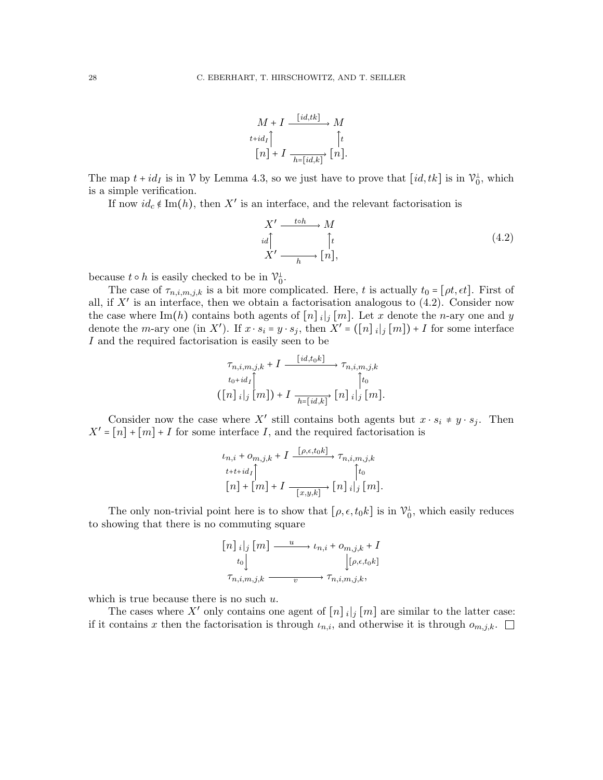

The map  $t + id_I$  is in  $\mathcal V$  by Lemma [4.3,](#page-25-1) so we just have to prove that  $(id, tk]$  is in  $\mathcal V_0^{\perp}$ , which is a simple verification.

If now  $id_c \notin \text{Im}(h)$ , then X' is an interface, and the relevant factorisation is

<span id="page-27-0"></span>
$$
X' \xrightarrow{id} M
$$
  
\n
$$
id \uparrow_{\text{in}} \uparrow_{\text{in}} (4.2)
$$
  
\n
$$
X' \xrightarrow[h]{\text{to}} [n],
$$
\n
$$
(4.2)
$$

because  $t \circ h$  is easily checked to be in  $\mathcal{V}_0^{\perp}$ .

The case of  $\tau_{n,i,m,j,k}$  is a bit more complicated. Here, t is actually  $t_0 = [\rho t, \epsilon t]$ . First of all, if  $X'$  is an interface, then we obtain a factorisation analogous to  $(4.2)$ . Consider now the case where Im(h) contains both agents of  $[n]_i|_j [m]$ . Let x denote the n-ary one and y denote the *m*-ary one (in X'). If  $x \cdot s_i = y \cdot s_j$ , then  $X' = (\lfloor n \rfloor_i | j \lfloor m \rfloor) + I$  for some interface I and the required factorisation is easily seen to be

$$
\tau_{n,i,m,j,k} + I \xrightarrow{\quad [id, to] \atop \tau_{n,i,m,j,k}} \tau_{n,i,m,j,k}
$$
\n
$$
\downarrow_{t_0 + id_I} \qquad \qquad \downarrow_{t_0}
$$
\n
$$
(\llbracket n \rrbracket_i \mid_j \llbracket m \rrbracket) + I \xrightarrow{\quad \qquad \vdots \atop \qquad h = \llbracket id, k \rrbracket} \llbracket n \rrbracket_i \mid_j \llbracket m \rrbracket.
$$

Consider now the case where X' still contains both agents but  $x \cdot s_i \neq y \cdot s_j$ . Then  $X' = [n] + [m] + I$  for some interface I, and the required factorisation is

$$
\begin{aligned} \iota_{n,i} + o_{m,j,k} + I & \xrightarrow{[\rho,\epsilon,t_0k]} \tau_{n,i,m,j,k} \\ t + t + id_I \uparrow & \qquad \qquad \uparrow t_0 \\ [n] + [m] + I & \xrightarrow{[x,y,k]} [n] \, i \, |j \, [m]. \end{aligned}
$$

The only non-trivial point here is to show that  $[\rho, \epsilon, t_0 k]$  is in  $\mathcal{V}_0^{\perp}$ , which easily reduces to showing that there is no commuting square

$$
\begin{bmatrix} n \end{bmatrix} \begin{bmatrix} i \end{bmatrix} \begin{bmatrix} m \end{bmatrix} \xrightarrow{u} \iota_{n,i} + o_{m,j,k} + I
$$
  
\n
$$
\begin{bmatrix} t_0 \end{bmatrix} \begin{bmatrix} \rho, \epsilon, t_0 k \end{bmatrix}
$$
  
\n
$$
\tau_{n,i,m,j,k} \xrightarrow{v} \tau_{n,i,m,j,k},
$$

which is true because there is no such  $u$ .

The cases where X' only contains one agent of  $[n]_i|_j [m]$  are similar to the latter case: if it contains x then the factorisation is through  $\iota_{n,i}$ , and otherwise it is through  $o_{m,j,k}$ .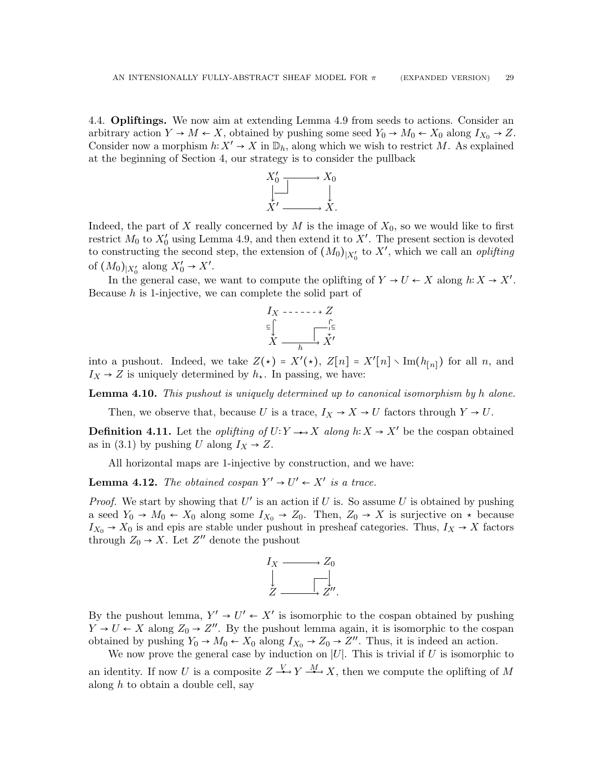<span id="page-28-0"></span>4.4. Opliftings. We now aim at extending Lemma [4.9](#page-26-1) from seeds to actions. Consider an arbitrary action  $Y \to M \leftarrow X$ , obtained by pushing some seed  $Y_0 \to M_0 \leftarrow X_0$  along  $I_{X_0} \to Z$ . Consider now a morphism  $h: X' \to X$  in  $\mathbb{D}_h$ , along which we wish to restrict M. As explained at the beginning of Section [4,](#page-24-0) our strategy is to consider the pullback



Indeed, the part of X really concerned by  $M$  is the image of  $X_0$ , so we would like to first restrict  $M_0$  to  $X'_0$  using Lemma [4.9,](#page-26-1) and then extend it to  $X'$ . The present section is devoted to constructing the second step, the extension of  $(M_0)_{|X'_0}$  to  $X'$ , which we call an *oplifting* of  $(M_0)_{|X'_0}$  along  $X'_0 \rightarrow X'.$ 

In the general case, we want to compute the oplifting of  $Y \to U \leftarrow X$  along  $h: X \to X'$ . Because  $h$  is 1-injective, we can complete the solid part of



into a pushout. Indeed, we take  $Z(\star) = X'(\star)$ ,  $Z[n] = X'[n] \setminus \text{Im}(h_{[n]})$  for all n, and  $I_X \rightarrow Z$  is uniquely determined by  $h_{\star}$ . In passing, we have:

<span id="page-28-1"></span>**Lemma 4.10.** This pushout is uniquely determined up to canonical isomorphism by h alone.

Then, we observe that, because U is a trace,  $I_X \to X \to U$  factors through  $Y \to U$ .

**Definition 4.11.** Let the *oplifting of*  $U: Y \rightarrow X$  along  $h: X \rightarrow X'$  be the cospan obtained as in [\(3.1\)](#page-20-1) by pushing U along  $I_X \rightarrow Z$ .

All horizontal maps are 1-injective by construction, and we have:

**Lemma 4.12.** The obtained cospan  $Y' \rightarrow U' \leftarrow X'$  is a trace.

*Proof.* We start by showing that  $U'$  is an action if U is. So assume U is obtained by pushing a seed  $Y_0 \to M_0 \leftarrow X_0$  along some  $I_{X_0} \to Z_0$ . Then,  $Z_0 \to X$  is surjective on  $\star$  because  $I_{X_0} \to X_0$  is and epis are stable under pushout in presheaf categories. Thus,  $I_X \to X$  factors through  $Z_0 \rightarrow X$ . Let  $Z''$  denote the pushout



By the pushout lemma,  $Y' \rightarrow U' \leftarrow X'$  is isomorphic to the cospan obtained by pushing  $Y \to U \to X$  along  $Z_0 \to Z''$ . By the pushout lemma again, it is isomorphic to the cospan obtained by pushing  $Y_0 \to M_0 \leftarrow X_0$  along  $I_{X_0} \to Z_0 \to Z''$ . Thus, it is indeed an action.

We now prove the general case by induction on  $|U|$ . This is trivial if U is isomorphic to an identity. If now U is a composite  $Z \xrightarrow{V} Y \xrightarrow{M} X$ , then we compute the oplifting of M along  $h$  to obtain a double cell, say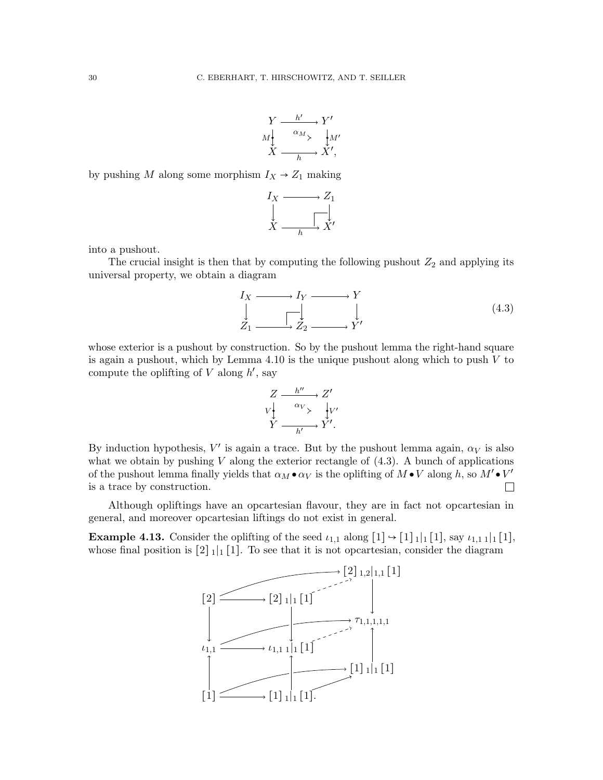$$
\begin{array}{ccc}\nY & \xrightarrow{h'} & Y' \\
M & \xrightarrow{\alpha_M} & M' \\
X & \xrightarrow{h} & X',\n\end{array}
$$

by pushing  $M$  along some morphism  $I_X \rightarrow Z_1$  making

$$
I_X \xrightarrow{\qquad} Z_1
$$
  
\n
$$
\downarrow \qquad \qquad \downarrow
$$
  
\n
$$
X \xrightarrow{\qquad \qquad \downarrow} X'
$$

into a pushout.

The crucial insight is then that by computing the following pushout  $Z_2$  and applying its universal property, we obtain a diagram

<span id="page-29-0"></span>
$$
I_X \longrightarrow I_Y \longrightarrow Y
$$
  
\n
$$
\downarrow \qquad \qquad \downarrow
$$
  
\n
$$
Z_1 \longrightarrow Z_2 \longrightarrow Y'
$$
\n(4.3)

whose exterior is a pushout by construction. So by the pushout lemma the right-hand square is again a pushout, which by Lemma  $4.10$  is the unique pushout along which to push  $V$  to compute the oplifting of  $V$  along  $h'$ , say

$$
Z \xrightarrow{h''} Z'
$$
  
\n
$$
V \downarrow \xrightarrow{a_V} V'
$$
  
\n
$$
Y \xrightarrow{h'} Y'.
$$

By induction hypothesis,  $V'$  is again a trace. But by the pushout lemma again,  $\alpha_V$  is also what we obtain by pushing  $V$  along the exterior rectangle of  $(4.3)$ . A bunch of applications of the pushout lemma finally yields that  $\alpha_M \bullet \alpha_V$  is the oplifting of  $M \bullet V$  along h, so  $M' \bullet V'$ is a trace by construction.  $\Box$ 

Although opliftings have an opcartesian flavour, they are in fact not opcartesian in general, and moreover opcartesian liftings do not exist in general.

**Example 4.13.** Consider the oplifting of the seed  $\iota_{1,1}$  along  $[1] \rightarrow [1]_1 [1]$ , say  $\iota_{1,1} 1 |_1 [1]$ , whose final position is  $[2]_1|_1[1]$ . To see that it is not opcartesian, consider the diagram

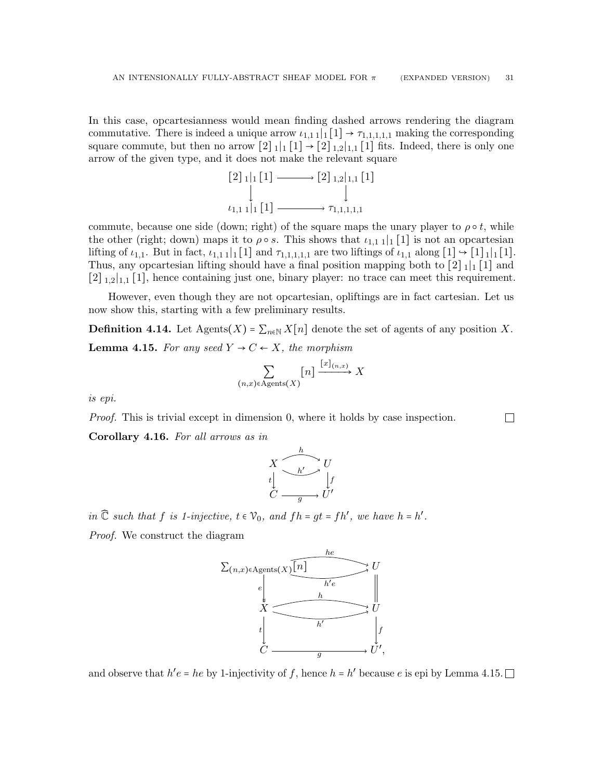In this case, opcartesianness would mean finding dashed arrows rendering the diagram commutative. There is indeed a unique arrow  $\iota_{1,1,1}[1] \rightarrow \tau_{1,1,1,1,1}$  making the corresponding square commute, but then no arrow  $[2]_1|_1[1] \rightarrow [2]_{1,2}|_{1,1}[1]$  fits. Indeed, there is only one arrow of the given type, and it does not make the relevant square

[2] <sup>1</sup>∣<sup>1</sup> [1] [2] <sup>1</sup>,2∣1,<sup>1</sup> [1] ι1,1 1∣<sup>1</sup> [1] τ1,1,1,1,<sup>1</sup>

commute, because one side (down; right) of the square maps the unary player to  $\rho \circ t$ , while the other (right; down) maps it to  $\rho \circ s$ . This shows that  $\iota_{1,1} 1 \mid [1]$  is not an opcartesian lifting of  $\iota_{1,1}$ . But in fact,  $\iota_{1,1,1}|_1[1]$  and  $\tau_{1,1,1,1,1}$  are two liftings of  $\iota_{1,1}$  along  $[1] \rightarrow [1]_1[1]$ . Thus, any opcartesian lifting should have a final position mapping both to  $\lceil 2 \rceil_1 \rceil_1 \lceil 1 \rceil$  and [2] <sup>1</sup>,2∣1,<sup>1</sup> [1], hence containing just one, binary player: no trace can meet this requirement.

However, even though they are not opcartesian, opliftings are in fact cartesian. Let us now show this, starting with a few preliminary results.

<span id="page-30-0"></span>**Definition 4.14.** Let Agents(X) =  $\sum_{n\in\mathbb{N}} X[n]$  denote the set of agents of any position X. **Lemma 4.15.** For any seed  $Y \rightarrow C \leftarrow X$ , the morphism

$$
\sum_{(n,x)\in\mathrm{ Agents}(X)} [n] \xrightarrow{[x]_{(n,x)}} X
$$

 $\Box$ 

is epi.

Proof. This is trivial except in dimension 0, where it holds by case inspection.

<span id="page-30-1"></span>Corollary 4.16. For all arrows as in

$$
X \xrightarrow{\begin{array}{c} h \\ \downarrow \\ t \downarrow \end{array}} U
$$
  

$$
C \xrightarrow{\begin{array}{c} h' \\ \downarrow t \end{array}} U'
$$

in  $\widehat{\mathbb{C}}$  such that f is 1-injective,  $t \in \mathcal{V}_0$ , and  $fh = gt = fh'$ , we have  $h = h'$ .

Proof. We construct the diagram



and observe that  $h'e = he$  by 1-injectivity of f, hence  $h = h'$  because e is epi by Lemma [4.15.](#page-30-0)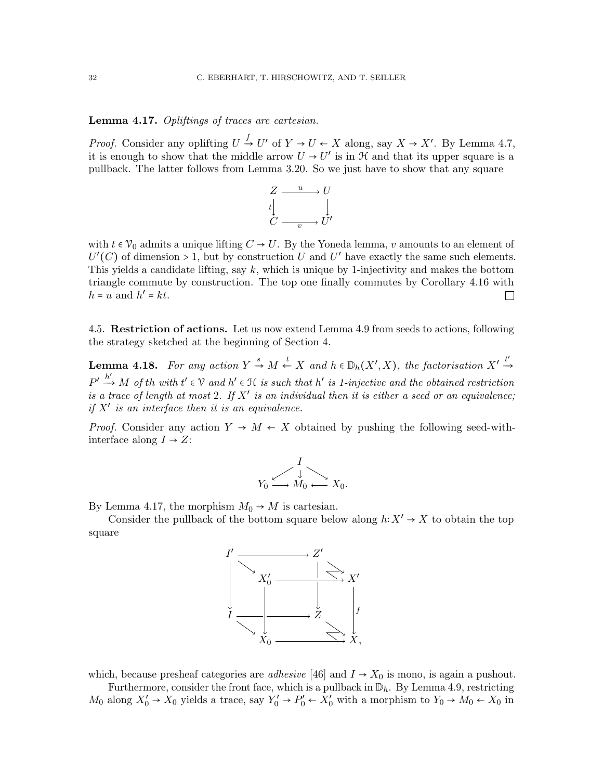## <span id="page-31-1"></span>Lemma 4.17. Opliftings of traces are cartesian.

*Proof.* Consider any oplifting  $U \stackrel{f}{\rightarrow} U'$  of  $Y \rightarrow U \leftarrow X$  along, say  $X \rightarrow X'$ . By Lemma [4.7,](#page-26-2) it is enough to show that the middle arrow  $U \to U'$  is in  $\mathcal H$  and that its upper square is a pullback. The latter follows from Lemma [3.20.](#page-22-2) So we just have to show that any square



with  $t \in V_0$  admits a unique lifting  $C \to U$ . By the Yoneda lemma, v amounts to an element of  $U'(C)$  of dimension > 1, but by construction U and U' have exactly the same such elements. This yields a candidate lifting, say  $k$ , which is unique by 1-injectivity and makes the bottom triangle commute by construction. The top one finally commutes by Corollary [4.16](#page-30-1) with  $h = u$  and  $h' = kt$ .  $\Box$ 

<span id="page-31-0"></span>4.5. Restriction of actions. Let us now extend Lemma [4.9](#page-26-1) from seeds to actions, following the strategy sketched at the beginning of Section [4.](#page-24-0)

<span id="page-31-2"></span>**Lemma 4.18.** For any action  $Y \stackrel{s}{\rightarrow} M \stackrel{t}{\leftarrow} X$  and  $h \in D_h(X', X)$ , the factorisation  $X' \stackrel{t'}{\rightarrow} X$  $P' \xrightarrow{h'} M$  of th with  $t' \in \mathcal{V}$  and  $h' \in \mathcal{H}$  is such that  $h'$  is 1-injective and the obtained restriction is a trace of length at most 2. If  $X'$  is an individual then it is either a seed or an equivalence; if  $X'$  is an interface then it is an equivalence.

*Proof.* Consider any action  $Y \to M \leftarrow X$  obtained by pushing the following seed-withinterface along  $I \rightarrow Z$ :

$$
Y_0 \xrightarrow{\qquad \downarrow \qquad}_{M_0} \xrightarrow{\qquad \qquad} X_0.
$$

By Lemma [4.17,](#page-31-1) the morphism  $M_0 \rightarrow M$  is cartesian.

Consider the pullback of the bottom square below along  $h: X' \to X$  to obtain the top square



which, because presheaf categories are *adhesive* [\[46\]](#page-67-14) and  $I \rightarrow X_0$  is mono, is again a pushout.

Furthermore, consider the front face, which is a pullback in  $\mathbb{D}_h$ . By Lemma [4.9,](#page-26-1) restricting  $M_0$  along  $X'_0 \to X_0$  yields a trace, say  $Y'_0 \to P'_0 \leftarrow X'_0$  with a morphism to  $Y_0 \to M_0 \leftarrow X_0$  in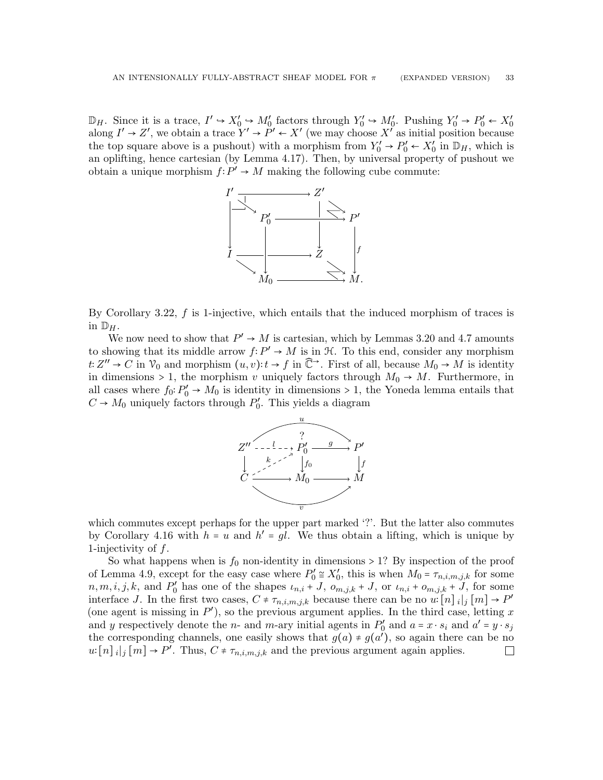$\mathbb{D}_H$ . Since it is a trace,  $I' \hookrightarrow X'_0 \hookrightarrow M'_0$  factors through  $Y'_0 \hookrightarrow M'_0$ . Pushing  $Y'_0 \to P'_0 \leftarrow X'_0$ <br>along  $I' \to Z'$ , we obtain a trace  $Y' \to P' \leftarrow X'$  (we may choose  $X'$  as initial position because the top square above is a pushout) with a morphism from  $Y'_0 \rightarrow P'_0 \leftarrow X'_0$  in  $\mathbb{D}_H$ , which is an oplifting, hence cartesian (by Lemma [4.17\)](#page-31-1). Then, by universal property of pushout we obtain a unique morphism  $f: P' \to M$  making the following cube commute:



By Corollary [3.22,](#page-23-0)  $f$  is 1-injective, which entails that the induced morphism of traces is in  $\mathbb{D}_H$ .

We now need to show that  $P' \to M$  is cartesian, which by Lemmas [3.20](#page-22-2) and [4.7](#page-26-2) amounts to showing that its middle arrow  $f: P' \to M$  is in  $\mathcal{H}$ . To this end, consider any morphism  $t: Z'' \to C$  in  $\mathcal{V}_0$  and morphism  $(u, v): t \to f$  in  $\mathbb{C}^{\to}$ . First of all, because  $M_0 \to M$  is identity in dimensions > 1, the morphism v uniquely factors through  $M_0 \rightarrow M$ . Furthermore, in all cases where  $f_0: P'_0 \to M_0$  is identity in dimensions > 1, the Yoneda lemma entails that  $C \to M_0$  uniquely factors through  $P'_0$ . This yields a diagram



which commutes except perhaps for the upper part marked '?'. But the latter also commutes by Corollary [4.16](#page-30-1) with  $h = u$  and  $h' = gl$ . We thus obtain a lifting, which is unique by 1-injectivity of f.

So what happens when is  $f_0$  non-identity in dimensions > 1? By inspection of the proof of Lemma [4.9,](#page-26-1) except for the easy case where  $P'_0 \cong X'_0$ , this is when  $M_0 = \tau_{n,i,m,j,k}$  for some  $n, m, i, j, k$ , and  $P'_0$  has one of the shapes  $u_{n,i}$  + J,  $o_{m,j,k}$  + J, or  $u_{n,i}$  +  $o_{m,j,k}$  + J, for some interface J. In the first two cases,  $C \neq \tau_{n,i,m,j,k}$  because there can be no  $u:[n]_i[j][m] \to P'$ (one agent is missing in  $P'$ ), so the previous argument applies. In the third case, letting x and y respectively denote the n- and m-ary initial agents in  $P'_0$  and  $a = x \cdot s_i$  and  $a' = y \cdot s_j$ the corresponding channels, one easily shows that  $g(a) \neq g(a')$ , so again there can be no  $u:[n]_i[j][m] \to P'.$  Thus,  $C \neq \tau_{n,i,m,j,k}$  and the previous argument again applies.  $\Box$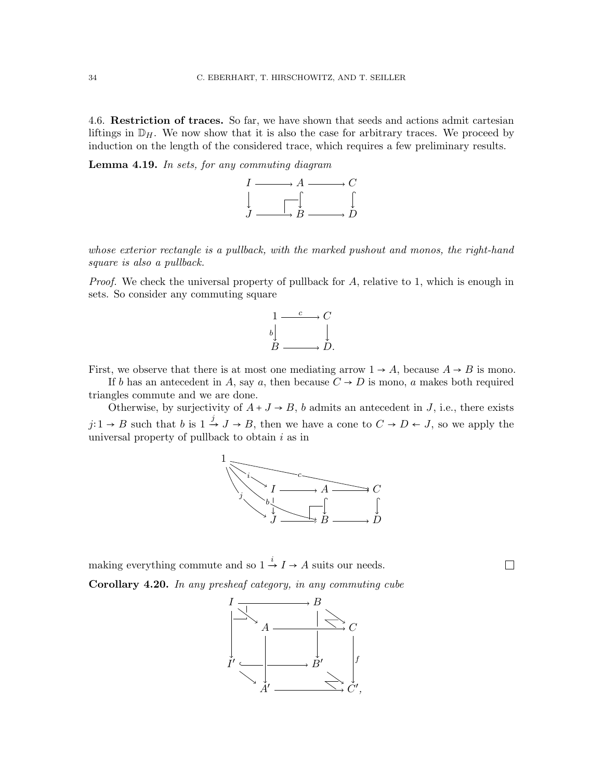<span id="page-33-0"></span>4.6. Restriction of traces. So far, we have shown that seeds and actions admit cartesian liftings in  $\mathbb{D}_H$ . We now show that it is also the case for arbitrary traces. We proceed by induction on the length of the considered trace, which requires a few preliminary results.

Lemma 4.19. In sets, for any commuting diagram



whose exterior rectangle is a pullback, with the marked pushout and monos, the right-hand square is also a pullback.

*Proof.* We check the universal property of pullback for  $A$ , relative to 1, which is enough in sets. So consider any commuting square



First, we observe that there is at most one mediating arrow  $1 \rightarrow A$ , because  $A \rightarrow B$  is mono.

If b has an antecedent in A, say a, then because  $C \rightarrow D$  is mono, a makes both required triangles commute and we are done.

Otherwise, by surjectivity of  $A + J \rightarrow B$ , b admits an antecedent in J, i.e., there exists  $j: 1 \to B$  such that  $b$  is  $1 \stackrel{j}{\to} J \to B$ , then we have a cone to  $C \to D \leftarrow J$ , so we apply the universal property of pullback to obtain  $i$  as in



 $\Box$ 

<span id="page-33-1"></span>making everything commute and so  $1 \xrightarrow{i} I \rightarrow A$  suits our needs. Corollary 4.20. In any presheaf category, in any commuting cube

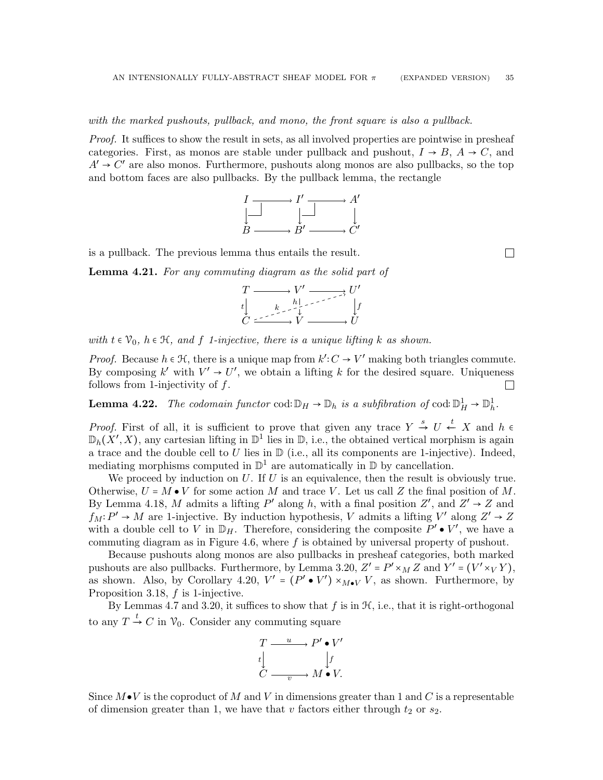with the marked pushouts, pullback, and mono, the front square is also a pullback.

Proof. It suffices to show the result in sets, as all involved properties are pointwise in presheaf categories. First, as monos are stable under pullback and pushout,  $I \rightarrow B$ ,  $A \rightarrow C$ , and  $A' \rightarrow C'$  are also monos. Furthermore, pushouts along monos are also pullbacks, so the top and bottom faces are also pullbacks. By the pullback lemma, the rectangle



is a pullback. The previous lemma thus entails the result.

<span id="page-34-1"></span>Lemma 4.21. For any commuting diagram as the solid part of



with  $t \in \mathcal{V}_0$ ,  $h \in \mathcal{H}$ , and f 1-injective, there is a unique lifting k as shown.

*Proof.* Because  $h \in \mathcal{H}$ , there is a unique map from  $k': C \to V'$  making both triangles commute. By composing  $k'$  with  $V' \rightarrow U'$ , we obtain a lifting k for the desired square. Uniqueness follows from 1-injectivity of  $f$ .  $\Box$ 

<span id="page-34-0"></span>**Lemma 4.22.** The codomain functor cod:  $\mathbb{D}_H \to \mathbb{D}_h$  is a subfibration of cod:  $\mathbb{D}_H^1 \to \mathbb{D}_h^1$ .

*Proof.* First of all, it is sufficient to prove that given any trace  $Y \stackrel{s}{\rightarrow} U \stackrel{t}{\leftarrow} X$  and  $h \in$  $\mathbb{D}_h(X',X)$ , any cartesian lifting in  $\mathbb{D}^1$  lies in  $\mathbb{D}$ , i.e., the obtained vertical morphism is again a trace and the double cell to  $U$  lies in  $\mathbb{D}$  (i.e., all its components are 1-injective). Indeed, mediating morphisms computed in  $\mathbb{D}^1$  are automatically in  $\mathbb D$  by cancellation.

We proceed by induction on  $U$ . If  $U$  is an equivalence, then the result is obviously true. Otherwise,  $U = M \bullet V$  for some action M and trace V. Let us call Z the final position of M. By Lemma [4.18,](#page-31-2) M admits a lifting P' along h, with a final position  $Z'$ , and  $Z' \rightarrow Z$  and  $f_M: P' \to M$  are 1-injective. By induction hypothesis, V admits a lifting V' along Z' → Z with a double cell to V in  $\mathbb{D}_H$ . Therefore, considering the composite  $P' \bullet V'$ , we have a commuting diagram as in Figure [4.6,](#page-34-0) where  $f$  is obtained by universal property of pushout.

Because pushouts along monos are also pullbacks in presheaf categories, both marked pushouts are also pullbacks. Furthermore, by Lemma [3.20,](#page-22-2)  $Z' = P' \times_M Z$  and  $Y' = (V' \times_V Y)$ , as shown. Also, by Corollary [4.20,](#page-33-1)  $V' = (P' \cdot V') \times_{M \cdot V} V$ , as shown. Furthermore, by Proposition [3.18,](#page-22-5)  $f$  is 1-injective.

By Lemmas [4.7](#page-26-2) and [3.20,](#page-22-2) it suffices to show that  $f$  is in  $H$ , i.e., that it is right-orthogonal to any  $T \xrightarrow{t} C$  in  $\mathcal{V}_0$ . Consider any commuting square

$$
T \xrightarrow{u} P' \bullet V'
$$
  
\n
$$
t \downarrow \qquad \qquad \downarrow f
$$
  
\n
$$
C \xrightarrow{v} M \bullet V.
$$

Since  $M\bullet V$  is the coproduct of M and V in dimensions greater than 1 and C is a representable of dimension greater than 1, we have that v factors either through  $t_2$  or  $s_2$ .

 $\Box$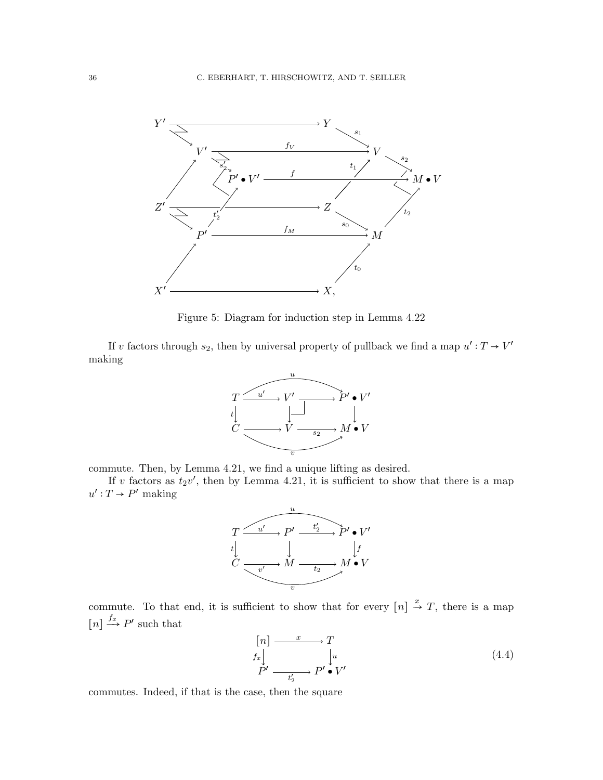

Figure 5: Diagram for induction step in Lemma [4.22](#page-34-0)

If v factors through  $s_2$ , then by universal property of pullback we find a map  $u': T \to V'$ making



commute. Then, by Lemma [4.21,](#page-34-1) we find a unique lifting as desired.

If v factors as  $t_2v'$ , then by Lemma [4.21,](#page-34-1) it is sufficient to show that there is a map  $u': T \to P'$  making



commute. To that end, it is sufficient to show that for every  $[n] \stackrel{x}{\rightarrow} T$ , there is a map  $[n] \xrightarrow{f_x} P'$  such that

$$
\begin{array}{c}\n[n] \longrightarrow T \\
\downarrow f_x \downarrow \\
P' \longrightarrow P' \bullet V'\n\end{array} \tag{4.4}
$$

commutes. Indeed, if that is the case, then the square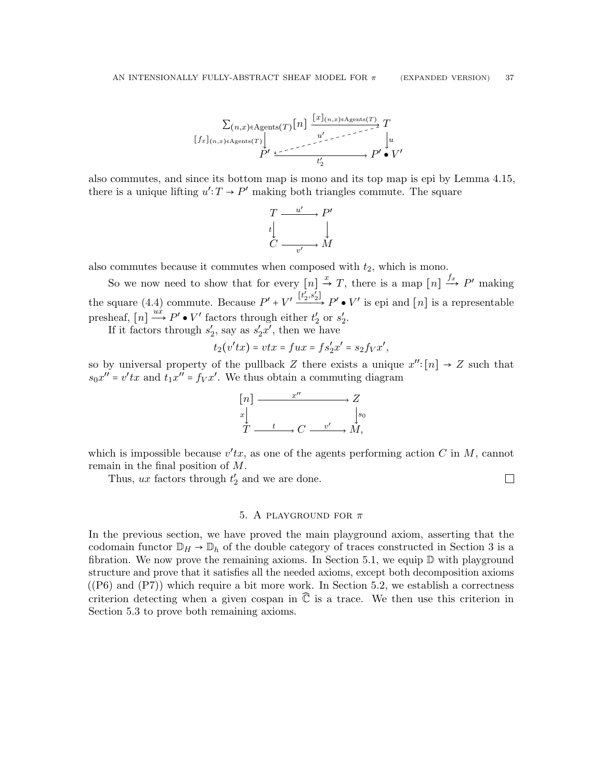∑(n,x)∈Agents(T) [n] T P ′ P ′ ● V ′ [x](n,x)∈Agents(<sup>T</sup> ) [fx](n,x)∈Agents(<sup>T</sup> ) u t ′ 2 u ′

also commutes, and since its bottom map is mono and its top map is epi by Lemma [4.15,](#page-30-0) there is a unique lifting  $u': T \to P'$  making both triangles commute. The square

$$
\begin{array}{ccc}\nT & \xrightarrow{u'} & P' \\
t & & \downarrow \\
C & \xrightarrow{v'} & M\n\end{array}
$$

also commutes because it commutes when composed with  $t_2$ , which is mono.

So we now need to show that for every  $[n] \stackrel{x}{\rightarrow} T$ , there is a map  $[n] \stackrel{f_x}{\rightarrow} P'$  making the square [\(4.4\)](#page-35-0) commute. Because  $P' + V' \xrightarrow{[t'_2, s'_2]} P' \bullet V'$  is epi and  $[n]$  is a representable presheaf,  $[n] \stackrel{ux}{\longrightarrow} P' \bullet V'$  factors through either  $t'_2$  or  $s'_2$ .

If it factors through  $s_2'$ , say as  $s_2'x'$ , then we have

$$
t_2(v'tx) = vtx = fux = fs'_2x' = s_2f_Vx',
$$

so by universal property of the pullback Z there exists a unique  $x''$ : [n]  $\rightarrow Z$  such that  $s_0 x'' = v' t x$  and  $t_1 x'' = f_V x'$ . We thus obtain a commuting diagram



which is impossible because  $v'tx$ , as one of the agents performing action C in M, cannot remain in the final position of M.

Thus,  $ux$  factors through  $t'_2$  and we are done.

 $\Box$ 

# 5. A PLAYGROUND FOR  $\pi$

<span id="page-36-0"></span>In the previous section, we have proved the main playground axiom, asserting that the codomain functor  $\mathbb{D}_H \to \mathbb{D}_h$  of the double category of traces constructed in Section [3](#page-16-0) is a fibration. We now prove the remaining axioms. In Section [5.1,](#page-37-0) we equip  $\mathbb D$  with playground structure and prove that it satisfies all the needed axioms, except both decomposition axioms  $((P6)$  and  $(P7))$  which require a bit more work. In Section [5.2,](#page-39-0) we establish a correctness criterion detecting when a given cospan in  $\mathbb{\tilde{C}}$  is a trace. We then use this criterion in Section [5.3](#page-44-0) to prove both remaining axioms.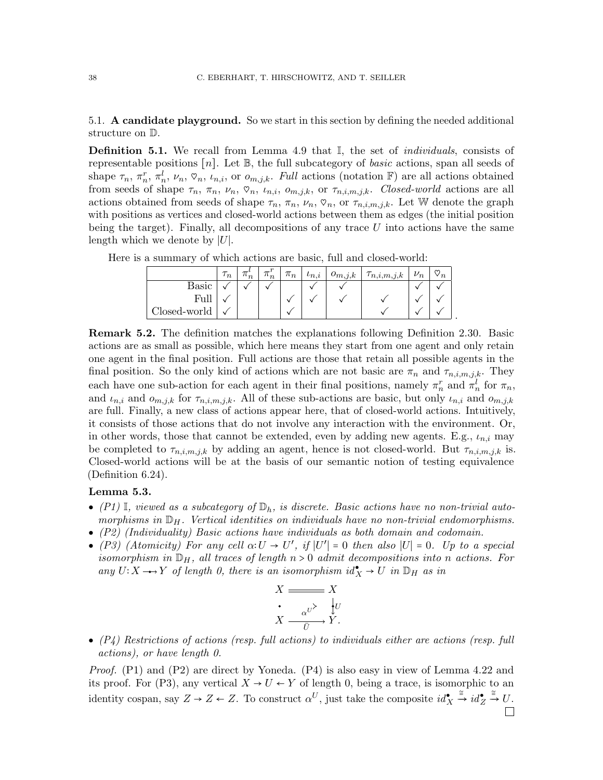<span id="page-37-0"></span>5.1. A candidate playground. So we start in this section by defining the needed additional structure on D.

<span id="page-37-1"></span>**Definition 5.1.** We recall from Lemma [4.9](#page-26-0) that  $\mathbb{I}$ , the set of *individuals*, consists of representable positions  $[n]$ . Let  $\mathbb{B}$ , the full subcategory of *basic* actions, span all seeds of shape  $\tau_n$ ,  $\pi_n^r$ ,  $\pi_n^l$ ,  $\nu_n$ ,  $\nu_n$ ,  $\nu_{n,i}$ , or  $o_{m,j,k}$ . Full actions (notation F) are all actions obtained from seeds of shape  $\tau_n$ ,  $\pi_n$ ,  $\nu_n$ ,  $\varphi_n$ ,  $\iota_{n,i}$ ,  $o_{m,j,k}$ , or  $\tau_{n,i,m,j,k}$ . Closed-world actions are all actions obtained from seeds of shape  $\tau_n$ ,  $\pi_n$ ,  $\nu_n$ ,  $\nabla_n$ , or  $\tau_{n,i,m,j,k}$ . Let W denote the graph with positions as vertices and closed-world actions between them as edges (the initial position being the target). Finally, all decompositions of any trace  $U$  into actions have the same length which we denote by  $|U|$ .

|              | $\tau_n$ | $\pi$<br>$n_n$ | $\pi'_n$ | $\pi_n$ | $\iota_{n,i}$ | $o_{m,j,k}$ | $\tau_{n,i,m,j,k}$ | $\nu_n$ | ო<br>$\mathbf{v}_n$ |
|--------------|----------|----------------|----------|---------|---------------|-------------|--------------------|---------|---------------------|
| Basic        |          |                |          |         |               |             |                    |         |                     |
| Full         |          |                |          |         |               |             |                    |         |                     |
| Closed-world |          |                |          |         |               |             |                    |         |                     |

Here is a summary of which actions are basic, full and closed-world:

Remark 5.2. The definition matches the explanations following Definition [2.30.](#page-14-0) Basic actions are as small as possible, which here means they start from one agent and only retain one agent in the final position. Full actions are those that retain all possible agents in the final position. So the only kind of actions which are not basic are  $\pi_n$  and  $\tau_{n,i,m,j,k}$ . They each have one sub-action for each agent in their final positions, namely  $\pi_n^r$  and  $\pi_n^l$  for  $\pi_n$ , and  $\iota_{n,i}$  and  $o_{m,j,k}$  for  $\tau_{n,i,m,j,k}$ . All of these sub-actions are basic, but only  $\iota_{n,i}$  and  $o_{m,j,k}$ are full. Finally, a new class of actions appear here, that of closed-world actions. Intuitively, it consists of those actions that do not involve any interaction with the environment. Or, in other words, those that cannot be extended, even by adding new agents. E.g.,  $t_{n,i}$  may be completed to  $\tau_{n,i,m,j,k}$  by adding an agent, hence is not closed-world. But  $\tau_{n,i,m,j,k}$  is. Closed-world actions will be at the basis of our semantic notion of testing equivalence (Definition [6.24\)](#page-52-0).

## Lemma 5.3.

- [\(P1\)](#page-14-1) I, viewed as a subcategory of  $\mathbb{D}_h$ , is discrete. Basic actions have no non-trivial automorphisms in  $\mathbb{D}_H$ . Vertical identities on individuals have no non-trivial endomorphisms.
- [\(P2\)](#page-14-2) (Individuality) Basic actions have individuals as both domain and codomain.
- [\(P3\)](#page-14-3) (Atomicity) For any cell  $\alpha: U \to U'$ , if  $|U'| = 0$  then also  $|U| = 0$ . Up to a special isomorphism in  $\mathbb{D}_H$ , all traces of length  $n > 0$  admit decompositions into n actions. For any  $U: X \longrightarrow Y$  of length 0, there is an isomorphism  $id_X^{\bullet} \to U$  in  $\mathbb{D}_H$  as in

$$
X \xrightarrow{\text{max}} X
$$
\n
$$
\text{max} \quad X \xrightarrow{\overline{\alpha} \quad \downarrow U} Y.
$$

 $\bullet$  [\(P4\)](#page-15-2) Restrictions of actions (resp. full actions) to individuals either are actions (resp. full actions), or have length 0.

Proof. [\(P1\)](#page-14-1) and [\(P2\)](#page-14-2) are direct by Yoneda. [\(P4\)](#page-15-2) is also easy in view of Lemma [4.22](#page-34-0) and its proof. For [\(P3\),](#page-14-3) any vertical  $X \to U \leftarrow Y$  of length 0, being a trace, is isomorphic to an  $\xrightarrow{\cong} id_Z^{\bullet}$  $\stackrel{\cong}{\rightarrow} U.$ identity cospan, say  $Z \to Z \leftarrow Z$ . To construct  $\alpha^U$ , just take the composite  $id_X^{\bullet}$  $\Box$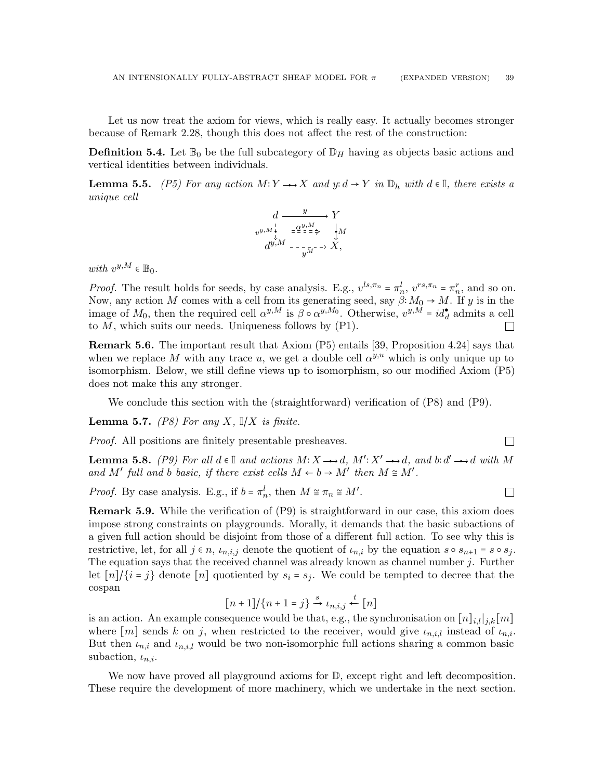Let us now treat the axiom for views, which is really easy. It actually becomes stronger because of Remark [2.28,](#page-14-4) though this does not affect the rest of the construction:

**Definition 5.4.** Let  $\mathbb{B}_0$  be the full subcategory of  $\mathbb{D}_H$  having as objects basic actions and vertical identities between individuals.

<span id="page-38-0"></span>**Lemma 5.5.** [\(P5\)](#page-15-3) For any action  $M: Y \rightarrow X$  and  $y: d \rightarrow Y$  in  $\mathbb{D}_h$  with  $d \in \mathbb{I}$ , there exists a unique cell

$$
d \xrightarrow{y} Y
$$
  
\n $v^{y,M} \xleftarrow{\downarrow}_{\sigma} = \frac{\alpha^{y,M}}{\alpha^{y,M}} \xleftarrow{\downarrow} M$   
\n $d^{y,M} \xleftarrow{\downarrow}_{\sigma} = \frac{\alpha^{y,M}}{y^{M}} \xleftarrow{\downarrow} X,$ 

with  $v^{y,M} \in \mathbb{B}_0$ .

*Proof.* The result holds for seeds, by case analysis. E.g.,  $v^{ls,\pi_n} = \pi_n^l$ ,  $v^{rs,\pi_n} = \pi_n^r$ , and so on. Now, any action M comes with a cell from its generating seed, say  $\beta: M_0 \to M$ . If y is in the image of  $M_0$ , then the required cell  $\alpha^{y,M}$  is  $\beta \circ \alpha^{y,M_0}$ . Otherwise,  $v^{y,M} = id_d^{\bullet}$  admits a cell to  $M$ , which suits our needs. Uniqueness follows by  $(P1)$ .  $\mathbf{L}$ 

Remark 5.6. The important result that Axiom [\(P5\)](#page-15-3) entails [\[39,](#page-66-0) Proposition 4.24] says that when we replace M with any trace u, we get a double cell  $\alpha^{y,u}$  which is only unique up to isomorphism. Below, we still define views up to isomorphism, so our modified Axiom [\(P5\)](#page-15-3) does not make this any stronger.

We conclude this section with the (straightforward) verification of [\(P8\)](#page-15-4) and [\(P9\).](#page-15-5)

**Lemma 5.7.** [\(P8\)](#page-15-4) For any X,  $\mathbb{I}/X$  is finite.

Proof. All positions are finitely presentable presheaves.

**Lemma 5.8.** [\(P9\)](#page-15-5) For all  $d \in \mathbb{I}$  and actions  $M: X \rightarrow d$ ,  $M': X' \rightarrow d$ , and  $b: d' \rightarrow d$  with M and M' full and b basic, if there exist cells  $M \leftarrow b \rightarrow M'$  then  $M \cong M'$ .

 $\Box$ 

 $\Box$ 

*Proof.* By case analysis. E.g., if  $b = \pi_n^l$ , then  $M \cong \pi_n \cong M'$ .

Remark 5.9. While the verification of [\(P9\)](#page-15-5) is straightforward in our case, this axiom does impose strong constraints on playgrounds. Morally, it demands that the basic subactions of a given full action should be disjoint from those of a different full action. To see why this is restrictive, let, for all  $j \in n$ ,  $\iota_{n,i,j}$  denote the quotient of  $\iota_{n,i}$  by the equation  $s \circ s_{n+1} = s \circ s_j$ . The equation says that the received channel was already known as channel number  $j$ . Further let  $[n]/\{i = j\}$  denote  $[n]$  quotiented by  $s_i = s_j$ . We could be tempted to decree that the cospan

$$
[n+1]/\{n+1=j\} \xrightarrow{s} \iota_{n,i,j} \xleftarrow{t} [n]
$$

is an action. An example consequence would be that, e.g., the synchronisation on  $[n]_{i,l}|_{j,k}[m]$ where  $[m]$  sends k on j, when restricted to the receiver, would give  $\iota_{n,i,l}$  instead of  $\iota_{n,i}$ . But then  $\iota_{n,i}$  and  $\iota_{n,i,l}$  would be two non-isomorphic full actions sharing a common basic subaction,  $\iota_{n,i}$ .

We now have proved all playground axioms for  $D$ , except right and left decomposition. These require the development of more machinery, which we undertake in the next section.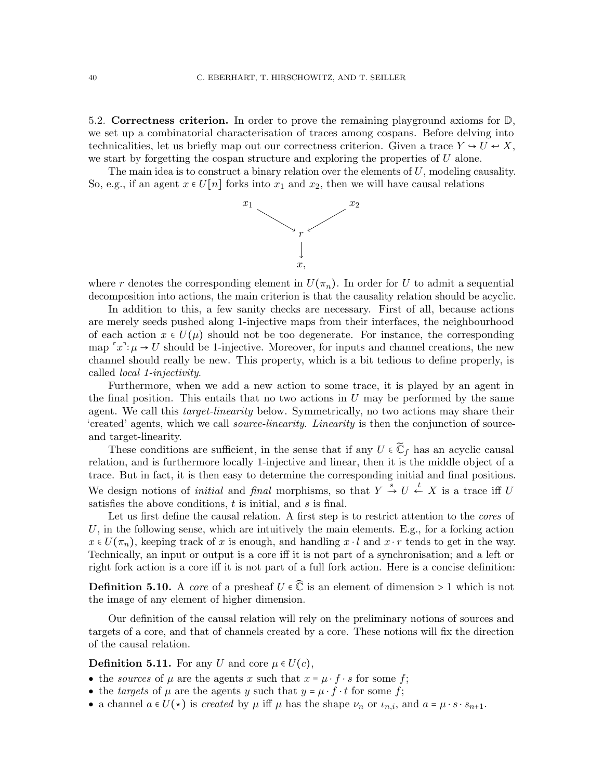<span id="page-39-0"></span>5.2. Correctness criterion. In order to prove the remaining playground axioms for  $\mathbb{D}$ , we set up a combinatorial characterisation of traces among cospans. Before delving into technicalities, let us briefly map out our correctness criterion. Given a trace  $Y \to U \leftrightarrow X$ , we start by forgetting the cospan structure and exploring the properties of  $U$  alone.

The main idea is to construct a binary relation over the elements of  $U$ , modeling causality. So, e.g., if an agent  $x \in U[n]$  forks into  $x_1$  and  $x_2$ , then we will have causal relations



where r denotes the corresponding element in  $U(\pi_n)$ . In order for U to admit a sequential decomposition into actions, the main criterion is that the causality relation should be acyclic.

In addition to this, a few sanity checks are necessary. First of all, because actions are merely seeds pushed along 1-injective maps from their interfaces, the neighbourhood of each action  $x \in U(\mu)$  should not be too degenerate. For instance, the corresponding map  $x^i: \mu \to U$  should be 1-injective. Moreover, for inputs and channel creations, the new channel should really be new. This property, which is a bit tedious to define properly, is called local 1-injectivity.

Furthermore, when we add a new action to some trace, it is played by an agent in the final position. This entails that no two actions in  $U$  may be performed by the same agent. We call this *target-linearity* below. Symmetrically, no two actions may share their 'created' agents, which we call source-linearity. Linearity is then the conjunction of sourceand target-linearity.

These conditions are sufficient, in the sense that if any  $U \in \widetilde{\mathbb{C}}_f$  has an acyclic causal relation, and is furthermore locally 1-injective and linear, then it is the middle object of a trace. But in fact, it is then easy to determine the corresponding initial and final positions. We design notions of *initial* and *final* morphisms, so that  $Y \stackrel{s}{\rightarrow} U \stackrel{t}{\leftarrow} X$  is a trace iff U satisfies the above conditions,  $t$  is initial, and  $s$  is final.

Let us first define the causal relation. A first step is to restrict attention to the *cores* of U, in the following sense, which are intuitively the main elements. E.g., for a forking action  $x \in U(\pi_n)$ , keeping track of x is enough, and handling  $x \cdot l$  and  $x \cdot r$  tends to get in the way. Technically, an input or output is a core iff it is not part of a synchronisation; and a left or right fork action is a core iff it is not part of a full fork action. Here is a concise definition:

**Definition 5.10.** A core of a presheaf  $U \in \mathbb{C}$  is an element of dimension > 1 which is not the image of any element of higher dimension.

Our definition of the causal relation will rely on the preliminary notions of sources and targets of a core, and that of channels created by a core. These notions will fix the direction of the causal relation.

**Definition 5.11.** For any U and core  $\mu \in U(c)$ ,

- the sources of  $\mu$  are the agents x such that  $x = \mu \cdot f \cdot s$  for some f;
- the targets of  $\mu$  are the agents y such that  $y = \mu \cdot f \cdot t$  for some f;
- a channel  $a \in U(*)$  is *created* by  $\mu$  iff  $\mu$  has the shape  $\nu_n$  or  $\iota_{n,i}$ , and  $a = \mu \cdot s \cdot s_{n+1}$ .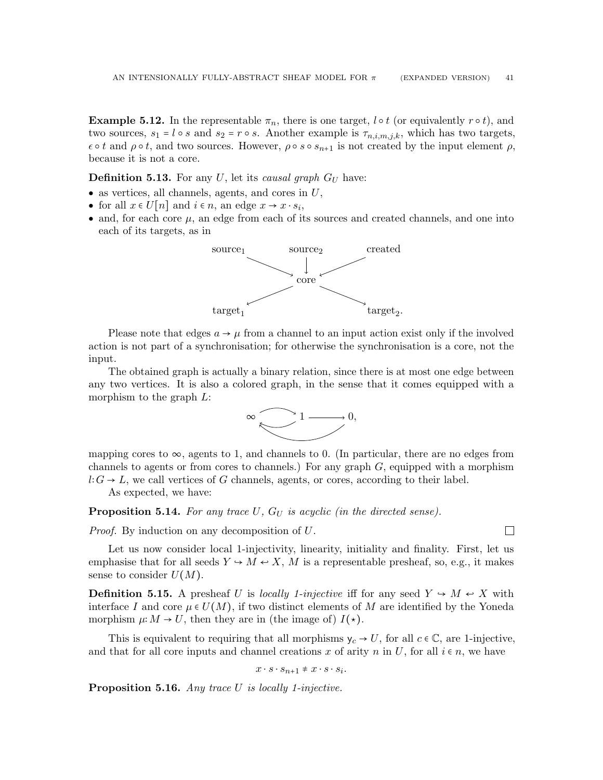**Example 5.12.** In the representable  $\pi_n$ , there is one target, l  $\circ t$  (or equivalently  $r \circ t$ ), and two sources,  $s_1 = l \circ s$  and  $s_2 = r \circ s$ . Another example is  $\tau_{n,i,m,j,k}$ , which has two targets,  $\epsilon \circ t$  and  $\rho \circ t$ , and two sources. However,  $\rho \circ s \circ s_{n+1}$  is not created by the input element  $\rho$ , because it is not a core.

**Definition 5.13.** For any U, let its causal graph  $G_U$  have:

- as vertices, all channels, agents, and cores in  $U$ ,
- for all  $x \in U[n]$  and  $i \in n$ , an edge  $x \to x \cdot s_i$ ,
- and, for each core  $\mu$ , an edge from each of its sources and created channels, and one into each of its targets, as in



Please note that edges  $a \rightarrow \mu$  from a channel to an input action exist only if the involved action is not part of a synchronisation; for otherwise the synchronisation is a core, not the input.

The obtained graph is actually a binary relation, since there is at most one edge between any two vertices. It is also a colored graph, in the sense that it comes equipped with a morphism to the graph L:



mapping cores to  $\infty$ , agents to 1, and channels to 0. (In particular, there are no edges from channels to agents or from cores to channels.) For any graph  $G$ , equipped with a morphism  $l:G \to L$ , we call vertices of G channels, agents, or cores, according to their label.

As expected, we have:

**Proposition 5.14.** For any trace U,  $G_U$  is acyclic (in the directed sense).

Proof. By induction on any decomposition of U.

 $\Box$ 

Let us now consider local 1-injectivity, linearity, initiality and finality. First, let us emphasise that for all seeds  $Y \to M \leftrightarrow X$ , M is a representable presheaf, so, e.g., it makes sense to consider  $U(M)$ .

**Definition 5.15.** A presheaf U is locally 1-injective iff for any seed  $Y \rightarrow M \leftrightarrow X$  with interface I and core  $\mu \in U(M)$ , if two distinct elements of M are identified by the Yoneda morphism  $\mu: M \to U$ , then they are in (the image of)  $I(\star)$ .

This is equivalent to requiring that all morphisms  $y_c \rightarrow U$ , for all  $c \in \mathbb{C}$ , are 1-injective, and that for all core inputs and channel creations x of arity n in U, for all  $i \in n$ , we have

 $x \cdot s \cdot s_{n+1} \neq x \cdot s \cdot s_i.$ 

**Proposition 5.16.** Any trace  $U$  is locally 1-injective.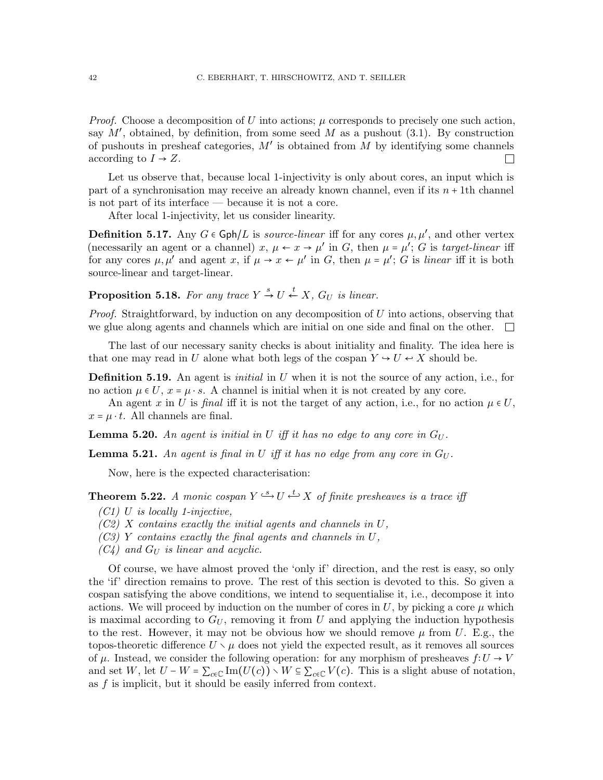*Proof.* Choose a decomposition of U into actions;  $\mu$  corresponds to precisely one such action, say  $M'$ , obtained, by definition, from some seed  $M$  as a pushout [\(3.1\)](#page-20-0). By construction of pushouts in presheaf categories,  $M'$  is obtained from  $M$  by identifying some channels according to  $I \rightarrow Z$ .  $\mathbf{L}$ 

Let us observe that, because local 1-injectivity is only about cores, an input which is part of a synchronisation may receive an already known channel, even if its  $n + 1$ th channel is not part of its interface — because it is not a core.

After local 1-injectivity, let us consider linearity.

**Definition 5.17.** Any  $G \in \text{Gph}/L$  is *source-linear* iff for any cores  $\mu, \mu'$ , and other vertex (necessarily an agent or a channel)  $x, \mu \leftarrow x \rightarrow \mu'$  in G, then  $\mu = \mu'$ ; G is target-linear iff for any cores  $\mu, \mu'$  and agent x, if  $\mu \to x \leftarrow \mu'$  in G, then  $\mu = \mu'$ ; G is linear iff it is both source-linear and target-linear.

**Proposition 5.18.** For any trace  $Y \stackrel{s}{\rightarrow} U \stackrel{t}{\leftarrow} X$ ,  $G_U$  is linear.

*Proof.* Straightforward, by induction on any decomposition of  $U$  into actions, observing that we glue along agents and channels which are initial on one side and final on the other.  $\Box$ 

The last of our necessary sanity checks is about initiality and finality. The idea here is that one may read in U alone what both legs of the cospan  $Y \rightarrow U \leftrightarrow X$  should be.

**Definition 5.19.** An agent is *initial* in U when it is not the source of any action, i.e., for no action  $\mu \in U$ ,  $x = \mu \cdot s$ . A channel is initial when it is not created by any core.

An agent x in U is final iff it is not the target of any action, i.e., for no action  $\mu \in U$ ,  $x = \mu \cdot t$ . All channels are final.

**Lemma 5.20.** An agent is initial in U iff it has no edge to any core in  $G_U$ .

<span id="page-41-5"></span>**Lemma 5.21.** An agent is final in U iff it has no edge from any core in  $G_U$ .

Now, here is the expected characterisation:

<span id="page-41-0"></span>**Theorem 5.22.** A monic cospan  $Y \stackrel{s}{\hookrightarrow} U \stackrel{t}{\hookrightarrow} X$  of finite presheaves is a trace iff

- <span id="page-41-3"></span> $(C1)$  U is locally 1-injective,
- <span id="page-41-1"></span> $(C2)$  X contains exactly the initial agents and channels in U,
- <span id="page-41-2"></span> $(C3)$  Y contains exactly the final agents and channels in U,
- <span id="page-41-4"></span> $(C_4)$  and  $G_U$  is linear and acyclic.

Of course, we have almost proved the 'only if' direction, and the rest is easy, so only the 'if' direction remains to prove. The rest of this section is devoted to this. So given a cospan satisfying the above conditions, we intend to sequentialise it, i.e., decompose it into actions. We will proceed by induction on the number of cores in  $U$ , by picking a core  $\mu$  which is maximal according to  $G_U$ , removing it from U and applying the induction hypothesis to the rest. However, it may not be obvious how we should remove  $\mu$  from U. E.g., the topos-theoretic difference  $U \setminus \mu$  does not yield the expected result, as it removes all sources of  $\mu$ . Instead, we consider the following operation: for any morphism of presheaves  $f:U\to V$ and set W, let  $U - W = \sum_{c \in \mathbb{C}} \text{Im}(U(c)) \setminus W \subseteq \sum_{c \in \mathbb{C}} V(c)$ . This is a slight abuse of notation, as f is implicit, but it should be easily inferred from context.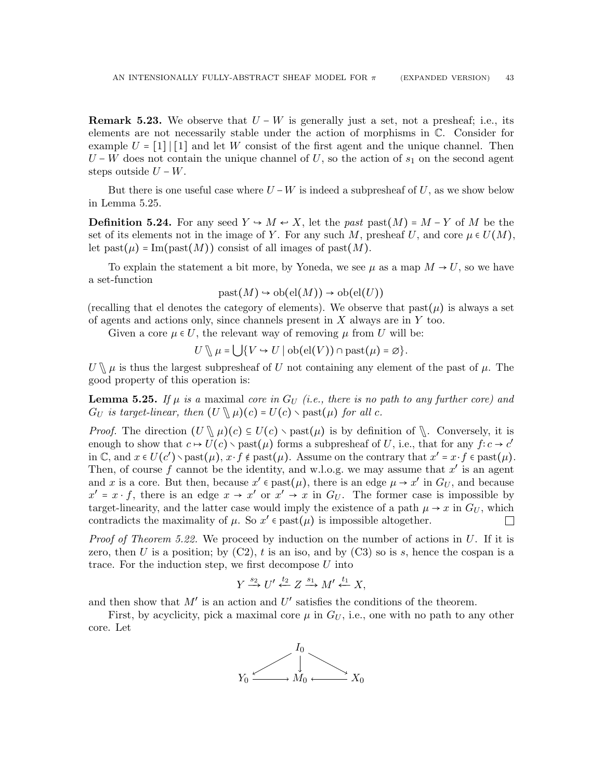**Remark 5.23.** We observe that  $U - W$  is generally just a set, not a presheaf; i.e., its elements are not necessarily stable under the action of morphisms in C. Consider for example  $U = \lfloor 1 \rfloor \lfloor 1 \rfloor$  and let W consist of the first agent and the unique channel. Then  $U - W$  does not contain the unique channel of U, so the action of  $s_1$  on the second agent steps outside  $U - W$ .

But there is one useful case where  $U - W$  is indeed a subpresheaf of U, as we show below in Lemma [5.25.](#page-42-0)

**Definition 5.24.** For any seed  $Y \rightarrow M \leftarrow X$ , let the past past $(M) = M - Y$  of M be the set of its elements not in the image of Y. For any such M, presheaf U, and core  $\mu \in U(M)$ , let past( $\mu$ ) = Im(past(M)) consist of all images of past(M).

To explain the statement a bit more, by Yoneda, we see  $\mu$  as a map  $M \to U$ , so we have a set-function

$$
past(M) \hookrightarrow ob(cl(M)) \to ob(cl(U))
$$

(recalling that el denotes the category of elements). We observe that  $\text{past}(\mu)$  is always a set of agents and actions only, since channels present in  $X$  always are in  $Y$  too.

Given a core  $\mu \in U$ , the relevant way of removing  $\mu$  from U will be:

 $U \setminus \mu = \bigcup \{ V \hookrightarrow U \mid \text{ob}(\text{el}(V)) \cap \text{past}(\mu) = \emptyset \}.$ 

 $U \setminus \mu$  is thus the largest subpresheaf of U not containing any element of the past of  $\mu$ . The good property of this operation is:

<span id="page-42-0"></span>**Lemma 5.25.** If  $\mu$  is a maximal core in  $G_U$  (i.e., there is no path to any further core) and  $G_U$  is target-linear, then  $(U \setminus \mu)(c) = U(c) \setminus \text{past}(\mu)$  for all c.

*Proof.* The direction  $(U \setminus \mu)(c) \subseteq U(c) \setminus \text{past}(\mu)$  is by definition of  $\setminus$ . Conversely, it is enough to show that  $c \mapsto U(c) \setminus \text{past}(\mu)$  forms a subpresheaf of U, i.e., that for any  $f:c \to c'$ in  $\mathbb{C}$ , and  $x \in U(c') \setminus \text{past}(\mu)$ ,  $x \cdot f \notin \text{past}(\mu)$ . Assume on the contrary that  $x' = x \cdot f \in \text{past}(\mu)$ . Then, of course f cannot be the identity, and w.l.o.g. we may assume that  $x'$  is an agent and x is a core. But then, because  $x' \in$  past $(\mu)$ , there is an edge  $\mu \to x'$  in  $G_U$ , and because  $x' = x \cdot f$ , there is an edge  $x \to x'$  or  $x' \to x$  in  $G_U$ . The former case is impossible by target-linearity, and the latter case would imply the existence of a path  $\mu \to x$  in  $G_U$ , which contradicts the maximality of  $\mu$ . So  $x' \in$  past $(\mu)$  is impossible altogether.  $\Box$ 

*Proof of Theorem [5.22.](#page-41-0)* We proceed by induction on the number of actions in  $U$ . If it is zero, then U is a position; by  $(C2)$ , t is an iso, and by  $(C3)$  so is s, hence the cospan is a trace. For the induction step, we first decompose  $U$  into

$$
Y \xrightarrow{s_2} U' \xleftarrow{t_2} Z \xrightarrow{s_1} M' \xleftarrow{t_1} X,
$$

and then show that  $M'$  is an action and  $U'$  satisfies the conditions of the theorem.

First, by acyclicity, pick a maximal core  $\mu$  in  $G_U$ , i.e., one with no path to any other core. Let

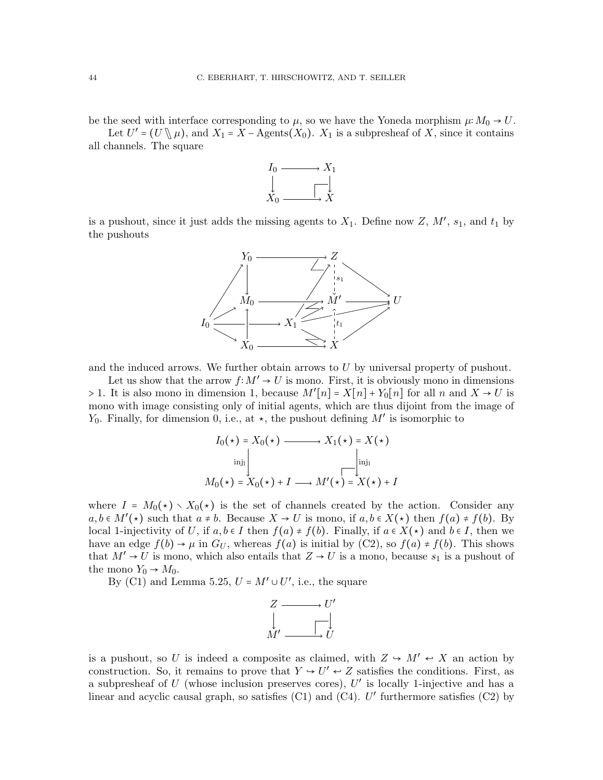be the seed with interface corresponding to  $\mu$ , so we have the Yoneda morphism  $\mu: M_0 \to U$ .

Let  $U' = (U \setminus \mu)$ , and  $X_1 = X - \text{Agents}(X_0)$ .  $X_1$  is a subpresheaf of X, since it contains hannels. The square all channels. The square



is a pushout, since it just adds the missing agents to  $X_1$ . Define now Z,  $M'$ ,  $s_1$ , and  $t_1$  by the pushouts



and the induced arrows. We further obtain arrows to  $U$  by universal property of pushout.

Let us show that the arrow  $f: M' \to U$  is mono. First, it is obviously mono in dimensions > 1. It is also mono in dimension 1, because  $M'[n] = X[n] + Y_0[n]$  for all n and  $X \to U$  is mono with image consisting only of initial agents, which are thus dijoint from the image of  $Y_0$ . Finally, for dimension 0, i.e., at  $\star$ , the pushout defining M' is isomorphic to

$$
I_0(\star) = X_0(\star) \longrightarrow X_1(\star) = X(\star)
$$
  
inj<sub>1</sub>  

$$
M_0(\star) = X_0(\star) + I \longrightarrow M'(\star) = X(\star) + I
$$

where  $I = M_0(\star) \setminus X_0(\star)$  is the set of channels created by the action. Consider any  $a, b \in M'(\star)$  such that  $a \neq b$ . Because  $X \to U$  is mono, if  $a, b \in X(\star)$  then  $f(a) \neq f(b)$ . By local 1-injectivity of U, if  $a, b \in I$  then  $f(a) \neq f(b)$ . Finally, if  $a \in X(\star)$  and  $b \in I$ , then we have an edge  $f(b) \rightarrow \mu$  in  $G_U$ , whereas  $f(a)$  is initial by  $(C2)$ , so  $f(a) \neq f(b)$ . This shows that  $M' \rightarrow U$  is mono, which also entails that  $Z \rightarrow U$  is a mono, because  $s_1$  is a pushout of the mono  $Y_0 \rightarrow M_0$ .

By [\(C1\)](#page-41-3) and Lemma [5.25,](#page-42-0)  $U = M' \cup U'$ , i.e., the square



is a pushout, so U is indeed a composite as claimed, with  $Z \to M' \leftrightarrow X$  an action by construction. So, it remains to prove that  $Y \to U' \leftrightarrow Z$  satisfies the conditions. First, as a subpresheaf of  $U$  (whose inclusion preserves cores),  $U'$  is locally 1-injective and has a linear and acyclic causal graph, so satisfies  $(C1)$  and  $(C4)$ . U' furthermore satisfies  $(C2)$  by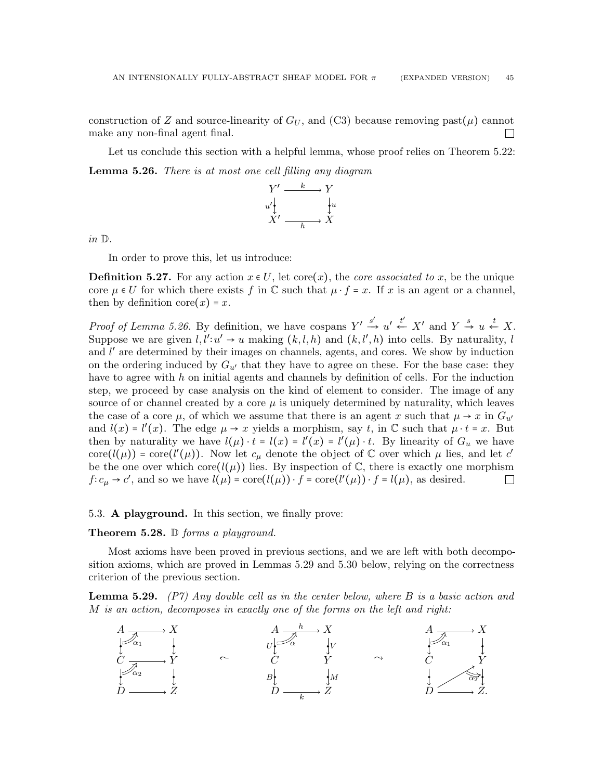construction of Z and source-linearity of  $G_U$ , and [\(C3\)](#page-41-2) because removing past( $\mu$ ) cannot make any non-final agent final.  $\Box$ 

<span id="page-44-1"></span>Let us conclude this section with a helpful lemma, whose proof relies on Theorem [5.22:](#page-41-0) Lemma 5.26. There is at most one cell filling any diagram



in D.

In order to prove this, let us introduce:

<span id="page-44-3"></span>**Definition 5.27.** For any action  $x \in U$ , let core $(x)$ , the *core associated to x*, be the unique core  $\mu \in U$  for which there exists f in  $\mathbb C$  such that  $\mu \cdot f = x$ . If x is an agent or a channel, then by definition core $(x) = x$ .

*Proof of Lemma [5.26.](#page-44-1)* By definition, we have cospans  $Y' \xrightarrow{s'} u' \xleftarrow{t'} X'$  and  $Y \xrightarrow{s} u \xleftarrow{t} X$ . Suppose we are given  $l, l' : u' \to u$  making  $(k, l, h)$  and  $(k, l', h)$  into cells. By naturality, l and  $l'$  are determined by their images on channels, agents, and cores. We show by induction on the ordering induced by  $G_{u'}$  that they have to agree on these. For the base case: they have to agree with  $h$  on initial agents and channels by definition of cells. For the induction step, we proceed by case analysis on the kind of element to consider. The image of any source of or channel created by a core  $\mu$  is uniquely determined by naturality, which leaves the case of a core  $\mu$ , of which we assume that there is an agent x such that  $\mu \to x$  in  $G_{u'}$ and  $l(x) = l'(x)$ . The edge  $\mu \to x$  yields a morphism, say t, in  $\mathbb C$  such that  $\mu \cdot t = x$ . But then by naturality we have  $l(\mu) \cdot t = l(x) = l'(x) - l'(\mu) \cdot t$ . By linearity of  $G_u$  we have core( $l(\mu)$ ) = core( $l'(\mu)$ ). Now let  $c_{\mu}$  denote the object of  $\mathbb C$  over which  $\mu$  lies, and let c' be the one over which core $(l(\mu))$  lies. By inspection of  $\mathbb{C}$ , there is exactly one morphism  $f: c_{\mu} \to c'$ , and so we have  $l(\mu) = \text{core}(l(\mu)) \cdot f = \text{core}(l'(\mu)) \cdot f = l(\mu)$ , as desired.  $\Box$ 

#### <span id="page-44-0"></span>5.3. A playground. In this section, we finally prove:

#### **Theorem 5.28.**  $\mathbb{D}$  forms a playground.

Most axioms have been proved in previous sections, and we are left with both decomposition axioms, which are proved in Lemmas [5.29](#page-44-2) and [5.30](#page-45-0) below, relying on the correctness criterion of the previous section.

<span id="page-44-2"></span>**Lemma 5.29.** [\(P7\)](#page-15-1) Any double cell as in the center below, where  $B$  is a basic action and M is an action, decomposes in exactly one of the forms on the left and right:

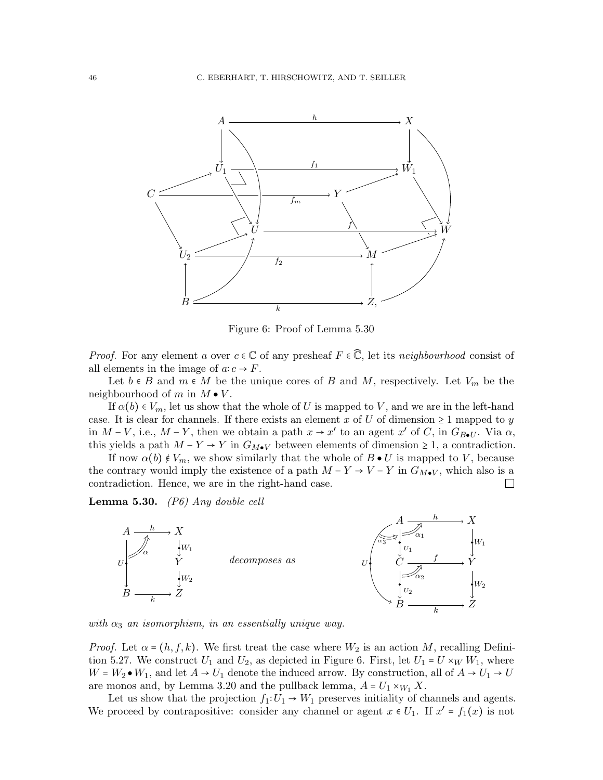

<span id="page-45-1"></span>Figure 6: Proof of Lemma [5.30](#page-45-0)

*Proof.* For any element a over  $c \in \mathbb{C}$  of any presheaf  $F \in \mathbb{C}$ , let its neighbourhood consist of all elements in the image of  $a: c \rightarrow F$ .

Let  $b \in B$  and  $m \in M$  be the unique cores of B and M, respectively. Let  $V_m$  be the neighbourhood of m in  $M \bullet V$ .

If  $\alpha(b) \in V_m$ , let us show that the whole of U is mapped to V, and we are in the left-hand case. It is clear for channels. If there exists an element x of U of dimension  $\geq 1$  mapped to y in  $M-V$ , i.e.,  $M-Y$ , then we obtain a path  $x \to x'$  to an agent  $x'$  of C, in  $G_{B\bullet U}$ . Via  $\alpha$ , this yields a path  $M - Y \rightarrow Y$  in  $G_{M\bullet V}$  between elements of dimension  $\geq 1$ , a contradiction.

If now  $\alpha(b) \notin V_m$ , we show similarly that the whole of  $B \bullet U$  is mapped to V, because the contrary would imply the existence of a path  $M - Y \rightarrow V - Y$  in  $G_{M\bullet V}$ , which also is a contradiction. Hence, we are in the right-hand case.  $\Box$ 

<span id="page-45-0"></span>**Lemma 5.30.** [\(P6\)](#page-15-0) Any double cell



with  $\alpha_3$  an isomorphism, in an essentially unique way.

*Proof.* Let  $\alpha = (h, f, k)$ . We first treat the case where  $W_2$  is an action M, recalling Defini-tion [5.27.](#page-44-3) We construct  $U_1$  and  $U_2$ , as depicted in Figure [6.](#page-45-1) First, let  $U_1 = U \times_W W_1$ , where  $W = W_2 \bullet W_1$ , and let  $A \to U_1$  denote the induced arrow. By construction, all of  $A \to U_1 \to U$ are monos and, by Lemma [3.20](#page-22-0) and the pullback lemma,  $A = U_1 \times_{W_1} X$ .

Let us show that the projection  $f_1: U_1 \to W_1$  preserves initiality of channels and agents. We proceed by contrapositive: consider any channel or agent  $x \in U_1$ . If  $x' = f_1(x)$  is not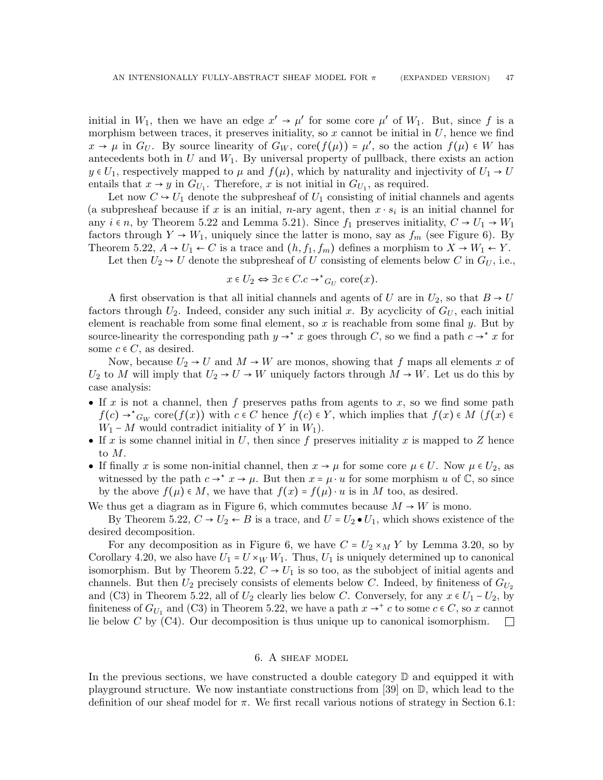initial in  $W_1$ , then we have an edge  $x' \to \mu'$  for some core  $\mu'$  of  $W_1$ . But, since f is a morphism between traces, it preserves initiality, so  $x$  cannot be initial in  $U$ , hence we find  $x \to \mu$  in  $G_U$ . By source linearity of  $G_W$ , core $(f(\mu)) = \mu'$ , so the action  $f(\mu) \in W$  has antecedents both in  $U$  and  $W_1$ . By universal property of pullback, there exists an action  $y \in U_1$ , respectively mapped to  $\mu$  and  $f(\mu)$ , which by naturality and injectivity of  $U_1 \rightarrow U$ entails that  $x \to y$  in  $G_{U_1}$ . Therefore, x is not initial in  $G_{U_1}$ , as required.

Let now  $C \rightarrow U_1$  denote the subpresheaf of  $U_1$  consisting of initial channels and agents (a subpresheaf because if x is an initial, n-ary agent, then  $x \cdot s_i$  is an initial channel for any  $i \in n$ , by Theorem [5.22](#page-41-0) and Lemma [5.21\)](#page-41-5). Since  $f_1$  preserves initiality,  $C \rightarrow U_1 \rightarrow W_1$ factors through  $Y \to W_1$ , uniquely since the latter is mono, say as  $f_m$  (see Figure [6\)](#page-45-1). By Theorem [5.22,](#page-41-0)  $A \rightarrow U_1 \leftarrow C$  is a trace and  $(h, f_1, f_m)$  defines a morphism to  $X \rightarrow W_1 \leftarrow Y$ .

Let then  $U_2 \rightarrow U$  denote the subpresheaf of U consisting of elements below C in  $G_U$ , i.e.,

$$
x \in U_2 \Leftrightarrow \exists c \in C. c \rightarrow^{\star} G_U \text{ core}(x).
$$

A first observation is that all initial channels and agents of U are in  $U_2$ , so that  $B \to U$ factors through  $U_2$ . Indeed, consider any such initial x. By acyclicity of  $G_U$ , each initial element is reachable from some final element, so  $x$  is reachable from some final  $y$ . But by source-linearity the corresponding path  $y \to^* x$  goes through C, so we find a path  $c \to^* x$  for some  $c \in C$ , as desired.

Now, because  $U_2 \rightarrow U$  and  $M \rightarrow W$  are monos, showing that f maps all elements x of  $U_2$  to M will imply that  $U_2 \rightarrow U \rightarrow W$  uniquely factors through  $M \rightarrow W$ . Let us do this by case analysis:

- If x is not a channel, then f preserves paths from agents to x, so we find some path  $f(c) \rightarrow^* G_W \text{ core}(f(x))$  with  $c \in C$  hence  $f(c) \in Y$ , which implies that  $f(x) \in M$   $(f(x) \in Y)$  $W_1 - M$  would contradict initiality of Y in  $W_1$ ).
- If x is some channel initial in U, then since f preserves initiality x is mapped to Z hence to M.
- If finally x is some non-initial channel, then  $x \to \mu$  for some core  $\mu \in U$ . Now  $\mu \in U_2$ , as witnessed by the path  $c \to^* x \to \mu$ . But then  $x = \mu \cdot u$  for some morphism u of  $\mathbb{C}$ , so since by the above  $f(\mu) \in M$ , we have that  $f(x) = f(\mu) \cdot u$  is in M too, as desired.

We thus get a diagram as in Figure [6,](#page-45-1) which commutes because  $M \rightarrow W$  is mono.

By Theorem [5.22,](#page-41-0)  $C \rightarrow U_2 \leftarrow B$  is a trace, and  $U = U_2 \bullet U_1$ , which shows existence of the desired decomposition.

For any decomposition as in Figure [6,](#page-45-1) we have  $C = U_2 \times_M Y$  by Lemma [3.20,](#page-22-0) so by Corollary [4.20,](#page-33-0) we also have  $U_1 = U \times_W W_1$ . Thus,  $U_1$  is uniquely determined up to canonical isomorphism. But by Theorem [5.22,](#page-41-0)  $C \rightarrow U_1$  is so too, as the subobject of initial agents and channels. But then  $U_2$  precisely consists of elements below C. Indeed, by finiteness of  $G_{U_2}$ and [\(C3\)](#page-41-2) in Theorem [5.22,](#page-41-0) all of  $U_2$  clearly lies below C. Conversely, for any  $x \in U_1 - U_2$ , by finiteness of  $G_{U_1}$  and [\(C3\)](#page-41-2) in Theorem [5.22,](#page-41-0) we have a path  $x \to^+ c$  to some  $c \in C$ , so x cannot lie below  $C$  by  $(C4)$ . Our decomposition is thus unique up to canonical isomorphism.

### 6. A sheaf model

<span id="page-46-0"></span>In the previous sections, we have constructed a double category  $\mathbb D$  and equipped it with playground structure. We now instantiate constructions from [\[39\]](#page-66-0) on D, which lead to the definition of our sheaf model for  $\pi$ . We first recall various notions of strategy in Section [6.1:](#page-47-0)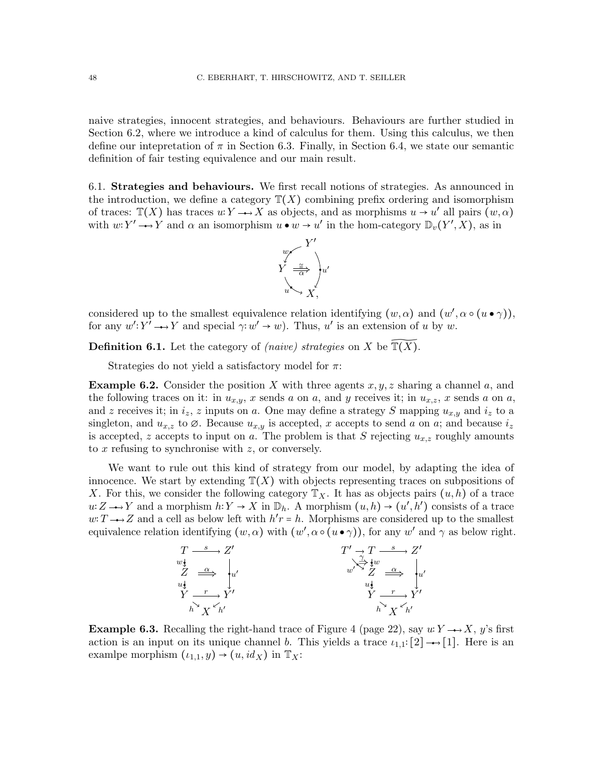naive strategies, innocent strategies, and behaviours. Behaviours are further studied in Section [6.2,](#page-49-0) where we introduce a kind of calculus for them. Using this calculus, we then define our intepretation of  $\pi$  in Section [6.3.](#page-51-0) Finally, in Section [6.4,](#page-52-1) we state our semantic definition of fair testing equivalence and our main result.

<span id="page-47-0"></span>6.1. Strategies and behaviours. We first recall notions of strategies. As announced in the introduction, we define a category  $\mathbb{T}(X)$  combining prefix ordering and isomorphism of traces:  $\mathbb{T}(X)$  has traces  $u: Y \longrightarrow X$  as objects, and as morphisms  $u \to u'$  all pairs  $(w, \alpha)$ with  $w: Y' \longrightarrow Y$  and  $\alpha$  an isomorphism  $u \bullet w \to u'$  in the hom-category  $\mathbb{D}_v(Y', X)$ , as in



considered up to the smallest equivalence relation identifying  $(w, \alpha)$  and  $(w', \alpha \circ (u \bullet \gamma))$ , for any  $w': Y' \longrightarrow Y$  and special  $\gamma: w' \to w$ ). Thus, u' is an extension of u by w.

**Definition 6.1.** Let the category of *(naive)* strategies on X be  $\mathbb{T}(\overline{X})$ .

Strategies do not yield a satisfactory model for  $\pi$ :

<span id="page-47-1"></span>**Example 6.2.** Consider the position X with three agents  $x, y, z$  sharing a channel a, and the following traces on it: in  $u_{x,y}$ , x sends a on a, and y receives it; in  $u_{x,z}$ , x sends a on a, and z receives it; in  $i_z$ , z inputs on a. One may define a strategy S mapping  $u_{x,y}$  and  $i_z$  to a singleton, and  $u_{x,z}$  to  $\emptyset$ . Because  $u_{x,y}$  is accepted, x accepts to send a on a; and because  $i_z$ is accepted, z accepts to input on a. The problem is that S rejecting  $u_{x,z}$  roughly amounts to x refusing to synchronise with z, or conversely.

We want to rule out this kind of strategy from our model, by adapting the idea of innocence. We start by extending  $\mathbb{T}(X)$  with objects representing traces on subpositions of X. For this, we consider the following category  $\mathbb{T}_X$ . It has as objects pairs  $(u, h)$  of a trace  $u: Z \longrightarrow Y$  and a morphism  $h: Y \to X$  in  $\mathbb{D}_h$ . A morphism  $(u, h) \to (u', h')$  consists of a trace w: T  $\rightarrow$  Z and a cell as below left with  $h'r = h$ . Morphisms are considered up to the smallest equivalence relation identifying  $(w, \alpha)$  with  $(w', \alpha \circ (u \bullet \gamma))$ , for any  $w'$  and  $\gamma$  as below right.



**Example 6.3.** Recalling the right-hand trace of Figure [4](#page-21-0) (page [22\)](#page-21-0), say  $u: Y \rightarrow X$ , y's first action is an input on its unique channel b. This yields a trace  $\iota_{1,1}:[2] \rightarrow [1]$ . Here is an examing morphism  $(\iota_{1,1}, y) \rightarrow (\iota, id_X)$  in  $\mathbb{T}_X$ :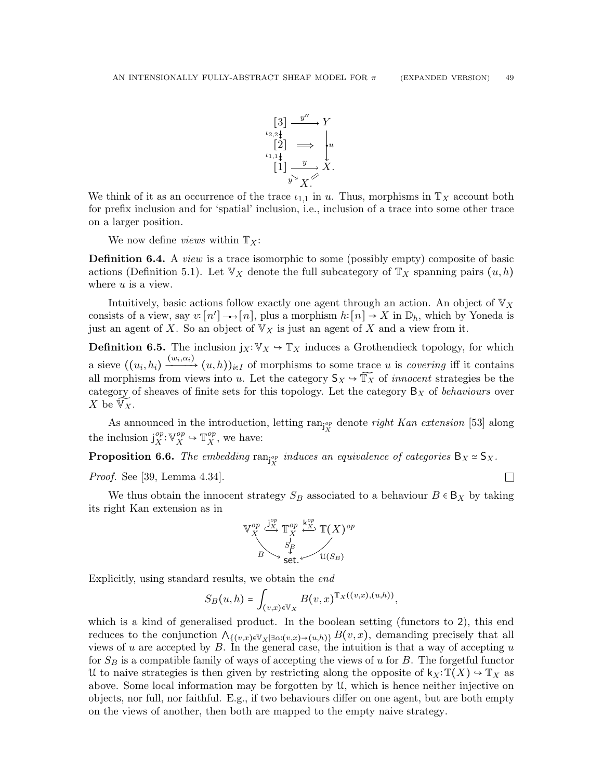$\Box$ 



We think of it as an occurrence of the trace  $\iota_{1,1}$  in u. Thus, morphisms in  $\mathbb{T}_X$  account both for prefix inclusion and for 'spatial' inclusion, i.e., inclusion of a trace into some other trace on a larger position.

We now define *views* within  $\mathbb{T}_X$ :

**Definition 6.4.** A *view* is a trace isomorphic to some (possibly empty) composite of basic actions (Definition [5.1\)](#page-37-1). Let  $\mathbb{V}_X$  denote the full subcategory of  $\mathbb{T}_X$  spanning pairs  $(u, h)$ where u is a view.

Intuitively, basic actions follow exactly one agent through an action. An object of  $\mathbb{V}_X$ consists of a view, say  $v: [n'] \longrightarrow [n]$ , plus a morphism  $h: [n] \to X$  in  $\mathbb{D}_h$ , which by Yoneda is just an agent of X. So an object of  $\mathbb{V}_X$  is just an agent of X and a view from it.

**Definition 6.5.** The inclusion  $j_X: V_X \to T_X$  induces a Grothendieck topology, for which a sieve  $((u_i, h_i) \xrightarrow{(w_i, \alpha_i)} (u, h))_{i \in I}$  of morphisms to some trace u is *covering* iff it contains all morphisms from views into u. Let the category  $S_X \to \mathbb{T}_X$  of *innocent* strategies be the category of sheaves of finite sets for this topology. Let the category  $B_X$  of behaviours over X be  $\widetilde{\mathbb{V}_X}$ .

As announced in the introduction, letting  $\text{ran}_{j_X^{op}}$  denote *right Kan extension* [\[53\]](#page-67-0) along the inclusion  $j_{x}^{op}$  $_{X}^{op}: \mathbb{V}_{X}^{op} \rightarrow \mathbb{T}_{X}^{op}$  $X^{op}$ , we have:

<span id="page-48-0"></span>**Proposition 6.6.** The embedding  $\text{ran}_{j_X^{op}}$  induces an equivalence of categories  $B_X \simeq S_X$ .

Proof. See [\[39,](#page-66-0) Lemma 4.34].

We thus obtain the innocent strategy  $S_B$  associated to a behaviour  $B \in B_X$  by taking its right Kan extension as in



Explicitly, using standard results, we obtain the end

$$
S_B(u,h)=\int_{(v,x)\in \mathbb{V}_X}B(v,x)^{\mathbb{T}_X((v,x),(u,h))},
$$

which is a kind of generalised product. In the boolean setting (functors to 2), this end reduces to the conjunction  $\bigwedge_{\{(v,x)\in\mathbb{V}_X|\exists\alpha:(v,x)\to(u,h)\}} B(v,x)$ , demanding precisely that all views of u are accepted by  $B$ . In the general case, the intuition is that a way of accepting u for  $S_B$  is a compatible family of ways of accepting the views of u for B. The forgetful functor U to naive strategies is then given by restricting along the opposite of  $k_X$ :  $\mathbb{T}(X) \to \mathbb{T}_X$  as above. Some local information may be forgotten by  $\mathcal{U}$ , which is hence neither injective on objects, nor full, nor faithful. E.g., if two behaviours differ on one agent, but are both empty on the views of another, then both are mapped to the empty naive strategy.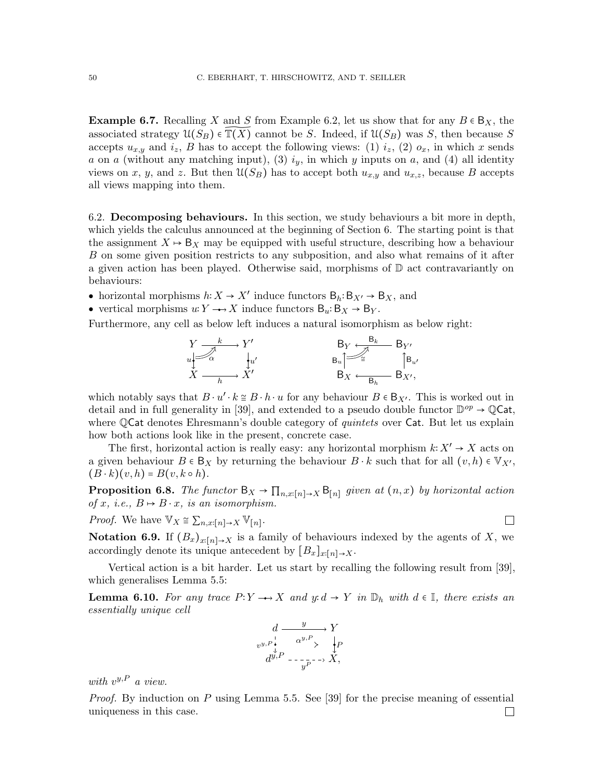**Example 6.7.** Recalling X and S from Example [6.2,](#page-47-1) let us show that for any  $B \in B_X$ , the associated strategy  $\mathfrak{U}(S_B) \in \overline{\mathbb{T}(X)}$  cannot be S. Indeed, if  $\mathfrak{U}(S_B)$  was S, then because S accepts  $u_{x,y}$  and  $i_z$ , B has to accept the following views: (1)  $i_z$ , (2)  $o_x$ , in which x sends a on a (without any matching input), (3)  $i_y$ , in which y inputs on a, and (4) all identity views on x, y, and z. But then  $\mathfrak{U}(S_B)$  has to accept both  $u_{x,y}$  and  $u_{x,z}$ , because B accepts all views mapping into them.

<span id="page-49-0"></span>6.2. Decomposing behaviours. In this section, we study behaviours a bit more in depth, which yields the calculus announced at the beginning of Section [6.](#page-46-0) The starting point is that the assignment  $X \mapsto B_X$  may be equipped with useful structure, describing how a behaviour B on some given position restricts to any subposition, and also what remains of it after a given action has been played. Otherwise said, morphisms of D act contravariantly on behaviours:

- horizontal morphisms  $h: X \to X'$  induce functors  $B_h: B_{X'} \to B_X$ , and
- vertical morphisms  $u: Y \longrightarrow X$  induce functors  $B_u:B_X \to B_Y$ .

Furthermore, any cell as below left induces a natural isomorphism as below right:

$$
\begin{array}{ccc}\nY & \xrightarrow{k} & Y' & & \xrightarrow{B_Y} & \xrightarrow{B_k} & \xrightarrow{B_Y'} \\
\downarrow{w'} & & & & \searrow & \xrightarrow{B_w} & \xrightarrow{B_w} \\
X & & & & & \xrightarrow{B_w} & \xrightarrow{B_k} & \xrightarrow{B_N'} \\
& & & & & & \xrightarrow{B_k} & \xrightarrow{B_N'} \\
& & & & & & \xrightarrow{B_k} & \xrightarrow{B_N'} \\
& & & & & & \xrightarrow{B_k} & \xrightarrow{B_N'} \\
& & & & & & & \xrightarrow{B_N} & \xrightarrow{B_N'} & \xrightarrow{B_N'} & \xrightarrow{B_N'} & \xrightarrow{B_N'} & \xrightarrow{B_N'} & \xrightarrow{B_N'} & \xrightarrow{B_N'} & \xrightarrow{B_N'} & \xrightarrow{B_N'} & \xrightarrow{B_N'} & \xrightarrow{B_N'} & \xrightarrow{B_N'} & \xrightarrow{B_N'} & \xrightarrow{B_N'} & \xrightarrow{B_N'} & \xrightarrow{B_N'} & \xrightarrow{B_N'} & \xrightarrow{B_N'} & \xrightarrow{B_N'} & \xrightarrow{B_N'} & \xrightarrow{B_N'} & \xrightarrow{B_N'} & \xrightarrow{B_N'} & \xrightarrow{B_N'} & \xrightarrow{B_N'} & \xrightarrow{B_N'} & \xrightarrow{B_N'} & \xrightarrow{B_N'} & \xrightarrow{B_N'} & \xrightarrow{B_N'} & \xrightarrow{B_N'} & \xrightarrow{B_N'} & \xrightarrow{B_N'} & \xrightarrow{B_N'} & \xrightarrow{B_N'} & \xrightarrow{B_N'} & \xrightarrow{B_N'} & \xrightarrow{B_N'} & \xrightarrow{B_N'} & \xrightarrow{B_N'} & \xrightarrow{B_N'} & \xrightarrow{B_N'} & \xrightarrow{B_N'} & \xrightarrow{B_N'} & \xrightarrow{B_N'} & \xrightarrow{B_N'} & \xrightarrow{B_N'} & \xrightarrow{B_N'} &
$$

which notably says that  $B \cdot u' \cdot k \cong B \cdot h \cdot u$  for any behaviour  $B \in B_{X'}$ . This is worked out in detail and in full generality in [\[39\]](#page-66-0), and extended to a pseudo double functor  $\mathbb{D}^{op} \to \mathbb{Q}$ Cat, where QCat denotes Ehresmann's double category of *quintets* over Cat. But let us explain how both actions look like in the present, concrete case.

The first, horizontal action is really easy: any horizontal morphism  $k: X' \to X$  acts on a given behaviour  $B \in \mathsf{B}_X$  by returning the behaviour  $B \cdot k$  such that for all  $(v, h) \in \mathbb{V}_{X'}$ ,  $(B \cdot k)(v, h) = B(v, k \circ h).$ 

<span id="page-49-1"></span>**Proposition 6.8.** The functor  $B_X \to \prod_{n,x:[n]\to X} B_{[n]}$  given at  $(n,x)$  by horizontal action of x, i.e.,  $B \mapsto B \cdot x$ , is an isomorphism.

 $\Box$ 

*Proof.* We have  $\mathbb{V}_X \cong \sum_{n,x:[n]\to X} \mathbb{V}_{[n]}$ .

<span id="page-49-2"></span>Notation 6.9. If  $(B_x)_{x:[n]\to X}$  is a family of behaviours indexed by the agents of X, we accordingly denote its unique antecedent by  $[B_x]_{x:[n]\to X}$ .

Vertical action is a bit harder. Let us start by recalling the following result from [\[39\]](#page-66-0), which generalises Lemma [5.5:](#page-38-0)

**Lemma 6.10.** For any trace  $P: Y \longrightarrow X$  and  $y: d \to Y$  in  $\mathbb{D}_h$  with  $d \in \mathbb{I}$ , there exists an essentially unique cell

$$
d \xrightarrow{y} Y
$$
  
\n
$$
v^{y,P} \xleftarrow{\downarrow}_{\stackrel{\downarrow}{\downarrow}} \exists \frac{q^{y,P}}{\exists \exists \Rightarrow} \qquad \downarrow P
$$
  
\n
$$
d^{y,P} \xleftarrow{\downarrow} \neg p \xrightarrow{\downarrow} X,
$$

with  $v^{y,P}$  a view.

*Proof.* By induction on P using Lemma [5.5.](#page-38-0) See [\[39\]](#page-66-0) for the precise meaning of essential uniqueness in this case. $\Box$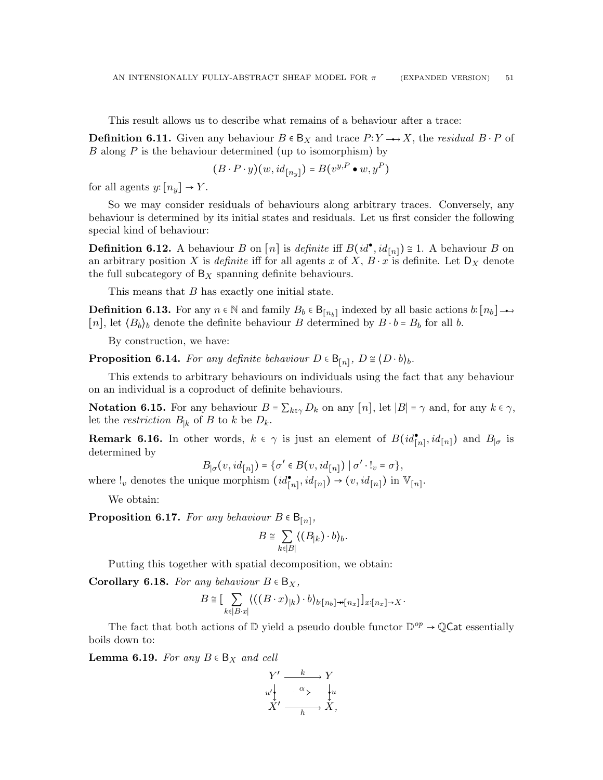This result allows us to describe what remains of a behaviour after a trace:

<span id="page-50-1"></span>**Definition 6.11.** Given any behaviour  $B \in B_X$  and trace  $P: Y \rightarrow X$ , the residual  $B \cdot P$  of  $B$  along  $P$  is the behaviour determined (up to isomorphism) by

$$
(B \cdot P \cdot y)(w, id_{[n_y]}) = B(v^{y,P} \bullet w, y^P)
$$

for all agents  $y: [n_y] \rightarrow Y$ .

So we may consider residuals of behaviours along arbitrary traces. Conversely, any behaviour is determined by its initial states and residuals. Let us first consider the following special kind of behaviour:

<span id="page-50-0"></span>**Definition 6.12.** A behaviour B on [n] is definite iff  $B(id^{\bullet}, id_{[n]}) \cong 1$ . A behaviour B on an arbitrary position X is *definite* iff for all agents x of X,  $B \cdot x$  is definite. Let  $D<sub>X</sub>$  denote the full subcategory of  $B_X$  spanning definite behaviours.

This means that B has exactly one initial state.

**Definition 6.13.** For any  $n \in \mathbb{N}$  and family  $B_b \in \mathsf{B}_{[n_b]}$  indexed by all basic actions  $b: [n_b]$ [n], let  $\{B_b\}_b$  denote the definite behaviour B determined by  $B \cdot b = B_b$  for all b.

By construction, we have:

**Proposition 6.14.** For any definite behaviour  $D \in \mathsf{B}_{[n]}$ ,  $D \cong \langle D \cdot b \rangle_b$ .

This extends to arbitrary behaviours on individuals using the fact that any behaviour on an individual is a coproduct of definite behaviours.

<span id="page-50-2"></span>**Notation 6.15.** For any behaviour  $B = \sum_{k \in \gamma} D_k$  on any  $[n]$ , let  $|B| = \gamma$  and, for any  $k \in \gamma$ , let the *restriction*  $B_{|k}$  of B to k be  $D_k$ .

**Remark 6.16.** In other words,  $k \in \gamma$  is just an element of  $B(id_{[n]}^{\bullet}, id_{[n]})$  and  $B_{|\sigma}$  is determined by

$$
B_{|\sigma}(v, id_{[n]}) = \{ \sigma' \in B(v, id_{[n]}) \mid \sigma' \cdot !_{v} = \sigma \},
$$

where  $!_v$  denotes the unique morphism  $(id_{[n]}^{\bullet}, id_{[n]}) \to (v, id_{[n]})$  in  $\mathbb{V}_{[n]}$ .

We obtain:

**Proposition 6.17.** For any behaviour  $B \in B_{[n]}$ ,

$$
B \cong \sum_{k \in |B|} \langle (B_{|k}) \cdot b \rangle_b.
$$

Putting this together with spatial decomposition, we obtain:

**Corollary 6.18.** For any behaviour  $B \in B_X$ ,

$$
B \cong \left[ \sum_{k \in |B \cdot x|} \langle ((B \cdot x)_{|k}) \cdot b \rangle_{b : [n_b] \rightarrow [n_x]} \right]_{x : [n_x] \rightarrow X}.
$$

The fact that both actions of  $\mathbb D$  yield a pseudo double functor  $\mathbb D^{op} \to \mathbb Q$ Cat essentially boils down to:

**Lemma 6.19.** For any  $B \in B_X$  and cell

$$
Y' \xrightarrow{k} Y
$$
  
\n
$$
u' \downarrow \xrightarrow{a} u
$$
  
\n
$$
X' \xrightarrow{h} X,
$$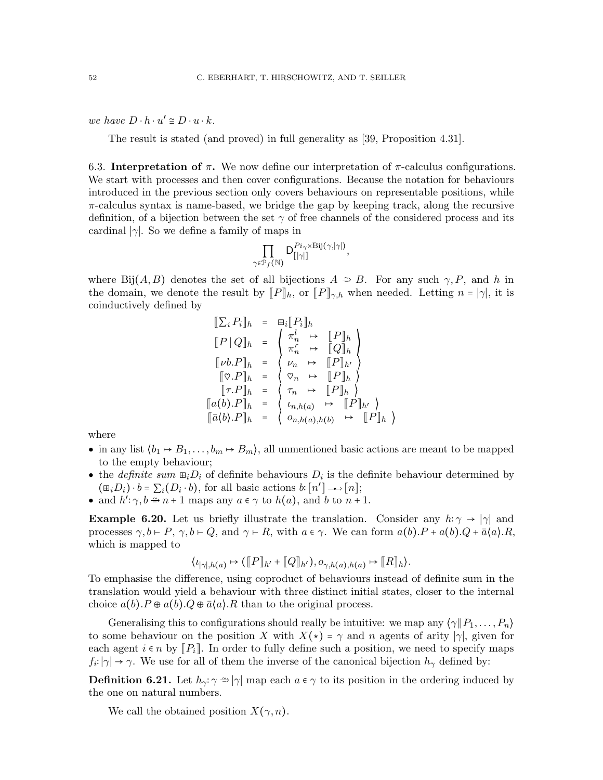we have  $D \cdot h \cdot u' \cong D \cdot u \cdot k$ .

The result is stated (and proved) in full generality as [\[39,](#page-66-0) Proposition 4.31].

<span id="page-51-0"></span>6.3. Interpretation of  $\pi$ . We now define our interpretation of  $\pi$ -calculus configurations. We start with processes and then cover configurations. Because the notation for behaviours introduced in the previous section only covers behaviours on representable positions, while  $\pi$ -calculus syntax is name-based, we bridge the gap by keeping track, along the recursive definition, of a bijection between the set  $\gamma$  of free channels of the considered process and its cardinal  $|\gamma|$ . So we define a family of maps in

$$
\prod_{\gamma \in \mathcal{P}_f(\mathbb{N})} \mathsf{D}_{[|\gamma|]}^{Pi_{\gamma} \times \mathrm{Bij}(\gamma, |\gamma|)},
$$

where Bij $(A, B)$  denotes the set of all bijections  $A \cong B$ . For any such  $\gamma, P$ , and h in the domain, we denote the result by  $[ P ]_h$ , or  $[ P ]_{\gamma,h}$  when needed. Letting  $n = |\gamma|$ , it is coinductively defined by

$$
\begin{array}{rcl}\n\llbracket \sum_i P_i \rrbracket_h & = & \boxplus_i \llbracket P_i \rrbracket_h \\
\llbracket P \mid Q \rrbracket_h & = & \begin{cases} \pi_n^l & \mapsto & \llbracket P \rrbracket_h \\
\pi_n^r & \mapsto & \llbracket Q \rrbracket_h \\
\llbracket v b. P \rrbracket_h & = & \begin{cases} \nu_n & \mapsto & \llbracket P \rrbracket_h \\
\forall n & \mapsto & \llbracket P \rrbracket_h\n\end{cases} \\
\llbracket \tau. P \rrbracket_h & = & \begin{cases} \n\pi_n & \mapsto & \llbracket P \rrbracket_h \\
\pi_n h(a) & \mapsto & \llbracket P \rrbracket_h\n\end{cases} \\
\llbracket \bar{a}(b). P \rrbracket_h & = & \begin{cases} \n\iota_{n,h(a)} & \mapsto & \llbracket P \rrbracket_h \\
\forall_{n,h(a),h(b)} & \mapsto & \llbracket P \rrbracket_h\n\end{cases}\n\end{array}
$$

where

- in any list  $\langle b_1 \mapsto B_1, \ldots, b_m \mapsto B_m \rangle$ , all unmentioned basic actions are meant to be mapped to the empty behaviour;
- the *definite sum*  $\mathbb{E}_i D_i$  of definite behaviours  $D_i$  is the definite behaviour determined by  $(\mathbb{E}_i D_i) \cdot b = \sum_i (D_i \cdot b)$ , for all basic actions  $b: [n'] \longrightarrow [n]$ ;
- and  $h'$ :  $\gamma, b \Rightarrow n+1$  maps any  $a \in \gamma$  to  $h(a)$ , and b to  $n+1$ .

**Example 6.20.** Let us briefly illustrate the translation. Consider any  $h: \gamma \to |\gamma|$  and processes  $\gamma, b \vdash P, \gamma, b \vdash Q$ , and  $\gamma \vdash R$ , with  $a \in \gamma$ . We can form  $a(b).P + a(b).Q + \bar{a}\langle a \rangle \cdot R$ , which is mapped to

$$
\langle \iota_{|\gamma|,h(a)} \mapsto (\llbracket P \rrbracket_{h'} + \llbracket Q \rrbracket_{h'}), o_{\gamma,h(a),h(a)} \mapsto \llbracket R \rrbracket_h \rangle.
$$

To emphasise the difference, using coproduct of behaviours instead of definite sum in the translation would yield a behaviour with three distinct initial states, closer to the internal choice  $a(b).P \oplus a(b).Q \oplus \overline{a}\langle a \rangle.R$  than to the original process.

Generalising this to configurations should really be intuitive: we map any  $\langle \gamma \| P_1, \ldots, P_n \rangle$ to some behaviour on the position X with  $X(\star) = \gamma$  and n agents of arity | $\gamma$ |, given for each agent  $i \in n$  by  $\llbracket P_i \rrbracket$ . In order to fully define such a position, we need to specify maps  $f_i: |\gamma| \to \gamma$ . We use for all of them the inverse of the canonical bijection  $h_\gamma$  defined by:

**Definition 6.21.** Let  $h_{\gamma}$ :  $\gamma \Rightarrow |\gamma|$  map each  $a \in \gamma$  to its position in the ordering induced by the one on natural numbers.

We call the obtained position  $X(\gamma, n)$ .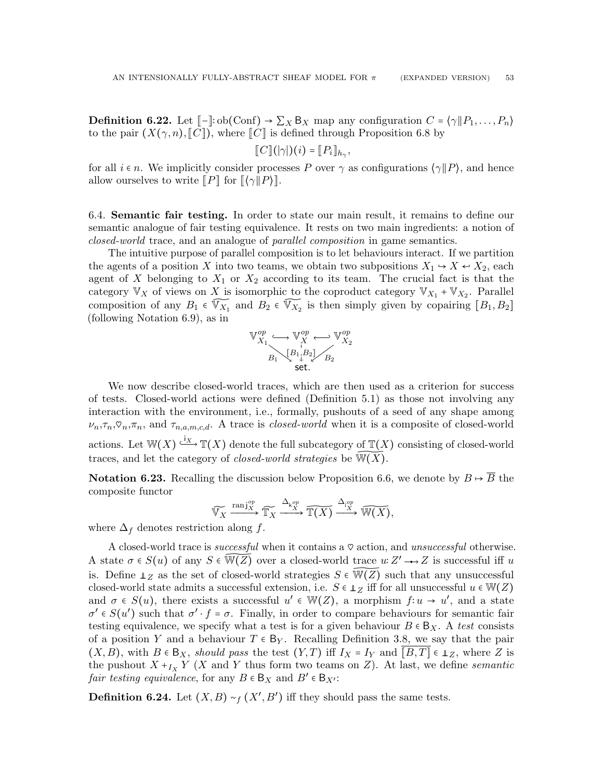<span id="page-52-2"></span>**Definition 6.22.** Let  $\llbracket - \rrbracket$ : ob(Conf) →  $\sum_{X} B_X$  map any configuration  $C = \langle \gamma \Vert P_1, \ldots, P_n \rangle$ to the pair  $(X(\gamma, n), \llbracket C \rrbracket)$ , where  $\llbracket C \rrbracket$  is defined through Proposition [6.8](#page-49-1) by

$$
[[C]](|\gamma|)(i) = [[P_i]]_{h_\gamma},
$$

for all  $i \in n$ . We implicitly consider processes P over  $\gamma$  as configurations  $\langle \gamma \| P \rangle$ , and hence allow ourselves to write  $\llbracket P \rrbracket$  for  $\llbracket \langle \gamma \Vert P \rangle \rrbracket$ .

<span id="page-52-1"></span>6.4. Semantic fair testing. In order to state our main result, it remains to define our semantic analogue of fair testing equivalence. It rests on two main ingredients: a notion of closed-world trace, and an analogue of parallel composition in game semantics.

The intuitive purpose of parallel composition is to let behaviours interact. If we partition the agents of a position X into two teams, we obtain two subpositions  $X_1 \rightarrow X \leftarrow X_2$ , each agent of X belonging to  $X_1$  or  $X_2$  according to its team. The crucial fact is that the category  $\mathbb{V}_X$  of views on X is isomorphic to the coproduct category  $\mathbb{V}_{X_1}$  +  $\mathbb{V}_{X_2}$ . Parallel composition of any  $B_1 \in \widetilde{V_{X_1}}$  and  $B_2 \in \widetilde{V_{X_2}}$  is then simply given by copairing  $[B_1, B_2]$ (following Notation [6.9\)](#page-49-2), as in

$$
\mathbb{V}_{X_1}^{op} \longrightarrow \mathbb{V}_X^{op} \longrightarrow \mathbb{V}_{X_2}^{op}
$$

$$
B_1 \setminus \begin{bmatrix} B_1, B_2 \\ \downarrow \end{bmatrix} \longrightarrow B_2
$$
  
set.

We now describe closed-world traces, which are then used as a criterion for success of tests. Closed-world actions were defined (Definition [5.1\)](#page-37-1) as those not involving any interaction with the environment, i.e., formally, pushouts of a seed of any shape among  $\nu_n, \tau_n, \varphi_n, \pi_n$ , and  $\tau_{n,a,m,c,d}$ . A trace is *closed-world* when it is a composite of closed-world actions. Let  $\mathbb{W}(X) \xrightarrow{\mathfrak{i}_X} \mathbb{T}(X)$  denote the full subcategory of  $\mathbb{T}(X)$  consisting of closed-world traces, and let the category of *closed-world strategies* be  $\mathbb{W}(\overline{X})$ .

**Notation 6.23.** Recalling the discussion below Proposition [6.6,](#page-48-0) we denote by  $B \mapsto \overline{B}$  the composite functor

$$
\widetilde{\mathbb{V}_X} \xrightarrow{\operatorname{ranj}_X^{op}} \widetilde{\mathbb{T}_X} \xrightarrow{\Delta_{\mathsf{k}_X^{op}}} \widetilde{\mathbb{T}(X)} \xrightarrow{\Delta_{\mathsf{i}_{X}^{op}}} \widetilde{\mathbb{W}(X)},
$$

where  $\Delta_f$  denotes restriction along f.

A closed-world trace is *successful* when it contains a  $\heartsuit$  action, and *unsuccessful* otherwise. A state  $\sigma \in S(u)$  of any  $S \in \widetilde{W(Z)}$  over a closed-world trace  $u: Z' \longrightarrow Z$  is successful iff u is. Define  $\perp$ <sub>Z</sub> as the set of closed-world strategies  $S \in \widetilde{W(Z)}$  such that any unsuccessful closed-world state admits a successful extension, i.e.  $S \in \mathbb{L}_Z$  iff for all unsuccessful  $u \in \mathbb{W}(Z)$ and  $\sigma \in S(u)$ , there exists a successful  $u' \in W(Z)$ , a morphism  $f: u \to u'$ , and a state  $\sigma' \in S(u')$  such that  $\sigma' \cdot f = \sigma$ . Finally, in order to compare behaviours for semantic fair testing equivalence, we specify what a test is for a given behaviour  $B \in B_X$ . A test consists of a position Y and a behaviour  $T \in B_Y$ . Recalling Definition [3.8,](#page-20-1) we say that the pair  $(X, B)$ , with  $B \in B_X$ , should pass the test  $(Y, T)$  iff  $I_X = I_Y$  and  $[B, T] \in \mathbb{L}_Z$ , where Z is the pushout  $X+_{I_X}Y$  (X and Y thus form two teams on Z). At last, we define *semantic* fair testing equivalence, for any  $B \in B_X$  and  $B' \in B_{X'}$ :

<span id="page-52-0"></span>**Definition 6.24.** Let  $(X, B) \sim_f (X', B')$  iff they should pass the same tests.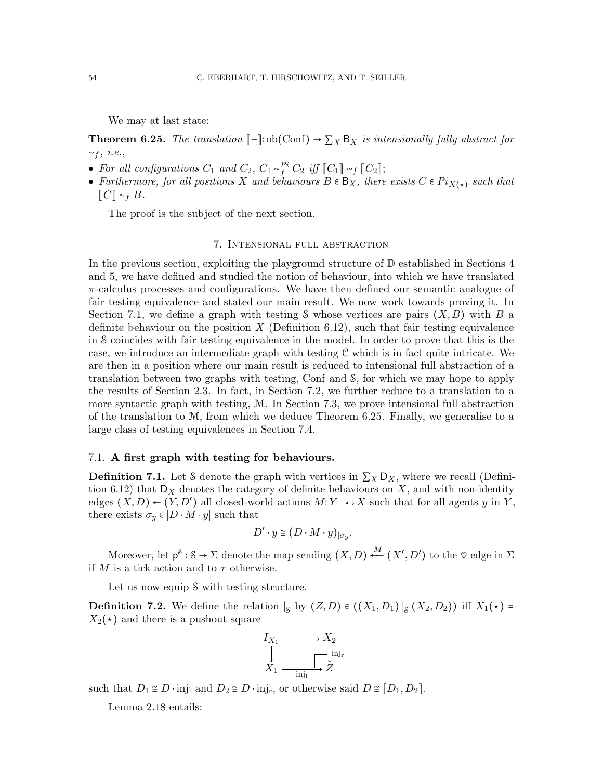We may at last state:

<span id="page-53-1"></span>**Theorem 6.25.** The translation  $\llbracket - \rrbracket$ : ob $(\text{Conf}) \to \sum_X B_X$  is intensionally fully abstract for  $~\sim_f, \, i.e.,$ 

- For all configurations  $C_1$  and  $C_2$ ,  $C_1 \sim_f^{P_i} C_2$  iff  $\llbracket C_1 \rrbracket \sim_f \llbracket C_2 \rrbracket$ ;
- Furthermore, for all positions X and behaviours  $B \in B_X$ , there exists  $C \in Pi_{X(\star)}$  such that  $\llbracket C\rrbracket \sim_f B$ .

The proof is the subject of the next section.

# 7. Intensional full abstraction

In the previous section, exploiting the playground structure of  $\mathbb D$  established in Sections [4](#page-24-0) and [5,](#page-36-0) we have defined and studied the notion of behaviour, into which we have translated  $\pi$ -calculus processes and configurations. We have then defined our semantic analogue of fair testing equivalence and stated our main result. We now work towards proving it. In Section [7.1,](#page-53-0) we define a graph with testing S whose vertices are pairs  $(X, B)$  with B a definite behaviour on the position  $X$  (Definition [6.12\)](#page-50-0), such that fair testing equivalence in S coincides with fair testing equivalence in the model. In order to prove that this is the case, we introduce an intermediate graph with testing C which is in fact quite intricate. We are then in a position where our main result is reduced to intensional full abstraction of a translation between two graphs with testing, Conf and S, for which we may hope to apply the results of Section [2.3.](#page-10-0) In fact, in Section [7.2,](#page-59-0) we further reduce to a translation to a more syntactic graph with testing, M. In Section [7.3,](#page-61-0) we prove intensional full abstraction of the translation to  $M$ , from which we deduce Theorem [6.25.](#page-53-1) Finally, we generalise to a large class of testing equivalences in Section [7.4.](#page-63-0)

## <span id="page-53-0"></span>7.1. A first graph with testing for behaviours.

<span id="page-53-2"></span>**Definition 7.1.** Let S denote the graph with vertices in  $\sum_{X} D_X$ , where we recall (Defini-tion [6.12\)](#page-50-0) that  $D_X$  denotes the category of definite behaviours on X, and with non-identity edges  $(X, D) \leftarrow (Y, D')$  all closed-world actions  $M: Y \longrightarrow X$  such that for all agents y in Y, there exists  $\sigma_y \in |D \cdot M \cdot y|$  such that

$$
D' \cdot y \cong (D \cdot M \cdot y)_{|\sigma_y}.
$$

Moreover, let  $p^{\$} : \mathcal{S} \to \Sigma$  denote the map sending  $(X, D) \stackrel{M}{\longleftarrow} (X', D')$  to the  $\heartsuit$  edge in  $\Sigma$ if M is a tick action and to  $\tau$  otherwise.

Let us now equip  $\delta$  with testing structure.

**Definition 7.2.** We define the relation  $|_S$  by  $(Z, D) \in ((X_1, D_1) |_S (X_2, D_2))$  iff  $X_1(\star) =$  $X_2(\star)$  and there is a pushout square

$$
I_{X_1} \xrightarrow{\qquad \qquad } X_2
$$
  
\n
$$
\downarrow \qquad \qquad \downarrow \qquad \downarrow \downarrow \text{inj}_r
$$
  
\n
$$
X_1 \xrightarrow{\qquad \qquad } Z
$$

such that  $D_1 \cong D \cdot inj_1$  and  $D_2 \cong D \cdot inj_r$ , or otherwise said  $D \cong [D_1, D_2]$ .

Lemma [2.18](#page-12-0) entails: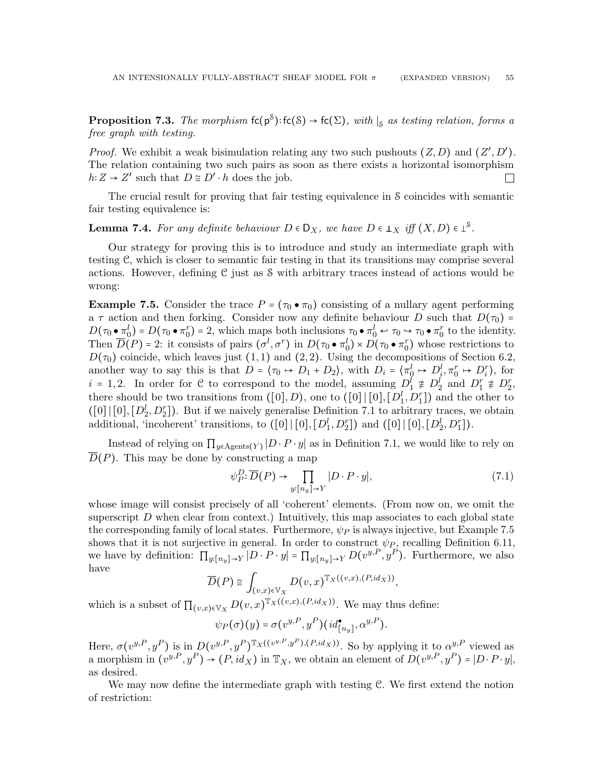<span id="page-54-1"></span>**Proposition 7.3.** The morphism  $fc(p^s): fc(S) \to fc(\Sigma)$ , with  $|_S$  as testing relation, forms a free graph with testing.

*Proof.* We exhibit a weak bisimulation relating any two such pushouts  $(Z, D)$  and  $(Z', D')$ . The relation containing two such pairs as soon as there exists a horizontal isomorphism  $h: Z \to Z'$  such that  $D \cong D' \cdot h$  does the job.  $\Box$ 

The crucial result for proving that fair testing equivalence in S coincides with semantic fair testing equivalence is:

# <span id="page-54-2"></span>**Lemma 7.4.** For any definite behaviour  $D \in D_X$ , we have  $D \in \mathbb{L}_X$  iff  $(X, D) \in \mathbb{L}^S$ .

Our strategy for proving this is to introduce and study an intermediate graph with testing C, which is closer to semantic fair testing in that its transitions may comprise several actions. However, defining C just as S with arbitrary traces instead of actions would be wrong:

<span id="page-54-0"></span>**Example 7.5.** Consider the trace  $P = (\tau_0 \bullet \pi_0)$  consisting of a nullary agent performing a  $\tau$  action and then forking. Consider now any definite behaviour D such that  $D(\tau_0)$  =  $D(\tau_0 \bullet \pi_0^l) = D(\tau_0 \bullet \pi_0^r) = 2$ , which maps both inclusions  $\tau_0 \bullet \pi_0^l \leftrightarrow \tau_0 \leftrightarrow \tau_0 \bullet \pi_0^r$  to the identity. Then  $\overline{D}(P) = 2$ : it consists of pairs  $(\sigma^l, \sigma^r)$  in  $D(\tau_0 \bullet \pi_0^l) \times D(\tau_0 \bullet \pi_0^r)$  whose restrictions to  $D(\tau_0)$  coincide, which leaves just  $(1, 1)$  and  $(2, 2)$ . Using the decompositions of Section [6.2,](#page-49-0) another way to say this is that  $D = \langle \tau_0 \mapsto D_1 + D_2 \rangle$ , with  $D_i = \langle \pi_0^l \mapsto D_i^l, \pi_0^r \mapsto D_i^r \rangle$ , for  $i = 1, 2$ . In order for C to correspond to the model, assuming  $D_1^i \not\equiv D_2^i$  and  $D_1^r \not\equiv D_2^r$ , there should be two transitions from  $([0], D)$ , one to  $([0], [0], [D_1^l, D_1^r])$  and the other to  $([0] | [0], [D_2^l, D_2^r])$ . But if we naively generalise Definition [7.1](#page-53-2) to arbitrary traces, we obtain additional, 'incoherent' transitions, to  $([0] \mid [0], [D_1^l, D_2^r])$  and  $([0] \mid [0], [D_2^l, D_1^r])$ .

Instead of relying on  $\prod_{y \in \text{Agents}(Y)} |D \cdot P \cdot y|$  as in Definition [7.1,](#page-53-2) we would like to rely on  $\overline{D}(P)$ . This may be done by constructing a map

$$
\psi_P^D: \overline{D}(P) \to \prod_{y:[n_y]\to Y} |D \cdot P \cdot y|,\tag{7.1}
$$

whose image will consist precisely of all 'coherent' elements. (From now on, we omit the superscript  $D$  when clear from context.) Intuitively, this map associates to each global state the corresponding family of local states. Furthermore,  $\psi_P$  is always injective, but Example [7.5](#page-54-0) shows that it is not surjective in general. In order to construct  $\psi_P$ , recalling Definition [6.11,](#page-50-1) we have by definition:  $\prod_{y:[n_y]\to Y} |D \cdot P \cdot y| = \prod_{y:[n_y]\to Y} D(v^{y,P}, y^P)$ . Furthermore, we also have

$$
\overline{D}(P) \cong \int_{(v,x)\in V_X} D(v,x)^{\mathbb{T}_X((v,x),(P,id_X))},
$$

which is a subset of  $\prod_{(v,x)\in V_X} D(v,x)^{\mathbb{T}_X((v,x),(P,id_X))}$ . We may thus define:

$$
\psi_P(\sigma)(y) = \sigma(v^{y,P}, y^P)(id_{[n_y]}^{\bullet}, \alpha^{y,P}).
$$

Here,  $\sigma(v^{y,P}, y^P)$  is in  $D(v^{y,P}, y^P)^{\mathbb{T}_X((v^{y,P}, y^P),(P, id_X))}$ . So by applying it to  $\alpha^{y,P}$  viewed as a morphism in  $(v^{y,P}, y^P) \to (P, id_X)$  in  $\mathbb{T}_X$ , we obtain an element of  $D(v^{y,P}, y^P) = |D \cdot P \cdot y|$ , as desired.

We may now define the intermediate graph with testing C. We first extend the notion of restriction: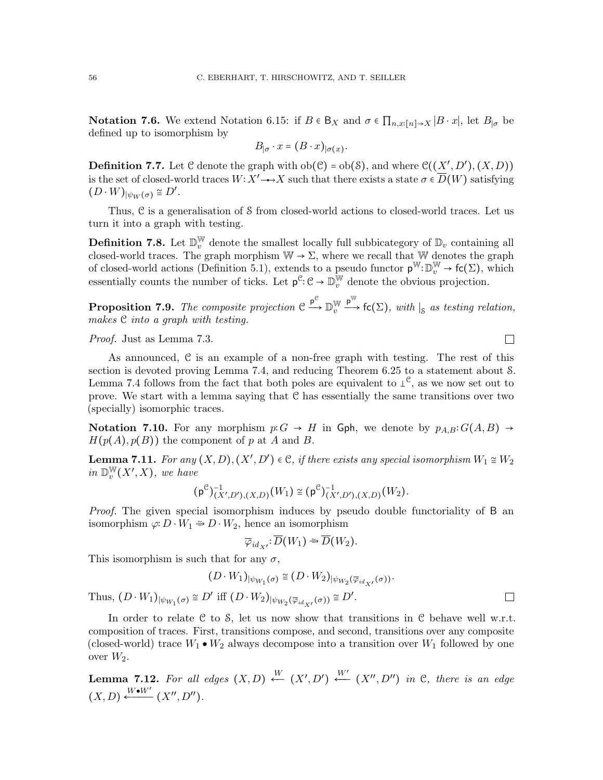**Notation 7.6.** We extend Notation [6.15:](#page-50-2) if  $B \in B_X$  and  $\sigma \in \prod_{n,x:[n]\to X} |B \cdot x|$ , let  $B_{|\sigma}$  be defined up to isomorphism by

$$
B_{|\sigma} \cdot x = (B \cdot x)_{|\sigma(x)}.
$$

<span id="page-55-2"></span>**Definition 7.7.** Let C denote the graph with  $ob(C) = ob(S)$ , and where  $C((X', D'), (X, D))$ is the set of closed-world traces  $W: X' \rightarrow X$  such that there exists a state  $\sigma \in \overline{D}(W)$  satisfying  $(D \cdot W)_{|\psi_W(\sigma)} \cong D'.$ 

Thus, C is a generalisation of S from closed-world actions to closed-world traces. Let us turn it into a graph with testing.

**Definition 7.8.** Let  $\mathbb{D}_{v}^{\mathbb{W}}$  denote the smallest locally full subbicategory of  $\mathbb{D}_{v}$  containing all closed-world traces. The graph morphism  $W \to \Sigma$ , where we recall that W denotes the graph of closed-world actions (Definition [5.1\)](#page-37-1), extends to a pseudo functor  $p^{\mathbb{W}}:\mathbb{D}_{v}^{\mathbb{W}}\to$  fc( $\Sigma$ ), which essentially counts the number of ticks. Let  $p^c : \mathcal{C} \to \mathbb{D}_v^{\mathbb{W}}$  denote the obvious projection.

**Proposition 7.9.** The composite projection  $C \stackrel{p^c}{\longrightarrow} D_v^{\mathbb{W}}$  $\overline{v}$  $\stackrel{p^W}{\longrightarrow}$  fc( $\Sigma$ ), with  $|_S$  as testing relation, makes C into a graph with testing.

Proof. Just as Lemma [7.3.](#page-54-1)

As announced, C is an example of a non-free graph with testing. The rest of this section is devoted proving Lemma [7.4,](#page-54-2) and reducing Theorem [6.25](#page-53-1) to a statement about S. Lemma [7.4](#page-54-2) follows from the fact that both poles are equivalent to  $\perp^{\mathcal{C}}$ , as we now set out to prove. We start with a lemma saying that C has essentially the same transitions over two (specially) isomorphic traces.

Notation 7.10. For any morphism  $p: G \to H$  in Gph, we denote by  $p_{A,B}: G(A, B) \to$  $H(p(A), p(B))$  the component of p at A and B.

<span id="page-55-1"></span>**Lemma 7.11.** For any  $(X, D), (X', D') \in \mathcal{C}$ , if there exists any special isomorphism  $W_1 \cong W_2$ in  $\mathbb{D}_v^{\mathbb{W}}$  $_{v}^{\mathbb{W}}(X^{\prime},X),$  we have

$$
(\mathsf{p}^{\mathcal{C}})^{-1}_{(X',D'),(X,D)}(W_1) \cong (\mathsf{p}^{\mathcal{C}})^{-1}_{(X',D'),(X,D)}(W_2).
$$

Proof. The given special isomorphism induces by pseudo double functoriality of B an isomorphism  $\varphi: D \cdot W_1 \cong D \cdot W_2$ , hence an isomorphism

$$
\overline{\varphi}_{id_{X'}}:\overline{D}(W_1)\cong\overline{D}(W_2).
$$

This isomorphism is such that for any  $\sigma$ ,

$$
(D \cdot W_1)_{|\psi_{W_1}(\sigma)} \cong (D \cdot W_2)_{|\psi_{W_2}(\overline{\varphi}_{id_{X'}}(\sigma))}.
$$

Thus,  $(D \cdot W_1)_{|\psi_{W_1}(\sigma)} \cong D'$  iff  $(D \cdot W_2)_{|\psi_{W_2}(\overline{\varphi}_{id_{X'}}(\sigma))} \cong D'.$ 

In order to relate  $C$  to  $S$ , let us now show that transitions in  $C$  behave well w.r.t. composition of traces. First, transitions compose, and second, transitions over any composite (closed-world) trace  $W_1 \bullet W_2$  always decompose into a transition over  $W_1$  followed by one over  $W_2$ .

<span id="page-55-0"></span>**Lemma 7.12.** For all edges  $(X, D) \stackrel{W}{\longleftarrow} (X', D') \stackrel{W'}{\longleftarrow} (X'', D'')$  in C, there is an edge  $(X, D) \xleftarrow{W \bullet W'} (X'', D'').$ 

 $\Box$ 

 $\Box$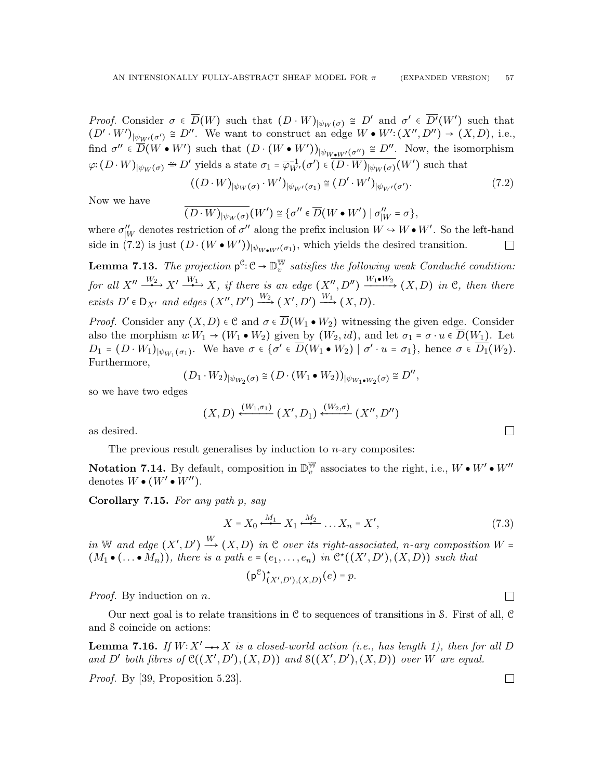Proof. Consider  $\sigma \in \overline{D}(W)$  such that  $(D \cdot W)_{|\psi_W(\sigma)} \cong D'$  and  $\sigma' \in \overline{D'}(W')$  such that  $(D' \cdot W')_{|\psi_{W'}(\sigma') \cong D''}$ . We want to construct an edge  $W \bullet W' : (X'', D'') \to (X, D)$ , i.e., find  $\sigma'' \in \overline{D}(W \bullet W')$  such that  $(D \cdot (W \bullet W'))_{|\psi_{W \bullet W'}(\sigma'')} \cong D''$ . Now, the isomorphism  $\varphi: (D \cdot W)_{|\psi_W(\sigma)} \rightharpoonup D'$  yields a state  $\sigma_1 = \overline{\varphi}_{W'}^{-1}(\sigma') \in \overline{(D \cdot W)_{|\psi_W(\sigma)}}(W')$  such that

<span id="page-56-0"></span>
$$
((D \cdot W)_{|\psi_W(\sigma)} \cdot W')_{|\psi_{W'}(\sigma_1)} \cong (D' \cdot W')_{|\psi_{W'}(\sigma')}.
$$
\n(7.2)

Now we have

$$
\overline{(D \cdot W)_{|\psi_W(\sigma)}} (W') \cong \{ \sigma'' \in \overline{D} (W \bullet W') \mid \sigma''_W = \sigma \},
$$

where  $\sigma''_{|W}$  denotes restriction of  $\sigma''$  along the prefix inclusion  $W \to W \bullet W'$ . So the left-hand side in [\(7.2\)](#page-56-0) is just  $(D \cdot (W \bullet W'))_{|\psi_{W \bullet W'}(\sigma_1)}$ , which yields the desired transition.  $\Box$ 

**Lemma 7.13.** The projection  $p^{\mathcal{C}}:\mathcal{C} \to \mathbb{D}_{v}^{\mathbb{W}}$  $_{v}^{\mathbb{W}}$  satisfies the following weak Conduché condition: for all  $X'' \xrightarrow{W_2} X' \xrightarrow{W_1} X$ , if there is an edge  $(X'', D'') \xrightarrow{W_1 \bullet W_2} (X, D)$  in C, then there exists  $D' \in D_{X'}$  and edges  $(X'', D'') \xrightarrow{W_2} (X', D') \xrightarrow{W_1} (X, D)$ .

*Proof.* Consider any  $(X, D) \in \mathcal{C}$  and  $\sigma \in \overline{D}(W_1 \bullet W_2)$  witnessing the given edge. Consider also the morphism  $u: W_1 \to (W_1 \bullet W_2)$  given by  $(W_2, id)$ , and let  $\sigma_1 = \sigma \cdot u \in \overline{D}(W_1)$ . Let  $D_1 = (D \cdot W_1)_{|\psi_{W_1}(\sigma_1)}$ . We have  $\sigma \in {\sigma' \in \overline{D}(W_1 \bullet W_2) \mid \sigma' \cdot u = \sigma_1},$  hence  $\sigma \in \overline{D_1}(W_2)$ . Furthermore,

$$
(D_1\cdot W_2)_{|\psi_{W_2}(\sigma)}\cong \big(D\cdot \big(W_1\bullet W_2\big)\big)_{|\psi_{W_1\bullet W_2}(\sigma)}\cong D'',
$$

so we have two edges

$$
(X, D) \xleftarrow{(W_1, \sigma_1)} (X', D_1) \xleftarrow{(W_2, \sigma)} (X'', D'')
$$

as desired.

The previous result generalises by induction to  $n$ -ary composites:

Notation 7.14. By default, composition in  $\mathbb{D}_{v}^{\mathbb{W}}$  associates to the right, i.e.,  $W \bullet W' \bullet W''$ denotes  $W \bullet (W' \bullet W'')$ .

<span id="page-56-3"></span>Corollary 7.15. For any path p, say

<span id="page-56-1"></span>
$$
X = X_0 \xleftarrow{M_1} X_1 \xleftarrow{M_2} \dots X_n = X',\tag{7.3}
$$

in W and edge  $(X', D') \stackrel{W}{\longrightarrow} (X, D)$  in C over its right-associated, n-ary composition W =  $(M_1 \bullet (\dots \bullet M_n)),$  there is a path  $e = (e_1, \dots, e_n)$  in  $\mathfrak{C}^{\star}((X', D'), (X, D))$  such that

 $(p^e)_{(X',D'),(X,D)}^*$  $(e) = p$ .

Proof. By induction on n.

Our next goal is to relate transitions in  $\mathcal C$  to sequences of transitions in S. First of all,  $\mathcal C$ and S coincide on actions:

<span id="page-56-2"></span>**Lemma 7.16.** If  $W: X' \rightarrow X$  is a closed-world action (i.e., has length 1), then for all D and D' both fibres of  $\mathcal{C}((X', D'), (X, D))$  and  $\mathcal{S}((X', D'), (X, D))$  over W are equal.

Proof. By [\[39,](#page-66-0) Proposition 5.23].

 $\Box$ 

 $\Box$ 

 $\Box$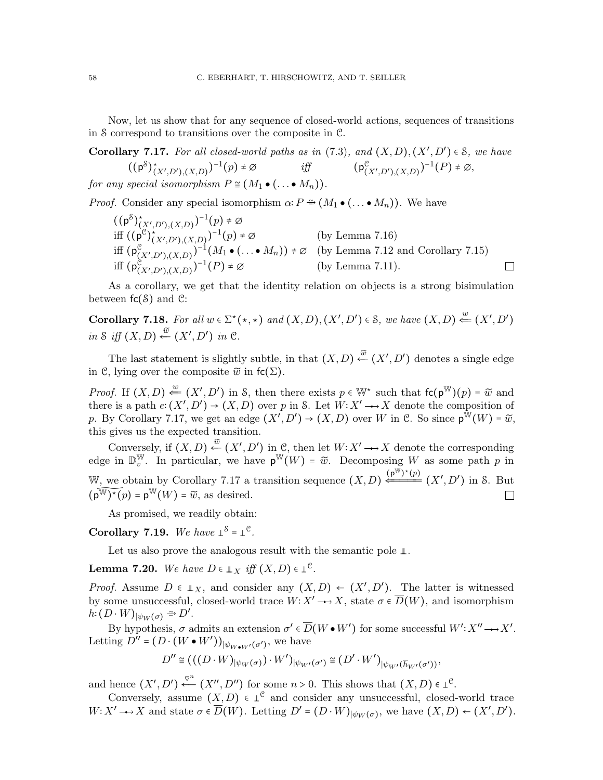Now, let us show that for any sequence of closed-world actions, sequences of transitions in S correspond to transitions over the composite in C.

<span id="page-57-0"></span>Corollary 7.17. For all closed-world paths as in  $(7.3)$ , and  $(X, D), (X', D') \in S$ , we have  $((p^S)_{(X',D'),(X,D)}^*)^{-1}(p) \neq \emptyset$  iff  $(p^{\mathfrak{C}}_{(X',D'),(X,D)})^{-1}(P) \neq \emptyset$ , for any special isomorphism  $P \cong (M_1 \bullet (\dots \bullet M_n)).$ 

*Proof.* Consider any special isomorphism  $\alpha \colon P \cong (M_1 \bullet (\dots \bullet M_n))$ . We have

$$
((p^{\delta})^{\star}_{(X',D'),(X,D)})^{-1}(p) \neq \emptyset
$$
  
iff 
$$
((p^{\mathcal{C}})^{\star}_{(X',D'),(X,D)})^{-1}(p) \neq \emptyset
$$
 (by Lemma 7.16)  
iff 
$$
(p^{\mathcal{C}}_{(X',D'),(X,D)})^{-1}(M_1 \bullet (\dots \bullet M_n)) \neq \emptyset
$$
 (by Lemma 7.12 and Corollary 7.15)  
iff 
$$
(p^{\mathcal{C}}_{(X',D'),(X,D)})^{-1}(P) \neq \emptyset
$$
 (by Lemma 7.11).

As a corollary, we get that the identity relation on objects is a strong bisimulation between  $fc(8)$  and  $\mathcal{C}$ :

Corollary 7.18. For all  $w \in \Sigma^*(\star, \star)$  and  $(X, D), (X', D') \in \mathcal{S}$ , we have  $(X, D) \stackrel{w}{\Leftarrow} (X', D')$ in S iff  $(X, D) \stackrel{\tilde{w}}{\leftarrow} (X', D')$  in C.

The last statement is slightly subtle, in that  $(X, D) \stackrel{\tilde{w}}{\leftarrow} (X', D')$  denotes a single edge in C, lying over the composite  $\widetilde{w}$  in fc( $\Sigma$ ).

*Proof.* If  $(X, D) \stackrel{w}{\leftarrow} (X', D')$  in S, then there exists  $p \in \mathbb{W}^*$  such that  $f(c(p^{\mathbb{W}})(p) = \widetilde{w}$  and there is a path  $e: (X', D') \to (X, D)$  over p in S. Let  $W: X' \to X$  denote the composition of p. By Corollary [7.17,](#page-57-0) we get an edge  $(X', D') \to (X, D)$  over W in C. So since  $p^{\hat{W}}(W) = \tilde{w}$ , this gives us the expected transition.

Conversely, if  $(X, D) \stackrel{\widetilde{w}}{\leftarrow} (X', D')$  in C, then let  $W: X' \longrightarrow X$  denote the corresponding edge in  $\mathbb{D}_{v}^{\mathbb{W}}$ W. In particular, we have  $p^W(W) = \tilde{w}$ . Decomposing W as some path p in W, we obtain by Corollary [7.17](#page-57-0) a transition sequence  $(X, D) \xleftarrow{(p^{\mathbb{W}})^*(p)} (X', D')$  in S. But  $(p^{\mathbb{W}})^*(p) = p^{\mathbb{W}}(W) = \widetilde{w}$ , as desired.  $(\widetilde{\mathsf{p}^{\mathbb{W}})^{\star}(p)}$  =  $\mathsf{p}^{\mathbb{W}}(W)$  =  $\widetilde{w}$ , as desired.

As promised, we readily obtain:

<span id="page-57-1"></span>Corollary 7.19. We have  $\perp^{\mathcal{S}} = \perp^{\mathcal{C}}$ .

Let us also prove the analogous result with the semantic pole ⊥.

<span id="page-57-2"></span>**Lemma 7.20.** We have  $D \in \mathbb{L}_X$  iff  $(X, D) \in \mathbb{L}^{\mathbb{C}}$ .

*Proof.* Assume  $D \in \mathbb{L}_X$ , and consider any  $(X, D) \leftarrow (X', D')$ . The latter is witnessed by some unsuccessful, closed-world trace  $W: X' \longrightarrow X$ , state  $\sigma \in \overline{D}(W)$ , and isomorphism  $h: (D \cdot W)_{|\psi_W(\sigma)} \stackrel{\sim}{\rightarrow} D'.$ 

By hypothesis,  $\sigma$  admits an extension  $\sigma' \in \overline{D}(W \bullet W')$  for some successful  $W' : X'' \rightarrow X'$ . Letting  $D'' = (D \cdot (W \cdot W'))_{|\psi_{W \cdot W'}(\sigma')}$ , we have

$$
D'' \cong (((D \cdot W)_{|\psi_W(\sigma)}) \cdot W')_{|\psi_{W'}(\sigma')} \cong (D' \cdot W')_{|\psi_{W'}(\overline{h}_{W'}(\sigma'))},
$$

and hence  $(X', D') \stackrel{\varphi^n}{\longleftarrow} (X'', D'')$  for some  $n > 0$ . This shows that  $(X, D) \in L^c$ .

Conversely, assume  $(X, D) \in \perp^{\mathfrak{C}}$  and consider any unsuccessful, closed-world trace  $W: X' \longrightarrow X$  and state  $\sigma \in \overline{D}(W)$ . Letting  $D' = (D \cdot W)_{\vert \psi_W(\sigma)}$ , we have  $(X, D) \leftarrow (X', D')$ .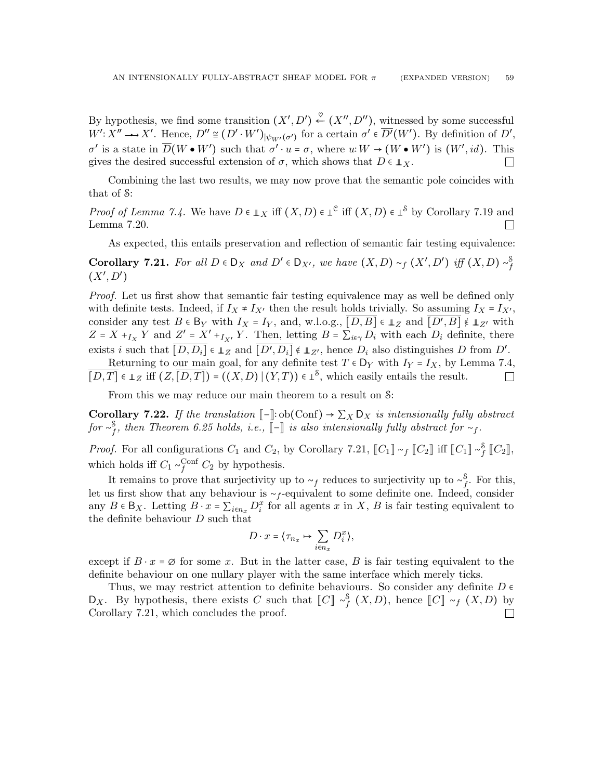By hypothesis, we find some transition  $(X', D') \stackrel{\heartsuit}{\leftarrow} (X'', D'')$ , witnessed by some successful  $W' : X'' \longrightarrow X'.$  Hence,  $D'' \cong (D' \cdot W')_{|\psi_{W'}(\sigma')}$  for a certain  $\sigma' \in \overline{D'}(W')$ . By definition of  $D',$  $σ'$  is a state in  $\overline{D}(W \bullet W')$  such that  $σ' \cdot u = σ$ , where  $u: W \to (W \bullet W')$  is  $(W', id)$ . This gives the desired successful extension of  $\sigma$ , which shows that  $D \in \mathbb{L}_X$ .  $\Box$ 

Combining the last two results, we may now prove that the semantic pole coincides with that of S:

*Proof of Lemma [7.4.](#page-54-2)* We have  $D \in \mathbb{L}_X$  iff  $(X, D) \in \mathbb{L}^e$  iff  $(X, D) \in \mathbb{L}^S$  by Corollary [7.19](#page-57-1) and  $\Box$ Lemma [7.20.](#page-57-2)

As expected, this entails preservation and reflection of semantic fair testing equivalence:

<span id="page-58-0"></span>Corollary 7.21. For all  $D \in D_X$  and  $D' \in D_{X'}$ , we have  $(X, D) \sim_f (X', D')$  iff  $(X, D) \sim_f^S$  $(X', D')$ 

Proof. Let us first show that semantic fair testing equivalence may as well be defined only with definite tests. Indeed, if  $I_X \neq I_{X'}$  then the result holds trivially. So assuming  $I_X = I_{X'}$ , consider any test  $B \in B_Y$  with  $I_X = I_Y$ , and, w.l.o.g.,  $[D, B] \in \mathbb{L}_Z$  and  $[D', B] \notin \mathbb{L}_{Z'}$  with  $Z = X + I_X Y$  and  $Z' = X' + I_{X'} Y$ . Then, letting  $B = \sum_{i \in \gamma} D_i$  with each  $D_i$  definite, there exists i such that  $\overline{[D, D_i]} \in \mathbb{L}_Z$  and  $\overline{[D', D_i]} \notin \mathbb{L}_{Z'}$ , hence  $D_i$  also distinguishes D from  $D'$ .

Returning to our main goal, for any definite test  $T \in D_Y$  with  $I_Y = I_X$ , by Lemma [7.4,](#page-54-2)  $\overline{[D,T]} \in \perp_Z \text{ iff } (Z,\overline{[D,T]}) = ((X,D) | (Y,T)) \in \perp^{\mathcal{S}}, \text{ which easily entails the result.}$  $\Box$ 

From this we may reduce our main theorem to a result on S:

<span id="page-58-1"></span>**Corollary 7.22.** If the translation  $\llbracket - \rrbracket$ : ob(Conf) →  $\sum_{X} D_X$  is intensionally fully abstract  $for~ \sim^{\mathcal{S}}_f,\ then\ Theorem\ 6.25\ holds,\ i.e., \llbracket - \rrbracket\ is\ also\ intensionally fully\ abstract\ for\ \sim_f.$  $for~ \sim^{\mathcal{S}}_f,\ then\ Theorem\ 6.25\ holds,\ i.e., \llbracket - \rrbracket\ is\ also\ intensionally fully\ abstract\ for\ \sim_f.$  $for~ \sim^{\mathcal{S}}_f,\ then\ Theorem\ 6.25\ holds,\ i.e., \llbracket - \rrbracket\ is\ also\ intensionally fully\ abstract\ for\ \sim_f.$ 

*Proof.* For all configurations  $C_1$  and  $C_2$ , by Corollary [7.21,](#page-58-0)  $[[C_1] \sim_f [[C_2] \text{ iff } [[C_1] \sim_f^S [[C_2]],$ which holds iff  $C_1 \sim_f^{\text{Conf}} C_2$  by hypothesis.

It remains to prove that surjectivity up to  $\sim_f$  reduces to surjectivity up to  $\sim_f^s$ . For this, let us first show that any behaviour is  $\sim_f$ -equivalent to some definite one. Indeed, consider any  $B \in \mathsf{B}_X$ . Letting  $B \cdot x = \sum_{i \in n_x} D_i^x$  for all agents x in X, B is fair testing equivalent to the definite behaviour  $D$  such that

$$
D\cdot x=\langle \tau_{n_x}\mapsto \sum_{i\in n_x}D^x_i\rangle,
$$

except if  $B \cdot x = \emptyset$  for some x. But in the latter case, B is fair testing equivalent to the definite behaviour on one nullary player with the same interface which merely ticks.

Thus, we may restrict attention to definite behaviours. So consider any definite  $D \in$ D<sub>X</sub>. By hypothesis, there exists C such that  $\llbracket C \rrbracket \sim_f^{\mathcal{S}} (X, D)$ , hence  $\llbracket C \rrbracket \sim_f (X, D)$  by Corollary [7.21,](#page-58-0) which concludes the proof. $\Box$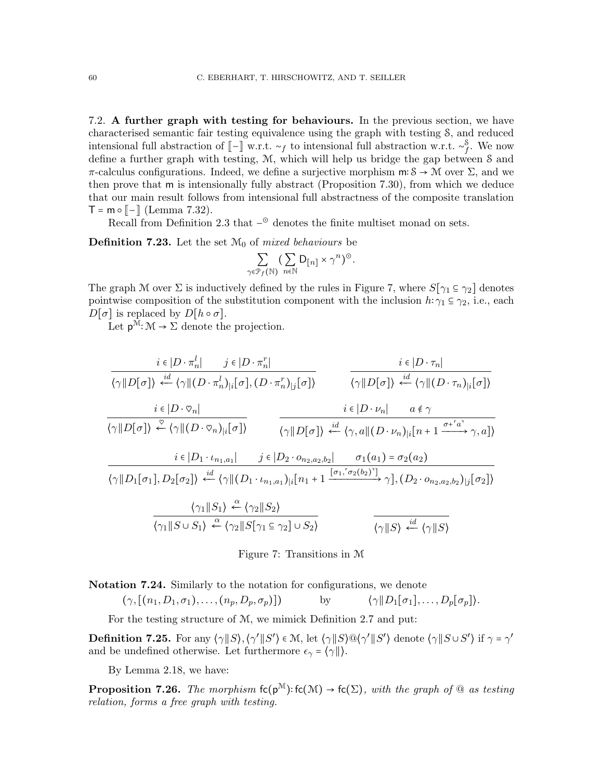<span id="page-59-0"></span>7.2. A further graph with testing for behaviours. In the previous section, we have characterised semantic fair testing equivalence using the graph with testing S, and reduced intensional full abstraction of  $\llbracket - \rrbracket$  w.r.t. ∼f to intensional full abstraction w.r.t. ∼f. We now define a further graph with testing, M, which will help us bridge the gap between S and  $\pi$ -calculus configurations. Indeed, we define a surjective morphism m∶ S  $\rightarrow$  M over  $\Sigma$ , and we then prove that m is intensionally fully abstract (Proposition [7.30\)](#page-61-1), from which we deduce that our main result follows from intensional full abstractness of the composite translation  $T = m \circ [-]$  (Lemma [7.32\)](#page-61-2).

Recall from Definition [2.3](#page-9-0) that  $-\textcirc$  denotes the finite multiset monad on sets.

**Definition 7.23.** Let the set  $\mathcal{M}_0$  of *mixed behaviours* be

$$
\sum_{\gamma \in \mathcal{P}_f(\mathbb{N})} \left( \sum_{n \in \mathbb{N}} \mathsf{D}_{[n]} \times \gamma^n \right)^\odot.
$$

The graph M over  $\Sigma$  is inductively defined by the rules in Figure [7,](#page-59-1) where  $S[\gamma_1 \subseteq \gamma_2]$  denotes pointwise composition of the substitution component with the inclusion  $h: \gamma_1 \subseteq \gamma_2$ , i.e., each  $D[\sigma]$  is replaced by  $D[h \circ \sigma]$ .

Let  $p^{\mathcal{M}}: \mathcal{M} \to \Sigma$  denote the projection.

$$
\frac{i \in |D \cdot \pi_n^l| \qquad j \in |D \cdot \pi_n^r|}{\langle \gamma || D[\sigma] \rangle \stackrel{id}{\longleftarrow} \langle \gamma || (D \cdot \pi_n^l)_{|i} [\sigma], (D \cdot \pi_n^r)_{|j} [\sigma] \rangle} \qquad \frac{i \in |D \cdot \tau_n|}{\langle \gamma || D[\sigma] \rangle \stackrel{id}{\longleftarrow} \langle \gamma || (D \cdot \tau_n)_{|i} [\sigma] \rangle}
$$
\n
$$
\frac{i \in |D \cdot \heartsuit_n|}{\langle \gamma || D[\sigma] \rangle \stackrel{\heartsuit}{\longleftarrow} \langle \gamma || (D \cdot \heartsuit_n)_{|i} [\sigma] \rangle} \qquad \frac{i \in |D \cdot \nu_n| \qquad a \notin \gamma}{\langle \gamma || D[\sigma] \rangle \stackrel{id}{\longleftarrow} \langle \gamma, a || (D \cdot \nu_n)_{|i} [n+1 \xrightarrow{\sigma + \lceil a \rceil} \gamma, a] \rangle}
$$
\n
$$
\frac{i \in |D_1 \cdot \iota_{n_1, a_1}| \qquad j \in |D_2 \cdot o_{n_2, a_2, b_2}| \qquad \sigma_1(a_1) = \sigma_2(a_2)}{\langle \gamma || D_1[\sigma_1], D_2[\sigma_2] \rangle \stackrel{id}{\longleftarrow} \langle \gamma || (D_1 \cdot \iota_{n_1, a_1})_{|i} [n_1 + 1 \xrightarrow{\sigma_1, \sigma_2(b_2)} \gamma], (D_2 \cdot o_{n_2, a_2, b_2})_{|j} [\sigma_2] \rangle}
$$
\n
$$
\frac{\langle \gamma_1 || S_1 \rangle \stackrel{\alpha}{\longleftarrow} \langle \gamma_2 || S_2 \rangle}{\langle \gamma_1 || S \cup S_1 \rangle \stackrel{\alpha}{\longleftarrow} \langle \gamma_2 || S[\gamma_1 \subseteq \gamma_2] \cup S_2 \rangle} \qquad \frac{i \in \langle \gamma || S \rangle \stackrel{id}{\longleftarrow} \langle \gamma || S \rangle}
$$

<span id="page-59-1"></span>Figure 7: Transitions in M

<span id="page-59-2"></span>Notation 7.24. Similarly to the notation for configurations, we denote

 $(\gamma,[(n_1, D_1, \sigma_1), \ldots, (n_p, D_p, \sigma_p)])$  by  $\langle \gamma \| D_1[\sigma_1], \ldots, D_p[\sigma_p] \rangle$ .

For the testing structure of M, we mimick Definition [2.7](#page-10-1) and put:

**Definition 7.25.** For any  $\langle \gamma || S \rangle$ ,  $\langle \gamma' || S' \rangle \in \mathcal{M}$ , let  $\langle \gamma || S \rangle \mathbb{Q} \langle \gamma' || S' \rangle$  denote  $\langle \gamma || S \cup S' \rangle$  if  $\gamma = \gamma'$ and be undefined otherwise. Let furthermore  $\epsilon_{\gamma} = \langle \gamma \| \rangle$ .

By Lemma [2.18,](#page-12-0) we have:

**Proposition 7.26.** The morphism  $\mathsf{fc}(p^{\mathcal{M}}):\mathsf{fc}(\mathcal{M}) \to \mathsf{fc}(\Sigma)$ , with the graph of  $\textcircled{a}$  as testing relation, forms a free graph with testing.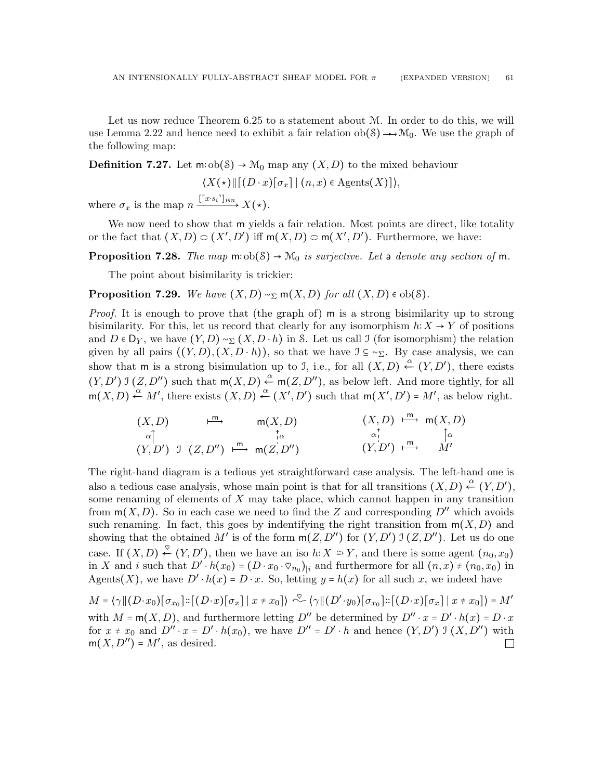Let us now reduce Theorem [6.25](#page-53-1) to a statement about M. In order to do this, we will use Lemma [2.22](#page-12-1) and hence need to exhibit a fair relation  $ob(8) \rightarrow M_0$ . We use the graph of the following map:

**Definition 7.27.** Let m:  $ob(δ) → M_0$  map any  $(X, D)$  to the mixed behaviour

$$
\langle X(\star) \| [(D \cdot x) [\sigma_x] | (n, x) \in \text{Agents}(X)] \rangle,
$$

where  $\sigma_x$  is the map  $n \xrightarrow{[^{r_x,s_i}]}_{i \in \mathbb{N}} X(\star).$ 

We now need to show that m yields a fair relation. Most points are direct, like totality or the fact that  $(X, D) \subset (X', D')$  iff  $m(X, D) \subset m(X', D')$ . Furthermore, we have:

**Proposition 7.28.** The map  $m: ob(S) \rightarrow M_0$  is surjective. Let a denote any section of  $m$ .

The point about bisimilarity is trickier:

**Proposition 7.29.** We have  $(X, D) \sim_{\Sigma} m(X, D)$  for all  $(X, D) \in ob(S)$ .

Proof. It is enough to prove that (the graph of) m is a strong bisimilarity up to strong bisimilarity. For this, let us record that clearly for any isomorphism  $h: X \to Y$  of positions and  $D \in D_Y$ , we have  $(Y, D) \sim_{\Sigma} (X, D \cdot h)$  in S. Let us call J (for isomorphism) the relation given by all pairs  $((Y, D), (X, D \cdot h))$ , so that we have  $\mathcal{I} \subseteq \sim_{\Sigma}$ . By case analysis, we can show that m is a strong bisimulation up to J, i.e., for all  $(X, D) \stackrel{\alpha}{\leftarrow} (Y, D')$ , there exists  $(Y, D')$  J  $(Z, D'')$  such that  $m(X, D) \stackrel{\alpha}{\leftarrow} m(Z, D'')$ , as below left. And more tightly, for all  $m(X, D) \stackrel{\alpha}{\leftarrow} M'$ , there exists  $(X, D) \stackrel{\alpha}{\leftarrow} (X', D')$  such that  $m(X', D') = M'$ , as below right.

$$
(X, D) \xrightarrow{\mu} \text{m}(X, D) \qquad (X, D) \xrightarrow{\pi} \text{m}(X, D)
$$
\n
$$
(X, D) \xrightarrow{\pi} \text{m}(X, D)
$$
\n
$$
(Y, D') \text{ J } (Z, D'') \xrightarrow{\text{m}} \text{m}(Z, D'') \qquad (Y, D') \xrightarrow{\text{m}} \text{M'}
$$

The right-hand diagram is a tedious yet straightforward case analysis. The left-hand one is also a tedious case analysis, whose main point is that for all transitions  $(X, D) \stackrel{\alpha}{\leftarrow} (Y, D')$ , some renaming of elements of  $X$  may take place, which cannot happen in any transition from  $m(X, D)$ . So in each case we need to find the Z and corresponding  $D''$  which avoids such renaming. In fact, this goes by indentifying the right transition from  $m(X, D)$  and showing that the obtained M' is of the form  $m(Z, D'')$  for  $(Y, D')$  J  $(Z, D'')$ . Let us do one case. If  $(X, D) \stackrel{\heartsuit}{\leftarrow} (Y, D')$ , then we have an iso  $h: X \stackrel{\Rightarrow}{\rightarrow} Y$ , and there is some agent  $(n_0, x_0)$ in X and i such that  $D' \cdot h(x_0) = (D \cdot x_0 \cdot \varphi_{n_0})_{|i}$  and furthermore for all  $(n, x) \neq (n_0, x_0)$  in Agents(X), we have  $D' \cdot h(x) = D \cdot x$ . So, letting  $y = h(x)$  for all such x, we indeed have

$$
M = \langle \gamma \| (D \cdot x_0) [\sigma_{x_0}] :: [(D \cdot x) [\sigma_x] \mid x \neq x_0] \rangle \stackrel{\text{d}}{\sim} \langle \gamma \| (D' \cdot y_0) [\sigma_{x_0}] :: [(D \cdot x) [\sigma_x] \mid x \neq x_0] \rangle = M'
$$
  
with  $M = \mathsf{m}(X, D)$ , and furthermore letting  $D''$  be determined by  $D'' \cdot x = D' \cdot h(x) = D \cdot x$   
for  $x \neq x_0$  and  $D'' \cdot x = D' \cdot h(x_0)$ , we have  $D'' = D' \cdot h$  and hence  $(Y, D') \mathbb{I} (X, D'')$  with  
 $\mathsf{m}(X, D'') = M'$ , as desired.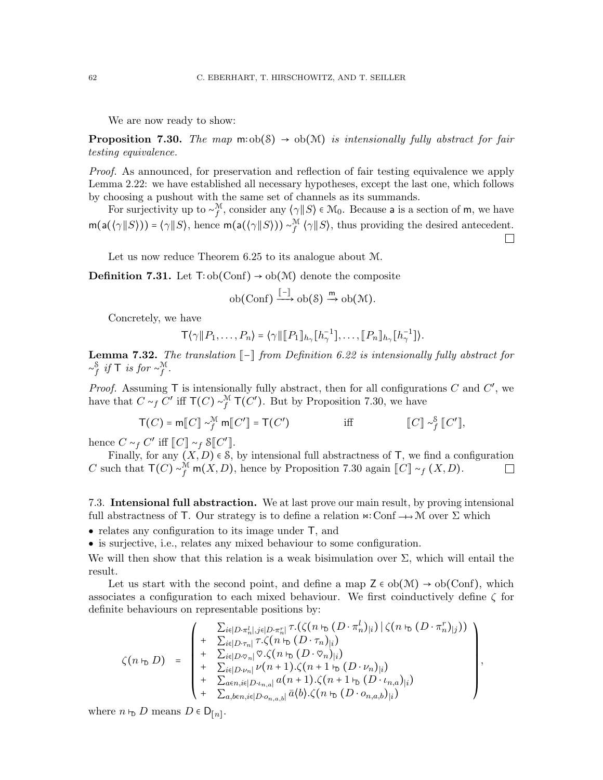We are now ready to show:

<span id="page-61-1"></span>**Proposition 7.30.** The map  $m: ob(S) \rightarrow ob(M)$  is intensionally fully abstract for fair testing equivalence.

Proof. As announced, for preservation and reflection of fair testing equivalence we apply Lemma [2.22:](#page-12-1) we have established all necessary hypotheses, except the last one, which follows by choosing a pushout with the same set of channels as its summands.

For surjectivity up to  $\sim_f^{\mathcal{M}}$ , consider any  $\langle \gamma | S \rangle \in \mathcal{M}_0$ . Because a is a section of m, we have  $m(a(\langle \gamma || S \rangle)) = \langle \gamma || S \rangle$ , hence  $m(a(\langle \gamma || S \rangle)) \sim_f^{\mathcal{M}} \langle \gamma || S \rangle$ , thus providing the desired antecedent.  $\Box$ 

Let us now reduce Theorem [6.25](#page-53-1) to its analogue about M.

**Definition 7.31.** Let  $\text{T:ob}(\text{Conf}) \rightarrow ob(\mathcal{M})$  denote the composite

$$
\mathrm{ob}(\mathrm{Conf}) \xrightarrow{\llbracket - \rrbracket} \mathrm{ob}(\mathcal{S}) \xrightarrow{m} \mathrm{ob}(\mathcal{M}).
$$

Concretely, we have

$$
\mathsf{T}\langle \gamma \| P_1,\ldots,P_n \rangle = \langle \gamma \| \llbracket P_1 \rrbracket_{h_\gamma} [h_\gamma^{-1}],\ldots,\llbracket P_n \rrbracket_{h_\gamma} [h_\gamma^{-1}]\rangle.
$$

<span id="page-61-2"></span>**Lemma 7.32.** The translation  $\lceil - \rceil$  from Definition [6.22](#page-52-2) is intensionally fully abstract for  $\sim_f^{\mathcal{S}}$  if T is for  $\sim_f^{\mathcal{M}}$ .

*Proof.* Assuming  $\mathsf{T}$  is intensionally fully abstract, then for all configurations  $C$  and  $C'$ , we have that  $C \sim_f C'$  iff  $\mathsf{T}(C) \sim_f^{\mathcal{M}} \mathsf{T}(C')$ . But by Proposition [7.30,](#page-61-1) we have

$$
\mathsf{T}(C) = \mathsf{m}[\![C]\!] \sim_f^{\mathcal{M}} \mathsf{m}[\![C']\!] = \mathsf{T}(C')
$$
 iff 
$$
[\![C]\!] \sim_f^{\mathcal{S}}[\![C']\!],
$$

hence  $C \sim_f C'$  iff  $[[C]] \sim_f \mathcal{S}[[C']$ .

Finally, for any  $(X, D) \in S$ , by intensional full abstractness of T, we find a configuration C such that  $\mathsf{T}(C) \sim_f^{\mathcal{M}} \mathsf{m}(X, D)$ , hence by Proposition [7.30](#page-61-1) again  $\llbracket C \rrbracket \sim_f (X, D)$ .  $\Box$ 

<span id="page-61-0"></span>7.3. Intensional full abstraction. We at last prove our main result, by proving intensional full abstractness of T. Our strategy is to define a relation  $\alpha$ : Conf  $\rightarrow \mathcal{M}$  over  $\Sigma$  which

• relates any configuration to its image under  $\mathsf{T}$ , and

• is surjective, i.e., relates any mixed behaviour to some configuration.

We will then show that this relation is a weak bisimulation over  $\Sigma$ , which will entail the result.

Let us start with the second point, and define a map  $Z \in ob(\mathcal{M}) \to ob(Conf)$ , which associates a configuration to each mixed behaviour. We first coinductively define  $\zeta$  for definite behaviours on representable positions by:

$$
\zeta(n \rhd D) = \begin{pmatrix}\n\sum_{i \in [D \cdot \pi_n^l], j \in [D \cdot \pi_n^r]} \tau.(\zeta(n \rhd (D \cdot \pi_n^l)_i) | \zeta(n \rhd (D \cdot \pi_n^r)_j)) \\
+ \sum_{i \in [D \cdot \tau_n]} \tau. \zeta(n \rhd (D \cdot \tau_n)_i) \\
+ \sum_{i \in [D \cdot \sigma_n]} \heartsuit. \zeta(n \rhd (D \cdot \heartsuit_n)_i) \\
+ \sum_{i \in [D \cdot \nu_n]} \nu(n+1). \zeta(n+1 \rhd (D \cdot \nu_n)_i) \\
+ \sum_{a \in n, i \in [D \cdot \nu_{n,a}]} a(n+1). \zeta(n+1 \rhd (D \cdot \nu_{n,a}))_i) \\
+ \sum_{a, b \in n, i \in [D \cdot \nu_{n,a,b}]} \bar{a}(b). \zeta(n \rhd (D \cdot o_{n,a,b})_i)\n\end{pmatrix},
$$

where  $n \vdash_D D$  means  $D \in D_{[n]}$ .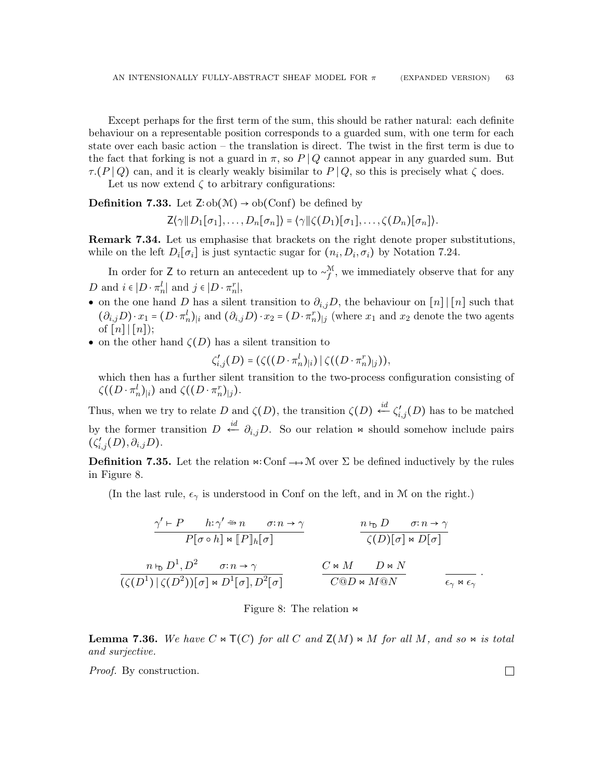Except perhaps for the first term of the sum, this should be rather natural: each definite behaviour on a representable position corresponds to a guarded sum, with one term for each state over each basic action – the translation is direct. The twist in the first term is due to the fact that forking is not a guard in  $\pi$ , so P | Q cannot appear in any guarded sum. But  $\tau(P|Q)$  can, and it is clearly weakly bisimilar to  $P|Q$ , so this is precisely what  $\zeta$  does.

Let us now extend  $\zeta$  to arbitrary configurations:

**Definition 7.33.** Let  $\mathsf{Z}:\mathrm{ob}(\mathcal{M}) \to \mathrm{ob}(\mathrm{Conf})$  be defined by

$$
\mathsf{Z}(\gamma \| D_1[\sigma_1], \ldots, D_n[\sigma_n]) = \langle \gamma \| \zeta(D_1)[\sigma_1], \ldots, \zeta(D_n)[\sigma_n] \rangle.
$$

Remark 7.34. Let us emphasise that brackets on the right denote proper substitutions, while on the left  $D_i[\sigma_i]$  is just syntactic sugar for  $(n_i, D_i, \sigma_i)$  by Notation [7.24.](#page-59-2)

In order for Z to return an antecedent up to  $\sim_f^{\mathcal{M}}$ , we immediately observe that for any D and  $i \in |D \cdot \pi_n^l|$  and  $j \in |D \cdot \pi_n^r|$ ,

- on the one hand D has a silent transition to  $\partial_{i,j}D$ , the behaviour on [n] [[n] such that  $(\partial_{i,j}D)\cdot x_1=(D\cdot\pi_n^l)_{\vert i}$  and  $(\partial_{i,j}D)\cdot x_2=(D\cdot\pi_n^r)_{\vert j}$  (where  $x_1$  and  $x_2$  denote the two agents of  $\lceil n \rceil \rceil \lceil n \rceil$ ;
- on the other hand  $\zeta(D)$  has a silent transition to

$$
\zeta'_{i,j}(D) = (\zeta((D \cdot \pi_n^l)_{|i}) \, \vert \, \zeta((D \cdot \pi_n^r)_{|j})),
$$

which then has a further silent transition to the two-process configuration consisting of  $\zeta((D \cdot \pi_n^l)_i)$  and  $\zeta((D \cdot \pi_n^r)_j)$ .

Thus, when we try to relate D and  $\zeta(D)$ , the transition  $\zeta(D) \stackrel{id}{\leftarrow} \zeta'_{i,j}(D)$  has to be matched by the former transition  $D \stackrel{id}{\leftarrow} \partial_{i,j}D$ . So our relation  $\Join$  should somehow include pairs  $(\zeta'_{i,j}(D), \partial_{i,j}D).$ 

**Definition 7.35.** Let the relation  $\alpha$ : Conf  $\rightarrow$  M over  $\Sigma$  be defined inductively by the rules in Figure [8.](#page-62-0)

(In the last rule,  $\epsilon_{\gamma}$  is understood in Conf on the left, and in M on the right.)

$$
\frac{\gamma' \vdash P \quad h: \gamma' \nightharpoonup n \quad \sigma: n \to \gamma}{P[\sigma \circ h] \bowtie [P]_h[\sigma]} \qquad \frac{n \uplus D \quad \sigma: n \to \gamma}{\zeta(D)[\sigma] \bowtie D[\sigma]}
$$
\n
$$
\frac{n \uplus D^1, D^2 \quad \sigma: n \to \gamma}{(\zeta(D^1) \mid \zeta(D^2))[\sigma] \bowtie D^1[\sigma], D^2[\sigma]} \qquad \frac{C \bowtie M \quad D \bowtie N}{C@D \bowtie M@N} \qquad \frac{\zeta \bowtie \phi}{\epsilon_{\gamma} \bowtie \epsilon_{\gamma}}.
$$

# <span id="page-62-0"></span>Figure 8: The relation &

<span id="page-62-1"></span>**Lemma 7.36.** We have  $C \bowtie \mathsf{T}(C)$  for all  $C$  and  $\mathsf{Z}(M) \bowtie M$  for all  $M$ , and so  $\bowtie$  is total and surjective.

Proof. By construction.

 $\Box$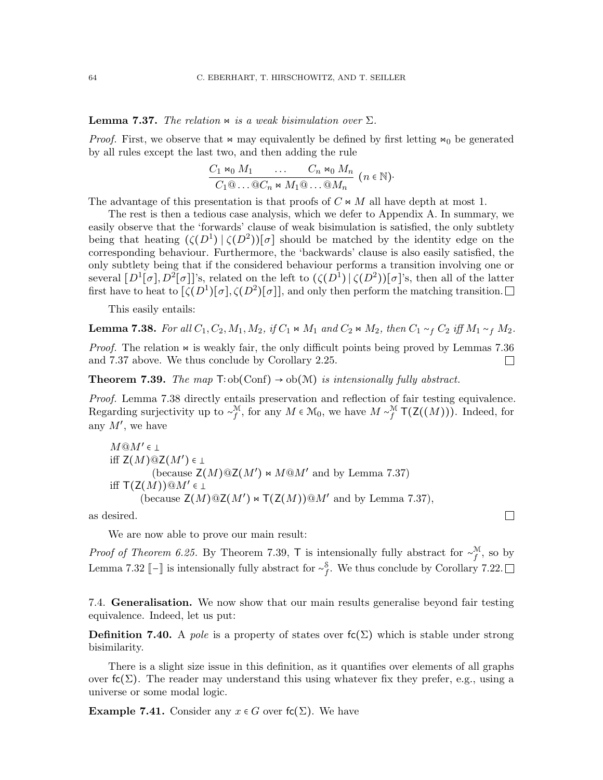<span id="page-63-1"></span>**Lemma 7.37.** The relation  $\Join$  is a weak bisimulation over  $\Sigma$ .

*Proof.* First, we observe that  $\bowtie$  may equivalently be defined by first letting  $\bowtie$ <sub>0</sub> be generated by all rules except the last two, and then adding the rule

$$
\frac{C_1 \bowtie_0 M_1 \cdots C_n \bowtie_0 M_n}{C_1 @ \ldots @ C_n \bowtie M_1 @ \ldots @ M_n} \ (n \in \mathbb{N})
$$

The advantage of this presentation is that proofs of  $C \Join M$  all have depth at most 1.

The rest is then a tedious case analysis, which we defer to Appendix [A.](#page-69-0) In summary, we easily observe that the 'forwards' clause of weak bisimulation is satisfied, the only subtlety being that heating  $({\zeta}(D^1) \mid {\zeta}(D^2))[\sigma]$  should be matched by the identity edge on the corresponding behaviour. Furthermore, the 'backwards' clause is also easily satisfied, the only subtlety being that if the considered behaviour performs a transition involving one or several  $[D^1[\sigma], D^2[\sigma]]$ 's, related on the left to  $(\zeta(D^1) \, | \, \zeta(D^2))[\sigma]$ 's, then all of the latter first have to heat to  $[\zeta(D^1)[\sigma], \zeta(D^2)[\sigma]]$ , and only then perform the matching transition.

This easily entails:

<span id="page-63-2"></span>**Lemma 7.38.** For all  $C_1, C_2, M_1, M_2$ , if  $C_1 \Join M_1$  and  $C_2 \Join M_2$ , then  $C_1 \sim_f C_2$  iff  $M_1 \sim_f M_2$ .

*Proof.* The relation  $\infty$  is weakly fair, the only difficult points being proved by Lemmas [7.36](#page-62-1) and [7.37](#page-63-1) above. We thus conclude by Corollary [2.25.](#page-13-0)  $\Box$ 

<span id="page-63-3"></span>**Theorem 7.39.** The map  $T: ob(Conf) \rightarrow ob(\mathcal{M})$  is intensionally fully abstract.

Proof. Lemma [7.38](#page-63-2) directly entails preservation and reflection of fair testing equivalence. Regarding surjectivity up to  $\sim_f^{\mathcal{M}}$ , for any  $M \in \mathcal{M}_0$ , we have  $M \sim_f^{\mathcal{M}} \mathsf{T}(\mathsf{Z}((M))).$  Indeed, for any  $M'$ , we have

```
M@M' \in \botiff \mathsf{Z}(M)@\mathsf{Z}(M')\in\bot(because \mathsf{Z}(M)@ \mathsf{Z}(M') \bowtie M @ M' 7.37)
iff \mathsf{T}(\mathsf{Z}(M))@M' \in \bot(because \mathsf{Z}(M)@ \mathsf{Z}(M') \bowtie \mathsf{T}(\mathsf{Z}(M)) @ M' 7.37),
```
as desired.

We are now able to prove our main result:

*Proof of Theorem [6.25.](#page-53-1)* By Theorem [7.39,](#page-63-3) T is intensionally fully abstract for  $\sim_f^{\mathcal{M}}$ , so by Lemma [7.32](#page-61-2)  $\llbracket - \rrbracket$  is intensionally fully abstract for  $\sim_f^{\mathcal{S}}$ . We thus conclude by Corollary [7.22.](#page-58-1)

 $\Box$ 

<span id="page-63-0"></span>7.4. Generalisation. We now show that our main results generalise beyond fair testing equivalence. Indeed, let us put:

**Definition 7.40.** A pole is a property of states over  $f(c)$  which is stable under strong bisimilarity.

There is a slight size issue in this definition, as it quantifies over elements of all graphs over  $f(c(\Sigma))$ . The reader may understand this using whatever fix they prefer, e.g., using a universe or some modal logic.

**Example 7.41.** Consider any  $x \in G$  over  $f_c(\Sigma)$ . We have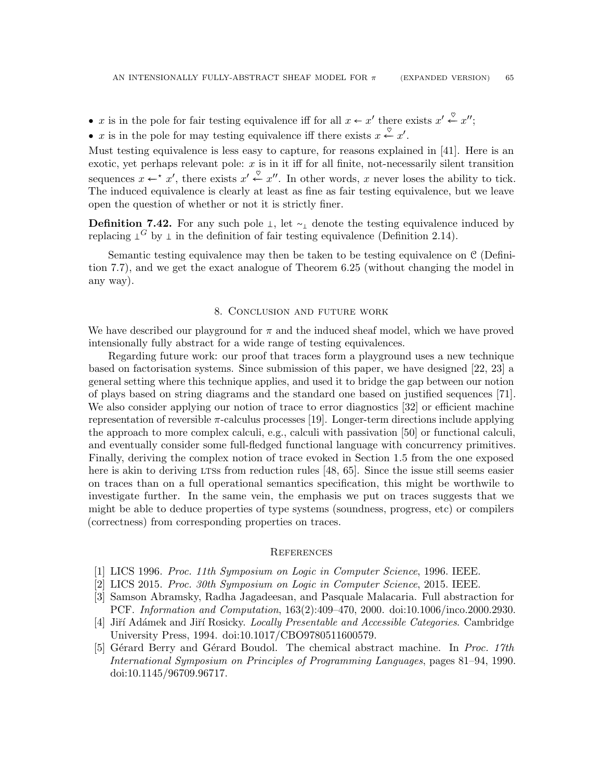- x is in the pole for fair testing equivalence iff for all  $x \leftarrow x'$  there exists  $x' \stackrel{\heartsuit}{\leftarrow} x''$ ;
- x is in the pole for may testing equivalence iff there exists  $x \stackrel{\heartsuit}{\leftarrow} x'$ .

Must testing equivalence is less easy to capture, for reasons explained in [\[41\]](#page-66-1). Here is an exotic, yet perhaps relevant pole:  $x$  is in it iff for all finite, not-necessarily silent transition sequences  $x \leftarrow^* x'$ , there exists  $x' \stackrel{\heartsuit}{\leftarrow} x''$ . In other words, x never loses the ability to tick. The induced equivalence is clearly at least as fine as fair testing equivalence, but we leave open the question of whether or not it is strictly finer.

**Definition 7.42.** For any such pole  $\perp$ , let  $\sim$  denote the testing equivalence induced by replacing  $\perp^G$  by  $\perp$  in the definition of fair testing equivalence (Definition [2.14\)](#page-11-0).

Semantic testing equivalence may then be taken to be testing equivalence on C (Definition [7.7\)](#page-55-2), and we get the exact analogue of Theorem [6.25](#page-53-1) (without changing the model in any way).

### 8. Conclusion and future work

We have described our playground for  $\pi$  and the induced sheaf model, which we have proved intensionally fully abstract for a wide range of testing equivalences.

Regarding future work: our proof that traces form a playground uses a new technique based on factorisation systems. Since submission of this paper, we have designed [\[22,](#page-65-0) [23\]](#page-66-2) a general setting where this technique applies, and used it to bridge the gap between our notion of plays based on string diagrams and the standard one based on justified sequences [\[71\]](#page-68-0). We also consider applying our notion of trace to error diagnostics [\[32\]](#page-66-3) or efficient machine representation of reversible  $\pi$ -calculus processes [\[19\]](#page-65-1). Longer-term directions include applying the approach to more complex calculi, e.g., calculi with passivation [\[50\]](#page-67-1) or functional calculi, and eventually consider some full-fledged functional language with concurrency primitives. Finally, deriving the complex notion of trace evoked in Section [1.5](#page-6-0) from the one exposed here is akin to deriving LTSs from reduction rules  $[48, 65]$  $[48, 65]$  $[48, 65]$ . Since the issue still seems easier on traces than on a full operational semantics specification, this might be worthwile to investigate further. In the same vein, the emphasis we put on traces suggests that we might be able to deduce properties of type systems (soundness, progress, etc) or compilers (correctness) from corresponding properties on traces.

#### **REFERENCES**

- <span id="page-64-1"></span>[1] LICS 1996. Proc. 11th Symposium on Logic in Computer Science, 1996. IEEE.
- <span id="page-64-0"></span>[2] LICS 2015. Proc. 30th Symposium on Logic in Computer Science, 2015. IEEE.
- [3] Samson Abramsky, Radha Jagadeesan, and Pasquale Malacaria. Full abstraction for PCF. Information and Computation, 163(2):409–470, 2000. doi[:10.1006/inco.2000.2930.](http://dx.doi.org/10.1006/inco.2000.2930)
- [4] Jiří Adámek and Jiří Rosicky. Locally Presentable and Accessible Categories. Cambridge University Press, 1994. doi[:10.1017/CBO9780511600579.](http://dx.doi.org/10.1017/CBO9780511600579)
- [5] Gérard Berry and Gérard Boudol. The chemical abstract machine. In Proc. 17th International Symposium on Principles of Programming Languages, pages 81–94, 1990. doi[:10.1145/96709.96717.](http://dx.doi.org/10.1145/96709.96717)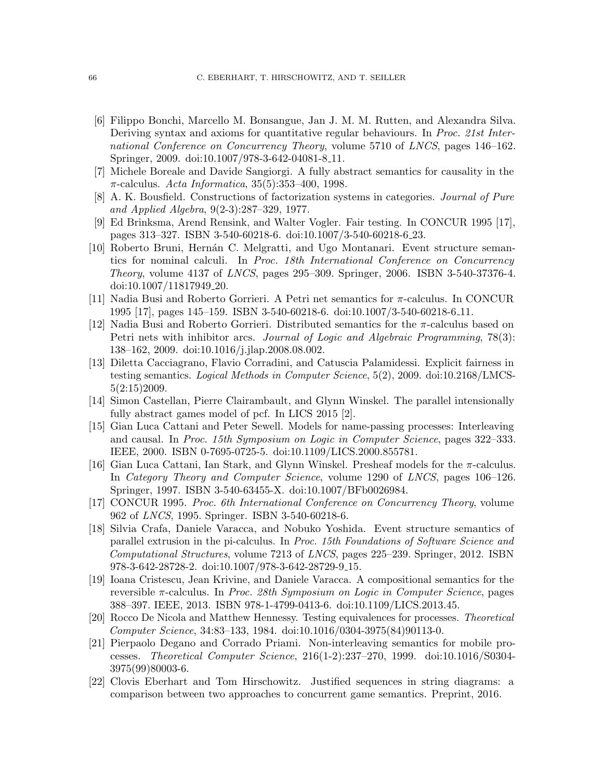- [6] Filippo Bonchi, Marcello M. Bonsangue, Jan J. M. M. Rutten, and Alexandra Silva. Deriving syntax and axioms for quantitative regular behaviours. In Proc. 21st International Conference on Concurrency Theory, volume 5710 of LNCS, pages 146–162. Springer, 2009. doi[:10.1007/978-3-642-04081-8](http://dx.doi.org/10.1007/978-3-642-04081-8_11) 11.
- [7] Michele Boreale and Davide Sangiorgi. A fully abstract semantics for causality in the  $\pi$ -calculus. Acta Informatica, 35(5):353-400, 1998.
- [8] A. K. Bousfield. Constructions of factorization systems in categories. Journal of Pure and Applied Algebra, 9(2-3):287–329, 1977.
- [9] Ed Brinksma, Arend Rensink, and Walter Vogler. Fair testing. In CONCUR 1995 [\[17\]](#page-65-2), pages 313–327. ISBN 3-540-60218-6. doi[:10.1007/3-540-60218-6](http://dx.doi.org/10.1007/3-540-60218-6_23) 23.
- [10] Roberto Bruni, Hernán C. Melgratti, and Ugo Montanari. Event structure semantics for nominal calculi. In Proc. 18th International Conference on Concurrency Theory, volume 4137 of LNCS, pages 295–309. Springer, 2006. ISBN 3-540-37376-4. doi[:10.1007/11817949](http://dx.doi.org/10.1007/11817949_20) 20.
- [11] Nadia Busi and Roberto Gorrieri. A Petri net semantics for π-calculus. In CONCUR 1995 [\[17\]](#page-65-2), pages 145–159. ISBN 3-540-60218-6. doi[:10.1007/3-540-60218-6](http://dx.doi.org/10.1007/3-540-60218-6_11) 11.
- [12] Nadia Busi and Roberto Gorrieri. Distributed semantics for the π-calculus based on Petri nets with inhibitor arcs. Journal of Logic and Algebraic Programming, 78(3): 138–162, 2009. doi[:10.1016/j.jlap.2008.08.002.](http://dx.doi.org/10.1016/j.jlap.2008.08.002)
- [13] Diletta Cacciagrano, Flavio Corradini, and Catuscia Palamidessi. Explicit fairness in testing semantics. Logical Methods in Computer Science, 5(2), 2009. doi[:10.2168/LMCS-](http://dx.doi.org/10.2168/LMCS-5(2:15)2009) $5(2:15)2009.$
- [14] Simon Castellan, Pierre Clairambault, and Glynn Winskel. The parallel intensionally fully abstract games model of pcf. In LICS 2015 [\[2\]](#page-64-0).
- [15] Gian Luca Cattani and Peter Sewell. Models for name-passing processes: Interleaving and causal. In Proc. 15th Symposium on Logic in Computer Science, pages 322–333. IEEE, 2000. ISBN 0-7695-0725-5. doi[:10.1109/LICS.2000.855781.](http://dx.doi.org/10.1109/LICS.2000.855781)
- [16] Gian Luca Cattani, Ian Stark, and Glynn Winskel. Presheaf models for the  $\pi$ -calculus. In Category Theory and Computer Science, volume 1290 of LNCS, pages 106–126. Springer, 1997. ISBN 3-540-63455-X. doi[:10.1007/BFb0026984.](http://dx.doi.org/10.1007/BFb0026984)
- <span id="page-65-2"></span>[17] CONCUR 1995. Proc. 6th International Conference on Concurrency Theory, volume 962 of LNCS, 1995. Springer. ISBN 3-540-60218-6.
- [18] Silvia Crafa, Daniele Varacca, and Nobuko Yoshida. Event structure semantics of parallel extrusion in the pi-calculus. In Proc. 15th Foundations of Software Science and Computational Structures, volume 7213 of LNCS, pages 225–239. Springer, 2012. ISBN 978-3-642-28728-2. doi[:10.1007/978-3-642-28729-9](http://dx.doi.org/10.1007/978-3-642-28729-9_15) 15.
- <span id="page-65-1"></span>[19] Ioana Cristescu, Jean Krivine, and Daniele Varacca. A compositional semantics for the reversible  $\pi$ -calculus. In *Proc. 28th Symposium on Logic in Computer Science*, pages 388–397. IEEE, 2013. ISBN 978-1-4799-0413-6. doi[:10.1109/LICS.2013.45.](http://dx.doi.org/10.1109/LICS.2013.45)
- [20] Rocco De Nicola and Matthew Hennessy. Testing equivalences for processes. Theoretical Computer Science, 34:83–133, 1984. doi[:10.1016/0304-3975\(84\)90113-0.](http://dx.doi.org/10.1016/0304-3975(84)90113-0)
- [21] Pierpaolo Degano and Corrado Priami. Non-interleaving semantics for mobile processes. Theoretical Computer Science, 216(1-2):237–270, 1999. doi[:10.1016/S0304-](http://dx.doi.org/10.1016/S0304-3975(99)80003-6) [3975\(99\)80003-6.](http://dx.doi.org/10.1016/S0304-3975(99)80003-6)
- <span id="page-65-0"></span>[22] Clovis Eberhart and Tom Hirschowitz. Justified sequences in string diagrams: a comparison between two approaches to concurrent game semantics. Preprint, 2016.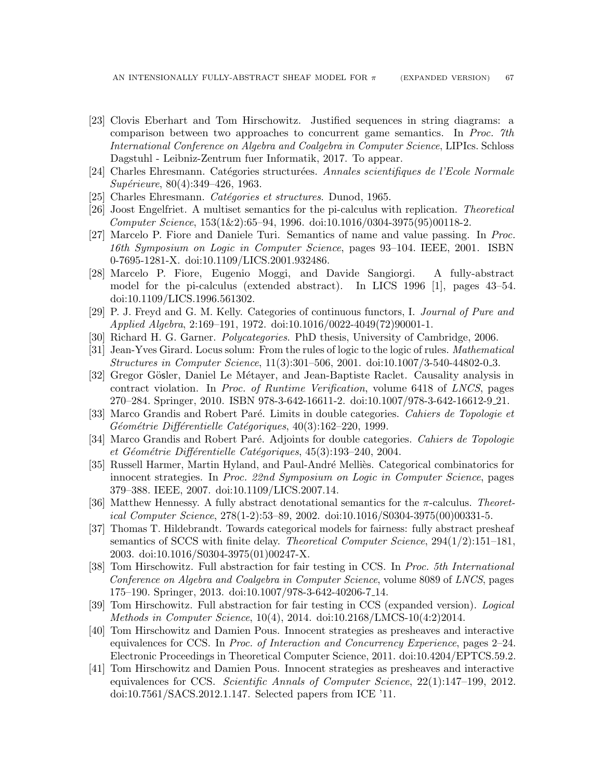- <span id="page-66-2"></span>[23] Clovis Eberhart and Tom Hirschowitz. Justified sequences in string diagrams: a comparison between two approaches to concurrent game semantics. In Proc. 7th International Conference on Algebra and Coalgebra in Computer Science, LIPIcs. Schloss Dagstuhl - Leibniz-Zentrum fuer Informatik, 2017. To appear.
- [24] Charles Ehresmann. Catégories structurées. Annales scientifiques de l'Ecole Normale Supérieure, 80(4):349–426, 1963.
- [25] Charles Ehresmann. *Catégories et structures*. Dunod, 1965.
- [26] Joost Engelfriet. A multiset semantics for the pi-calculus with replication. Theoretical Computer Science, 153(1&2):65–94, 1996. doi[:10.1016/0304-3975\(95\)00118-2.](http://dx.doi.org/10.1016/0304-3975(95)00118-2)
- [27] Marcelo P. Fiore and Daniele Turi. Semantics of name and value passing. In Proc. 16th Symposium on Logic in Computer Science, pages 93–104. IEEE, 2001. ISBN 0-7695-1281-X. doi[:10.1109/LICS.2001.932486.](http://dx.doi.org/10.1109/LICS.2001.932486)
- [28] Marcelo P. Fiore, Eugenio Moggi, and Davide Sangiorgi. A fully-abstract model for the pi-calculus (extended abstract). In LICS 1996 [\[1\]](#page-64-1), pages 43–54. doi[:10.1109/LICS.1996.561302.](http://dx.doi.org/10.1109/LICS.1996.561302)
- [29] P. J. Freyd and G. M. Kelly. Categories of continuous functors, I. Journal of Pure and Applied Algebra, 2:169–191, 1972. doi[:10.1016/0022-4049\(72\)90001-1.](http://dx.doi.org/10.1016/0022-4049(72)90001-1)
- [30] Richard H. G. Garner. Polycategories. PhD thesis, University of Cambridge, 2006.
- [31] Jean-Yves Girard. Locus solum: From the rules of logic to the logic of rules. Mathematical Structures in Computer Science, 11(3):301–506, 2001. doi[:10.1007/3-540-44802-0](http://dx.doi.org/10.1007/3-540-44802-0_3) 3.
- <span id="page-66-3"></span>[32] Gregor Gösler, Daniel Le Métayer, and Jean-Baptiste Raclet. Causality analysis in contract violation. In Proc. of Runtime Verification, volume 6418 of LNCS, pages 270–284. Springer, 2010. ISBN 978-3-642-16611-2. doi[:10.1007/978-3-642-16612-9](http://dx.doi.org/10.1007/978-3-642-16612-9_21) 21.
- [33] Marco Grandis and Robert Paré. Limits in double categories. Cahiers de Topologie et  $Géométrie$  Différentielle Catégoriques,  $40(3):162-220$ , 1999.
- [34] Marco Grandis and Robert Paré. Adjoints for double categories. Cahiers de Topologie et Géométrie Différentielle Catégoriques,  $45(3):193-240$ , 2004.
- [35] Russell Harmer, Martin Hyland, and Paul-André Melliès. Categorical combinatorics for innocent strategies. In Proc. 22nd Symposium on Logic in Computer Science, pages 379–388. IEEE, 2007. doi[:10.1109/LICS.2007.14.](http://dx.doi.org/10.1109/LICS.2007.14)
- [36] Matthew Hennessy. A fully abstract denotational semantics for the  $\pi$ -calculus. Theoretical Computer Science, 278(1-2):53–89, 2002. doi[:10.1016/S0304-3975\(00\)00331-5.](http://dx.doi.org/10.1016/S0304-3975(00)00331-5)
- [37] Thomas T. Hildebrandt. Towards categorical models for fairness: fully abstract presheaf semantics of SCCS with finite delay. Theoretical Computer Science, 294(1/2):151–181, 2003. doi[:10.1016/S0304-3975\(01\)00247-X.](http://dx.doi.org/10.1016/S0304-3975(01)00247-X)
- [38] Tom Hirschowitz. Full abstraction for fair testing in CCS. In Proc. 5th International Conference on Algebra and Coalgebra in Computer Science, volume 8089 of LNCS, pages 175–190. Springer, 2013. doi[:10.1007/978-3-642-40206-7](http://dx.doi.org/10.1007/978-3-642-40206-7_14) 14.
- <span id="page-66-0"></span>[39] Tom Hirschowitz. Full abstraction for fair testing in CCS (expanded version). Logical Methods in Computer Science, 10(4), 2014. doi[:10.2168/LMCS-10\(4:2\)2014.](http://dx.doi.org/10.2168/LMCS-10(4:2)2014)
- [40] Tom Hirschowitz and Damien Pous. Innocent strategies as presheaves and interactive equivalences for CCS. In Proc. of Interaction and Concurrency Experience, pages 2–24. Electronic Proceedings in Theoretical Computer Science, 2011. doi[:10.4204/EPTCS.59.2.](http://dx.doi.org/10.4204/EPTCS.59.2)
- <span id="page-66-1"></span>[41] Tom Hirschowitz and Damien Pous. Innocent strategies as presheaves and interactive equivalences for CCS. Scientific Annals of Computer Science, 22(1):147–199, 2012. doi[:10.7561/SACS.2012.1.147.](http://dx.doi.org/10.7561/SACS.2012.1.147) Selected papers from ICE '11.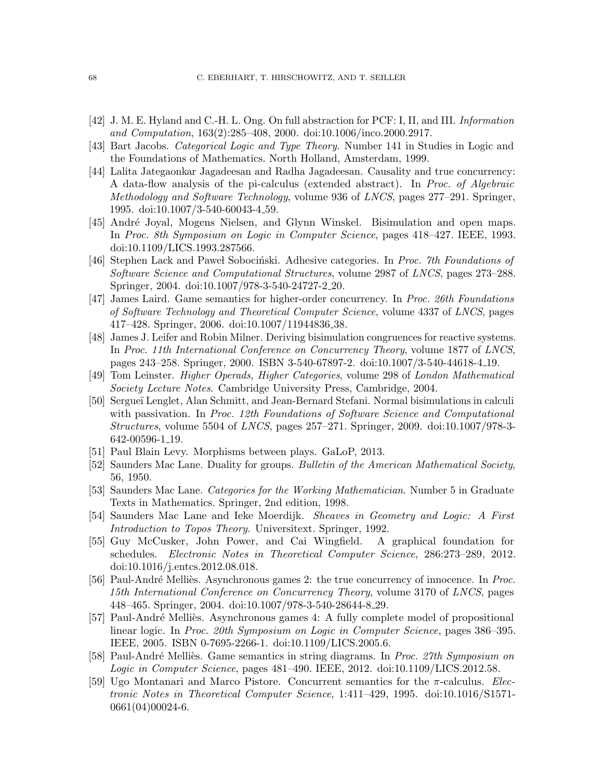- [42] J. M. E. Hyland and C.-H. L. Ong. On full abstraction for PCF: I, II, and III. Information and Computation, 163(2):285–408, 2000. doi[:10.1006/inco.2000.2917.](http://dx.doi.org/10.1006/inco.2000.2917)
- [43] Bart Jacobs. Categorical Logic and Type Theory. Number 141 in Studies in Logic and the Foundations of Mathematics. North Holland, Amsterdam, 1999.
- [44] Lalita Jategaonkar Jagadeesan and Radha Jagadeesan. Causality and true concurrency: A data-flow analysis of the pi-calculus (extended abstract). In Proc. of Algebraic Methodology and Software Technology, volume 936 of LNCS, pages 277–291. Springer, 1995. doi[:10.1007/3-540-60043-4](http://dx.doi.org/10.1007/3-540-60043-4_59) 59.
- [45] André Joyal, Mogens Nielsen, and Glynn Winskel. Bisimulation and open maps. In Proc. 8th Symposium on Logic in Computer Science, pages 418–427. IEEE, 1993. doi[:10.1109/LICS.1993.287566.](http://dx.doi.org/10.1109/LICS.1993.287566)
- [46] Stephen Lack and Pawel Sobocinski. Adhesive categories. In Proc. 7th Foundations of Software Science and Computational Structures, volume 2987 of LNCS, pages 273–288. Springer, 2004. doi[:10.1007/978-3-540-24727-2](http://dx.doi.org/10.1007/978-3-540-24727-2_20) 20.
- [47] James Laird. Game semantics for higher-order concurrency. In Proc. 26th Foundations of Software Technology and Theoretical Computer Science, volume 4337 of LNCS, pages 417–428. Springer, 2006. doi[:10.1007/11944836](http://dx.doi.org/10.1007/11944836_38) 38.
- <span id="page-67-2"></span>[48] James J. Leifer and Robin Milner. Deriving bisimulation congruences for reactive systems. In Proc. 11th International Conference on Concurrency Theory, volume 1877 of LNCS, pages 243–258. Springer, 2000. ISBN 3-540-67897-2. doi[:10.1007/3-540-44618-4](http://dx.doi.org/10.1007/3-540-44618-4_19) 19.
- [49] Tom Leinster. Higher Operads, Higher Categories, volume 298 of London Mathematical Society Lecture Notes. Cambridge University Press, Cambridge, 2004.
- <span id="page-67-1"></span>[50] Sergueï Lenglet, Alan Schmitt, and Jean-Bernard Stefani. Normal bisimulations in calculi with passivation. In Proc. 12th Foundations of Software Science and Computational Structures, volume 5504 of LNCS, pages 257–271. Springer, 2009. doi[:10.1007/978-3-](http://dx.doi.org/10.1007/978-3-642-00596-1_19) [642-00596-1](http://dx.doi.org/10.1007/978-3-642-00596-1_19) 19.
- [51] Paul Blain Levy. Morphisms between plays. GaLoP, 2013.
- [52] Saunders Mac Lane. Duality for groups. Bulletin of the American Mathematical Society, 56, 1950.
- <span id="page-67-0"></span>[53] Saunders Mac Lane. Categories for the Working Mathematician. Number 5 in Graduate Texts in Mathematics. Springer, 2nd edition, 1998.
- [54] Saunders Mac Lane and Ieke Moerdijk. Sheaves in Geometry and Logic: A First Introduction to Topos Theory. Universitext. Springer, 1992.
- [55] Guy McCusker, John Power, and Cai Wingfield. A graphical foundation for schedules. Electronic Notes in Theoretical Computer Science, 286:273–289, 2012. doi[:10.1016/j.entcs.2012.08.018.](http://dx.doi.org/10.1016/j.entcs.2012.08.018)
- [56] Paul-André Melliès. Asynchronous games 2: the true concurrency of innocence. In Proc. 15th International Conference on Concurrency Theory, volume 3170 of LNCS, pages 448–465. Springer, 2004. doi[:10.1007/978-3-540-28644-8](http://dx.doi.org/10.1007/978-3-540-28644-8_29) 29.
- [57] Paul-André Melliès. Asynchronous games 4: A fully complete model of propositional linear logic. In Proc. 20th Symposium on Logic in Computer Science, pages 386–395. IEEE, 2005. ISBN 0-7695-2266-1. doi[:10.1109/LICS.2005.6.](http://dx.doi.org/10.1109/LICS.2005.6)
- [58] Paul-André Melliès. Game semantics in string diagrams. In Proc. 27th Symposium on Logic in Computer Science, pages 481–490. IEEE, 2012. doi[:10.1109/LICS.2012.58.](http://dx.doi.org/10.1109/LICS.2012.58)
- [59] Ugo Montanari and Marco Pistore. Concurrent semantics for the  $\pi$ -calculus. *Elec*tronic Notes in Theoretical Computer Science, 1:411–429, 1995. doi[:10.1016/S1571-](http://dx.doi.org/10.1016/S1571-0661(04)00024-6) [0661\(04\)00024-6.](http://dx.doi.org/10.1016/S1571-0661(04)00024-6)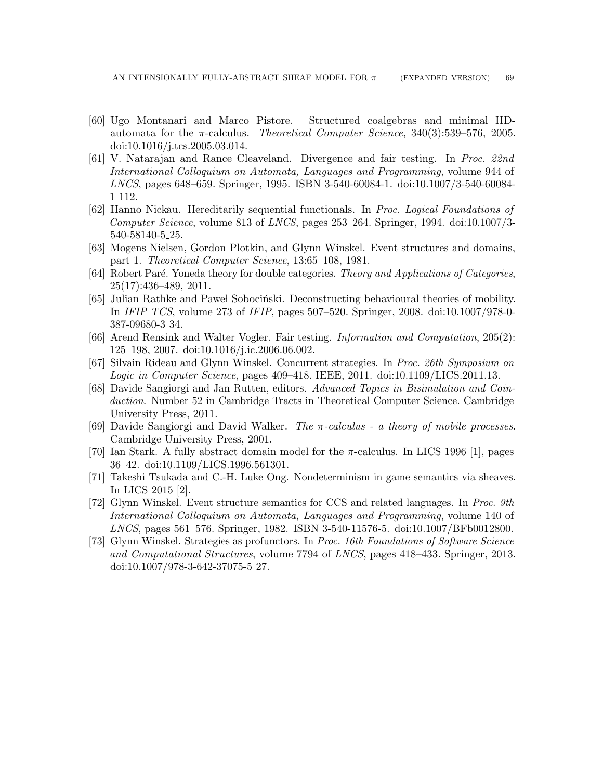- [60] Ugo Montanari and Marco Pistore. Structured coalgebras and minimal HDautomata for the  $\pi$ -calculus. *Theoretical Computer Science*, 340(3):539–576, 2005. doi[:10.1016/j.tcs.2005.03.014.](http://dx.doi.org/10.1016/j.tcs.2005.03.014)
- [61] V. Natarajan and Rance Cleaveland. Divergence and fair testing. In Proc. 22nd International Colloquium on Automata, Languages and Programming, volume 944 of LNCS, pages 648–659. Springer, 1995. ISBN 3-540-60084-1. doi[:10.1007/3-540-60084-](http://dx.doi.org/10.1007/3-540-60084-1_112) 1 [112.](http://dx.doi.org/10.1007/3-540-60084-1_112)
- [62] Hanno Nickau. Hereditarily sequential functionals. In Proc. Logical Foundations of Computer Science, volume 813 of LNCS, pages 253–264. Springer, 1994. doi[:10.1007/3-](http://dx.doi.org/10.1007/3-540-58140-5_25) [540-58140-5](http://dx.doi.org/10.1007/3-540-58140-5_25) 25.
- [63] Mogens Nielsen, Gordon Plotkin, and Glynn Winskel. Event structures and domains, part 1. Theoretical Computer Science, 13:65–108, 1981.
- [64] Robert Paré. Yoneda theory for double categories. Theory and Applications of Categories, 25(17):436–489, 2011.
- <span id="page-68-1"></span>[65] Julian Rathke and Pawel Sobocinski. Deconstructing behavioural theories of mobility. In IFIP TCS, volume 273 of IFIP, pages 507–520. Springer, 2008. doi[:10.1007/978-0-](http://dx.doi.org/10.1007/978-0-387-09680-3_34) [387-09680-3](http://dx.doi.org/10.1007/978-0-387-09680-3_34) 34.
- [66] Arend Rensink and Walter Vogler. Fair testing. Information and Computation, 205(2): 125–198, 2007. doi[:10.1016/j.ic.2006.06.002.](http://dx.doi.org/10.1016/j.ic.2006.06.002)
- [67] Silvain Rideau and Glynn Winskel. Concurrent strategies. In Proc. 26th Symposium on Logic in Computer Science, pages 409–418. IEEE, 2011. doi[:10.1109/LICS.2011.13.](http://dx.doi.org/10.1109/LICS.2011.13)
- <span id="page-68-2"></span>[68] Davide Sangiorgi and Jan Rutten, editors. Advanced Topics in Bisimulation and Coinduction. Number 52 in Cambridge Tracts in Theoretical Computer Science. Cambridge University Press, 2011.
- [69] Davide Sangiorgi and David Walker. The  $\pi$ -calculus a theory of mobile processes. Cambridge University Press, 2001.
- [70] Ian Stark. A fully abstract domain model for the  $\pi$ -calculus. In LICS 1996 [\[1\]](#page-64-1), pages 36–42. doi[:10.1109/LICS.1996.561301.](http://dx.doi.org/10.1109/LICS.1996.561301)
- <span id="page-68-0"></span>[71] Takeshi Tsukada and C.-H. Luke Ong. Nondeterminism in game semantics via sheaves. In LICS 2015 [\[2\]](#page-64-0).
- [72] Glynn Winskel. Event structure semantics for CCS and related languages. In Proc. 9th International Colloquium on Automata, Languages and Programming, volume 140 of LNCS, pages 561–576. Springer, 1982. ISBN 3-540-11576-5. doi[:10.1007/BFb0012800.](http://dx.doi.org/10.1007/BFb0012800)
- [73] Glynn Winskel. Strategies as profunctors. In Proc. 16th Foundations of Software Science and Computational Structures, volume 7794 of LNCS, pages 418–433. Springer, 2013. doi[:10.1007/978-3-642-37075-5](http://dx.doi.org/10.1007/978-3-642-37075-5_27) 27.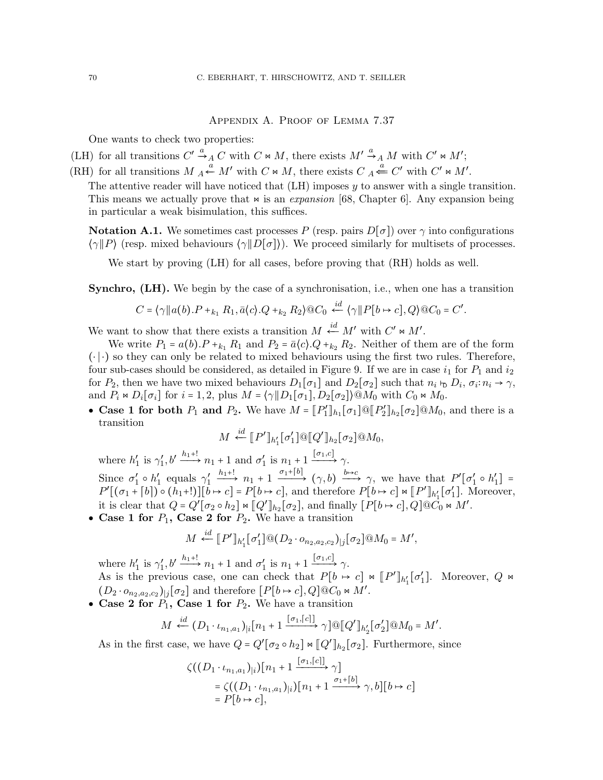## Appendix A. Proof of Lemma [7.37](#page-63-1)

<span id="page-69-0"></span>One wants to check two properties:

(LH) for all transitions 
$$
C' \xrightarrow{a} C
$$
 with  $C \bowtie M$ , there exists  $M' \xrightarrow{a} M$  with  $C' \bowtie M'$ ;

(RH) for all transitions  $M_A \stackrel{a}{\leftarrow} M'$  with  $C \bowtie M$ , there exists  $C_A \stackrel{a}{\leftarrow} C'$  with  $C' \bowtie M'$ .

The attentive reader will have noticed that  $(LH)$  imposes  $\gamma$  to answer with a single transition. This means we actually prove that  $\infty$  is an expansion [\[68,](#page-68-2) Chapter 6]. Any expansion being in particular a weak bisimulation, this suffices.

**Notation A.1.** We sometimes cast processes P (resp. pairs  $D[\sigma]$ ) over  $\gamma$  into configurations  $\langle \gamma \| P \rangle$  (resp. mixed behaviours  $\langle \gamma \| D[\sigma] \rangle$ ). We proceed similarly for multisets of processes.

We start by proving (LH) for all cases, before proving that (RH) holds as well.

Synchro, (LH). We begin by the case of a synchronisation, i.e., when one has a transition

$$
C = \langle \gamma || a(b).P +_{k_1} R_1, \bar{a}\langle c \rangle . Q +_{k_2} R_2 \rangle \textcircled{a} C_0 \stackrel{id}{\leftarrow} \langle \gamma || P[b \mapsto c], Q \rangle \textcircled{a} C_0 = C'.
$$

We want to show that there exists a transition  $M \stackrel{id}{\leftarrow} M'$  with  $C' \bowtie M'$ .

We write  $P_1 = a(b) \cdot P + k_1 R_1$  and  $P_2 = \bar{a}\langle c \rangle \cdot Q + k_2 R_2$ . Neither of them are of the form  $(·)$  so they can only be related to mixed behaviours using the first two rules. Therefore, four sub-cases should be considered, as detailed in Figure [9.](#page-70-0) If we are in case  $i_1$  for  $P_1$  and  $i_2$ for  $P_2$ , then we have two mixed behaviours  $D_1[\sigma_1]$  and  $D_2[\sigma_2]$  such that  $n_i \vdash D_i$ ,  $\sigma_i : n_i \to \gamma$ , and  $P_i \Join D_i[\sigma_i]$  for  $i = 1, 2$ , plus  $M = \langle \gamma \| D_1[\sigma_1], D_2[\sigma_2] \rangle \otimes M_0$  with  $C_0 \Join M_0$ .

• Case 1 for both  $P_1$  and  $P_2$ . We have  $M = [P'_1]_{h_1} [\sigma_1] \otimes [P'_2]_{h_2} [\sigma_2] \otimes M_0$ , and there is a transition

$$
M \stackrel{id}{\leftarrow} [P']_{h'_1} [\sigma'_1] \otimes [Q']_{h_2} [\sigma_2] \otimes M_0,
$$

where  $h'_1$  is  $\gamma'_1, b' \xrightarrow{h_1+!} n_1 + 1$  and  $\sigma'_1$  is  $n_1 + 1 \xrightarrow{[\sigma_1,c]} \gamma$ . Since  $\sigma'_1 \circ h'_1$  equals  $\gamma'_1$  $h_1^{\mu}$   $n_1 + 1 \xrightarrow{\sigma_1 + [b]} (\gamma, b) \xrightarrow{b \mapsto c} \gamma$ , we have that  $P'[\sigma'_1 \circ h'_1] =$  $P'[(\sigma_1 + \lceil b \rceil) \circ (h_1 + !)][\bar{b} \mapsto c] = P[b \mapsto c]$ , and therefore  $P[b \mapsto c] \bowtie [P']_{h'_1}[\sigma'_1]$ . Moreover, it is clear that  $Q = Q'[\sigma_2 \circ h_2] \Join [Q']_{h_2}[\sigma_2]$ , and finally  $[P[b \leftrightarrow c], Q] \t Q \t C_0 \Join M'.$ 

• Case 1 for  $P_1$ , Case 2 for  $P_2$ . We have a transition

$$
M \stackrel{id}{\leftarrow} [P']_{h'_1} [\sigma'_1] @ (D_2 \cdot o_{n_2, a_2, c_2})_{|j} [\sigma_2] @ M_0 = M',
$$

where  $h'_1$  is  $\gamma'_1, b' \xrightarrow{h_1+!} n_1 + 1$  and  $\sigma'_1$  is  $n_1 + 1 \xrightarrow{[\sigma_1,c]} \gamma$ . As is the previous case, one can check that  $P[b \mapsto c] \Join [P']_{h'_1}[\sigma'_1]$ . Moreover,  $Q \Join$  $(D_2 \cdot o_{n_2, a_2, c_2})_{j} [\sigma_2]$  and therefore  $[P[b \leftrightarrow c], Q] @ C_0 \bowtie M'.$ 

• Case 2 for  $P_1$ , Case 1 for  $P_2$ . We have a transition

$$
M \stackrel{id}{\leftarrow} (D_1 \cdot \iota_{n_1, a_1})_{|i}[n_1 + 1 \xrightarrow{[\sigma_1, [c]]} \gamma] \mathbb{Q}[Q']_{h'_2}[\sigma'_2] \mathbb{Q}M_0 = M'.
$$

As in the first case, we have  $Q = Q'[\sigma_2 \circ h_2] \bowtie [Q']_{h_2}[\sigma_2]$ . Furthermore, since

$$
\zeta((D_1 \cdot \iota_{n_1, a_1})_{|i})[n_1 + 1 \xrightarrow{[\sigma_1, [c]]} \gamma]
$$
  
= 
$$
\zeta((D_1 \cdot \iota_{n_1, a_1})_{|i})[n_1 + 1 \xrightarrow{\sigma_1 + [b]} \gamma, b][b \mapsto c]
$$
  
= 
$$
P[b \mapsto c],
$$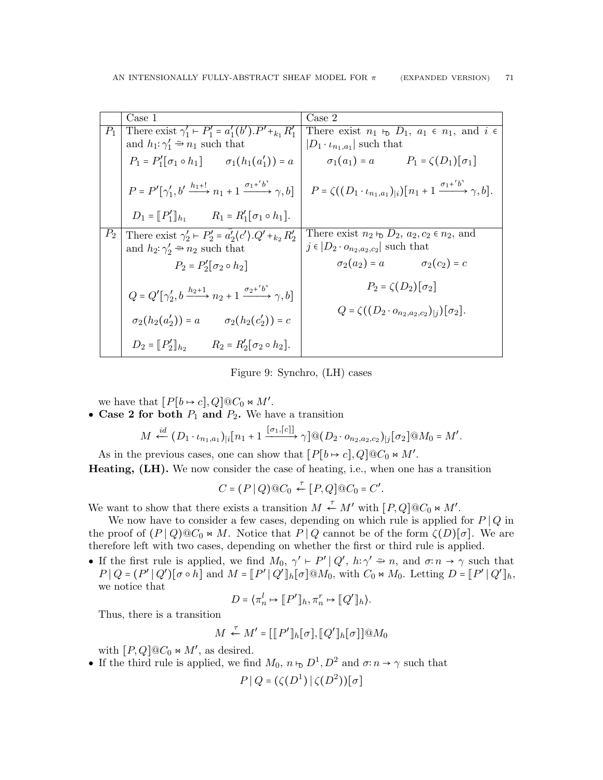|       | Case 1                                                                                | $\text{Case} 2$                                                                                                                                                                         |
|-------|---------------------------------------------------------------------------------------|-----------------------------------------------------------------------------------------------------------------------------------------------------------------------------------------|
| $P_1$ | There exist $\gamma'_1 \vdash P'_1 = a'_1(b').P' +_{k_1} R'_1$                        | There exist $n_1 \vdash_D D_1$ , $a_1 \in n_1$ , and $i \in$                                                                                                                            |
|       | and $h_1: \gamma_1' \cong n_1$ such that                                              | $ D_1 \cdot \iota_{n_1,a_1} $ such that                                                                                                                                                 |
|       | $P_1 = P'_1[\sigma_1 \circ h_1]$ $\sigma_1(h_1(a'_1)) = a$                            | $\sigma_1(a_1) = a$ $P_1 = \zeta(D_1)[\sigma_1]$                                                                                                                                        |
|       |                                                                                       | $P = P'[\gamma_1', b' \xrightarrow{h_1+1} n_1 + 1 \xrightarrow{\sigma_1+ b} \gamma, b] \mid P = \zeta((D_1 \cdot \iota_{n_1, a_1})_{ i})[n_1 + 1 \xrightarrow{\sigma_1+ b} \gamma, b].$ |
|       | $D_1 = [P'_1]_{h_1}$ $R_1 = R'_1[\sigma_1 \circ h_1].$                                |                                                                                                                                                                                         |
| $P_2$ | There exist $\gamma'_2 \vdash P'_2 = a'_2 \langle c' \rangle . Q' +_{k_2} R'_2$       | There exist $n_2 \varepsilon_2$ $D_2$ , $a_2, c_2 \in n_2$ , and                                                                                                                        |
|       | and $h_2: \gamma'_2 \cong n_2$ such that                                              | $j \in  D_2 \cdot o_{n_2,a_2,c_2} $ such that                                                                                                                                           |
|       | $P_2 = P'_2[\sigma_2 \circ h_2]$                                                      | $\sigma_2(a_2) = a$ $\sigma_2(c_2) = c$                                                                                                                                                 |
|       | $Q = Q'[\gamma'_2, b \xrightarrow{h_2+1} n_2 + 1 \xrightarrow{\sigma_2+b} \gamma, b]$ | $P_2 = \zeta(D_2)[\sigma_2]$                                                                                                                                                            |
|       | $\sigma_2(h_2(a'_2)) = a$ $\sigma_2(h_2(c'_2)) = c$                                   | $Q = \zeta((D_2 \cdot o_{n_2,a_2,c_2})_{ i})[\sigma_2].$                                                                                                                                |
|       | $D_2 = [P'_2]_{h_2}$ $R_2 = R'_2[\sigma_2 \circ h_2].$                                |                                                                                                                                                                                         |

<span id="page-70-0"></span>Figure 9: Synchro, (LH) cases

we have that  $[P[b \mapsto c], Q] @ C_0 \bowtie M'.$ 

• Case 2 for both  $P_1$  and  $P_2$ . We have a transition

$$
M \stackrel{id}{\leftarrow} (D_1 \cdot \iota_{n_1, a_1})_{|i}[n_1 + 1 \xrightarrow{[\sigma_1, [c]]} \gamma] \mathbb{Q}(D_2 \cdot o_{n_2, a_2, c_2})_{|j}[\sigma_2] \mathbb{Q}M_0 = M'.
$$

As in the previous cases, one can show that  $[P[b \rightarrow c], Q] @ C_0 \bowtie M'.$ 

Heating, (LH). We now consider the case of heating, i.e., when one has a transition

$$
C = (P | Q) @ C_0 \stackrel{\tau}{\leftarrow} [P,Q] @ C_0 = C'.
$$

We want to show that there exists a transition  $M \stackrel{\tau}{\leftarrow} M'$  with  $[P,Q]@C_0 \Join M'.$ 

We now have to consider a few cases, depending on which rule is applied for  $P \mid Q$  in the proof of  $(P | Q) @C_0 \bowtie M$ . Notice that  $P | Q$  cannot be of the form  $\zeta(D)[\sigma]$ . We are therefore left with two cases, depending on whether the first or third rule is applied.

• If the first rule is applied, we find  $M_0$ ,  $\gamma' \vdash P' | Q'$ ,  $h:\gamma' \rightrightarrows n$ , and  $\sigma:\eta \to \gamma$  such that  $P \mid Q = (P' \mid Q')[\sigma \circ h]$  and  $M = [P' \mid Q']_h[\sigma] \overset{\odot}{\otimes} M_0$ , with  $C_0 \bowtie M_0$ . Letting  $D = [P' \mid Q']_h$ , we notice that

$$
D = \langle \pi_n^l \mapsto [P']_h, \pi_n^r \mapsto [Q']_h \rangle.
$$

Thus, there is a transition

$$
M \stackrel{\tau}{\leftarrow} M' = [[P']_h[\sigma], [Q']_h[\sigma]] @M_0
$$

with  $[P,Q]@C_0 \bowtie M'$ , as desired.

• If the third rule is applied, we find  $M_0$ ,  $n \vdash D^1, D^2$  and  $\sigma: n \to \gamma$  such that

$$
P \, | \, Q = (\zeta(D^1) \, | \, \zeta(D^2))[\sigma]
$$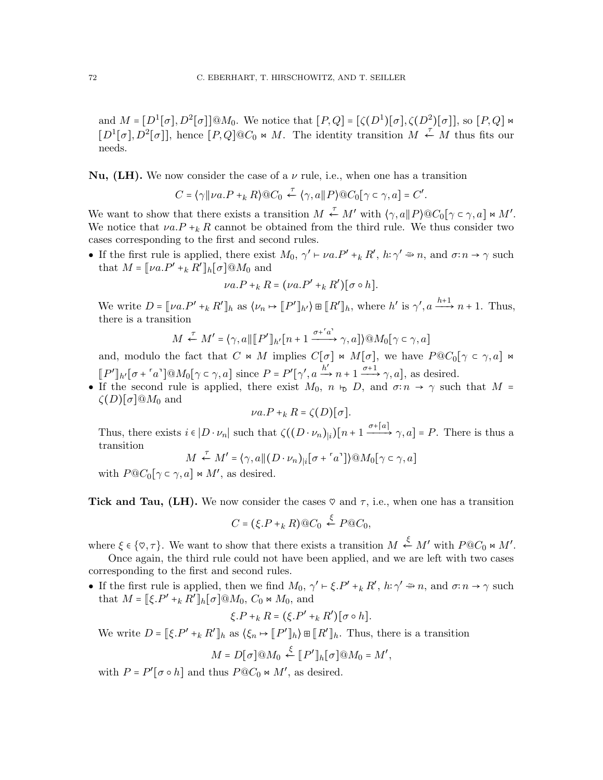and  $M = [D^1[\sigma], D^2[\sigma]]@M_0$ . We notice that  $[P,Q] = [\zeta(D^1)[\sigma], \zeta(D^2)[\sigma]]$ , so  $[P,Q]$   $\Join$  $[D^1[\sigma], D^2[\sigma]]$ , hence  $[P,Q]@C_0 \bowtie M$ . The identity transition  $M \leftarrow M$  thus fits our needs.

**Nu, (LH).** We now consider the case of a  $\nu$  rule, i.e., when one has a transition

$$
C = \langle \gamma \|\nu a.P+_k R \rangle @C_0 \stackrel{\tau}{\leftarrow} \langle \gamma, a \|\, P \rangle @C_0[\gamma \subset \gamma, a] = C'.
$$

We want to show that there exists a transition  $M \stackrel{\tau}{\leftarrow} M'$  with  $(\gamma, a \| P) @ C_0[\gamma \in \gamma, a] \bowtie M'.$ We notice that  $\nu a.P+_k R$  cannot be obtained from the third rule. We thus consider two cases corresponding to the first and second rules.

• If the first rule is applied, there exist  $M_0$ ,  $\gamma' \vdash \nu a.P' +_k R'$ ,  $h:\gamma' \Rightarrow n$ , and  $\sigma:\nu \to \gamma$  such that  $M = [\![\nu a.P' +_k R' ]\!]_h [\![\sigma]\!] \mathfrak{A}_0$  and

$$
\nu a.P+_k R = (\nu a.P' +_k R')[\sigma \circ h].
$$

We write  $D = [\![\nu a.P' +_k R' ]\!]_h$  as  $\langle \nu_n \mapsto [\![P' ]\!]_h$ ,  $\exists \mathbb{R}^l [\![h, \cdot ]\!]_h$ , where  $h'$  is  $\gamma', a \xrightarrow{h+1} n+1$ . Thus, there is a transition

$$
M \xleftarrow{\tau} M' = \langle \gamma, a \mid \mid [P']_{h'}[n+1 \xrightarrow{\sigma + \ulcorner a'} \gamma, a] \rangle \textcircled{a} M_0[\gamma \subset \gamma, a]
$$

and, modulo the fact that C  $\ltimes M$  implies  $C[\sigma] \ltimes M[\sigma]$ , we have  $P@C_0[\gamma \subset \gamma, a] \ltimes$  $[P']_{h'}[\sigma + \lceil a \rceil] \mathcal{Q}M_0[\gamma \subset \gamma, a]$  since  $P = P'[\gamma', a \xrightarrow{h'} n+1 \xrightarrow{\sigma+1} \gamma, a]$ , as desired.

• If the second rule is applied, there exist  $M_0$ ,  $n \vdash_D D$ , and  $\sigma: n \to \gamma$  such that  $M =$  $\zeta(D)[\sigma]@M_0$  and

$$
\nu a.P+_k R = \zeta(D)[\sigma].
$$

Thus, there exists  $i \in |D \cdot \nu_n|$  such that  $\zeta((D \cdot \nu_n)|_i)[n+1 \xrightarrow{\sigma+[a]} \gamma, a] = P$ . There is thus a transition

$$
M \stackrel{\tau}{\leftarrow} M' = \langle \gamma, a \mid (D \cdot \nu_n)_{\mid i} [\sigma + \lceil a \rceil] \rangle \mathcal{Q} M_0[\gamma \in \gamma, a]
$$

with  $P@C_0[\gamma \subset \gamma, a] \bowtie M'$ , as desired.

Tick and Tau, (LH). We now consider the cases  $\heartsuit$  and  $\tau$ , i.e., when one has a transition

$$
C = (\xi.P+_k R) @ C_0 \stackrel{\xi}{\leftarrow} P @ C_0,
$$

where  $\xi \in \{\infty, \tau\}$ . We want to show that there exists a transition  $M \stackrel{\xi}{\leftarrow} M'$  with  $P@C_0 \Join M'$ .

Once again, the third rule could not have been applied, and we are left with two cases corresponding to the first and second rules.

• If the first rule is applied, then we find  $M_0$ ,  $\gamma' \vdash \xi.P' +_k R'$ ,  $h: \gamma' \rightrightarrows n$ , and  $\sigma: n \to \gamma$  such that  $M = [\xi \cdot P' + k R']_h[\sigma] @M_0, C_0 \bowtie M_0$ , and

$$
\xi.P+_k R = (\xi.P' +_k R')[\sigma \circ h].
$$

We write  $D = [\xi P' + k R']_h$  as  $\langle \xi_n \mapsto [P']_h \rangle \boxplus [R']_h$ . Thus, there is a transition

$$
M = D[\sigma] @M_0 \stackrel{\xi}{\leftarrow} [P']_h[\sigma] @M_0 = M',
$$

with  $P = P'[\sigma \circ h]$  and thus  $P@C_0 \bowtie M'$ , as desired.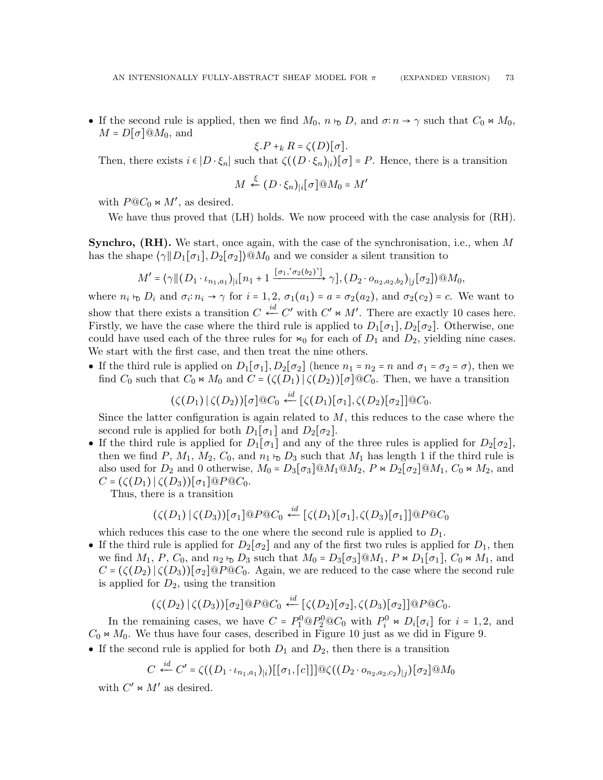• If the second rule is applied, then we find  $M_0$ ,  $n \vdash D$ , and  $\sigma: n \to \gamma$  such that  $C_0 \bowtie M_0$ ,  $M = D[\sigma]@M_0$ , and

$$
\xi.P+_k R = \zeta(D)[\sigma].
$$

Then, there exists  $i \in |D \cdot \xi_n|$  such that  $\zeta((D \cdot \xi_n)|_i)[\sigma] = P$ . Hence, there is a transition

$$
M \stackrel{\xi}{\leftarrow} (D \cdot \xi_n)_{|i} [\sigma] @M_0 = M'
$$

with  $P@C_0 \Join M'$ , as desired.

We have thus proved that (LH) holds. We now proceed with the case analysis for (RH).

**Synchro, (RH).** We start, once again, with the case of the synchronisation, i.e., when  $M$ has the shape  $\langle \gamma \| D_1[\sigma_1], D_2[\sigma_2] \rangle \otimes M_0$  and we consider a silent transition to

$$
M' = \langle \gamma \| (D_1 \cdot \iota_{n_1, a_1})_{|i} [n_1 + 1 \xrightarrow{[\sigma_1, \sigma_2(b_2)]} \gamma], (D_2 \cdot o_{n_2, a_2, b_2})_{|j} [\sigma_2] \rangle \t\t@M_0,
$$

where  $n_i \, \mathbf{b} \, D_i$  and  $\sigma_i : n_i \to \gamma$  for  $i = 1, 2, \sigma_1(a_1) = a = \sigma_2(a_2)$ , and  $\sigma_2(c_2) = c$ . We want to show that there exists a transition  $C \stackrel{id}{\leftarrow} C'$  with  $C' \Join M'$ . There are exactly 10 cases here. Firstly, we have the case where the third rule is applied to  $D_1[\sigma_1], D_2[\sigma_2]$ . Otherwise, one could have used each of the three rules for  $\bowtie_0$  for each of  $D_1$  and  $D_2$ , yielding nine cases. We start with the first case, and then treat the nine others.

• If the third rule is applied on  $D_1[\sigma_1], D_2[\sigma_2]$  (hence  $n_1 = n_2 = n$  and  $\sigma_1 = \sigma_2 = \sigma$ ), then we find  $C_0$  such that  $C_0 \Join M_0$  and  $C = (\zeta(D_1) | \zeta(D_2))[\sigma] \otimes C_0$ . Then, we have a transition

 $(\zeta(D_1) \, | \, \zeta(D_2)) [\sigma] @ C_0 \stackrel{id}{\longleftarrow} [\zeta(D_1)[\sigma_1], \zeta(D_2)[\sigma_2]] @ C_0.$ 

Since the latter configuration is again related to  $M$ , this reduces to the case where the second rule is applied for both  $D_1[\sigma_1]$  and  $D_2[\sigma_2]$ .

• If the third rule is applied for  $D_1[\sigma_1]$  and any of the three rules is applied for  $D_2[\sigma_2]$ , then we find P,  $M_1$ ,  $M_2$ ,  $C_0$ , and  $n_1$   $\vdash D_3$  such that  $M_1$  has length 1 if the third rule is also used for  $D_2$  and 0 otherwise,  $M_0 = D_3[\sigma_3] \otimes M_1 \otimes M_2$ ,  $P \bowtie D_2[\sigma_2] \otimes M_1$ ,  $C_0 \bowtie M_2$ , and  $C = (\zeta(D_1) \mid \zeta(D_3))[\sigma_1] \otimes P \otimes C_0.$ 

Thus, there is a transition

$$
(\zeta(D_1) \,|\, \zeta(D_3))[\sigma_1] @P @C_0 \stackrel{id}{\leftarrow} [\zeta(D_1)[\sigma_1], \zeta(D_3)[\sigma_1]] @P @C_0
$$

which reduces this case to the one where the second rule is applied to  $D_1$ .

• If the third rule is applied for  $D_2[\sigma_2]$  and any of the first two rules is applied for  $D_1$ , then we find  $M_1$ , P,  $C_0$ , and  $n_2 \varepsilon_D D_3$  such that  $M_0 = D_3[\sigma_3] \otimes M_1$ ,  $P \bowtie D_1[\sigma_1]$ ,  $C_0 \bowtie M_1$ , and  $C = (\zeta(D_2) | \zeta(D_3))[\sigma_2] \tQ P \tQ C_0$ . Again, we are reduced to the case where the second rule is applied for  $D_2$ , using the transition

$$
(\zeta(D_2) | \zeta(D_3))[\sigma_2] @P @C_0 \stackrel{id}{\leftarrow} [\zeta(D_2)[\sigma_2], \zeta(D_3)[\sigma_2]] @P @C_0.
$$

In the remaining cases, we have  $C = P_1^0 \, \mathbb{Q} P_2^0 \, \mathbb{Q} C_0$  with  $P_i^0 \bowtie D_i[\sigma_i]$  for  $i = 1, 2$ , and  $C_0 \bowtie M_0$ . We thus have four cases, described in Figure [10](#page-73-0) just as we did in Figure [9.](#page-70-0)

• If the second rule is applied for both  $D_1$  and  $D_2$ , then there is a transition

$$
C \stackrel{id}{\leftarrow} C' = \zeta((D_1 \cdot \iota_{n_1, a_1})_{|i})[[\sigma_1, \lceil c \rceil]] \mathbb{Q} \zeta((D_2 \cdot o_{n_2, a_2, c_2})_{|j})[\sigma_2] \mathbb{Q} M_0
$$

with  $C' \bowtie M'$  as desired.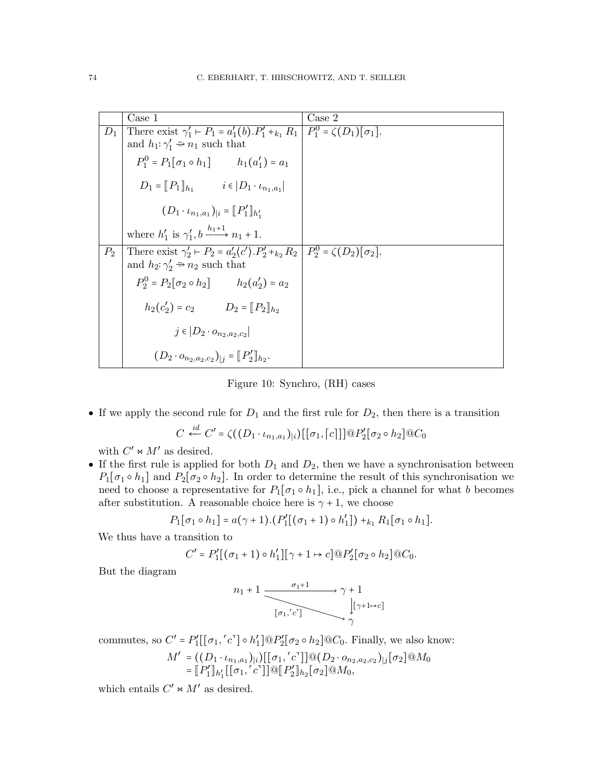|       | Case 1                                                                                                                                                     | Case 2 |
|-------|------------------------------------------------------------------------------------------------------------------------------------------------------------|--------|
| $D_1$ | There exist $\gamma'_1$ + $P_1$ = $a'_1$ (b). $P'_1$ + $_{k_1}$ $R_1$   $P_1^0$ = $\zeta(D_1)[\sigma_1]$ .                                                 |        |
|       | and $h_1: \gamma_1' \Rightarrow n_1$ such that                                                                                                             |        |
|       | $P_1^0 = P_1[\sigma_1 \circ h_1]$ $h_1(a'_1) = a_1$                                                                                                        |        |
|       | $D_1 = [P_1]_{h_1}$ $i \in [D_1 \cdot \iota_{n_1, a_1}]$                                                                                                   |        |
|       | $(D_1 \cdot \iota_{n_1,a_1})_{ i} = [P'_1]_{h'_1}$                                                                                                         |        |
|       | where $h'_1$ is $\gamma'_1, b \xrightarrow{h_1+1} n_1+1$ .                                                                                                 |        |
| $P_2$ | There exist $\gamma'_2 \vdash P_2 = a'_2 \langle c' \rangle P'_2 +_{k_2} R_2   P_2^0 = \zeta(D_2) [\sigma_2].$<br>and $h_2: \gamma'_2 \cong n_2$ such that |        |
|       |                                                                                                                                                            |        |
|       | $P_2^0 = P_2[\sigma_2 \circ h_2]$ $h_2(a'_2) = a_2$                                                                                                        |        |
|       | $h_2(c'_2) = c_2$ $D_2 = [P_2]_{h_2}$                                                                                                                      |        |
|       | $j \in  D_2 \cdot o_{n_2,a_2,c_2} $                                                                                                                        |        |
|       | $(D_2 \cdot o_{n_2,a_2,c_2})_{ i} = [P'_2]_{h_2}.$                                                                                                         |        |

<span id="page-73-0"></span>Figure 10: Synchro, (RH) cases

• If we apply the second rule for  $D_1$  and the first rule for  $D_2$ , then there is a transition

$$
C \stackrel{id}{\leftarrow} C' = \zeta((D_1 \cdot \iota_{n_1, a_1})_{|i}) [[\sigma_1, \lceil c \rceil]] @ P'_2 [\sigma_2 \circ h_2] @ C_0
$$

with  $C' \bowtie M'$  as desired.

• If the first rule is applied for both  $D_1$  and  $D_2$ , then we have a synchronisation between  $P_1[\sigma_1 \circ h_1]$  and  $P_2[\sigma_2 \circ h_2]$ . In order to determine the result of this synchronisation we need to choose a representative for  $P_1[\sigma_1 \circ h_1]$ , i.e., pick a channel for what b becomes after substitution. A reasonable choice here is  $\gamma + 1$ , we choose

$$
P_1[\sigma_1 \circ h_1] = a(\gamma + 1) \cdot (P'_1[(\sigma_1 + 1) \circ h'_1]) +_{k_1} R_1[\sigma_1 \circ h_1].
$$

We thus have a transition to

$$
C' = P'_1[(\sigma_1 + 1) \circ h'_1][\gamma + 1 \mapsto c] \mathcal{Q}P'_2[\sigma_2 \circ h_2]\mathcal{Q}C_0.
$$

But the diagram

$$
n_1 + 1 \xrightarrow{\sigma_1 + 1} \gamma + 1
$$
  

$$
\downarrow [\gamma + 1 \rightarrow c]
$$
  

$$
\downarrow [\gamma + 1 \rightarrow c]
$$

commutes, so  $C' = P'_1[[\sigma_1, \ulcorner c \urcorner] \circ h'_1] \t Q P'_2[\sigma_2 \circ h_2] \t Q C_0$ . Finally, we also know:

$$
M' = ((D_1 \cdot \iota_{n_1, a_1})_{|i}) [[\sigma_1, [c^*]] @ (D_2 \cdot o_{n_2, a_2, c_2})_{|j} [\sigma_2] @ M_0=[P'_1]_{h'_1} [[\sigma_1, [c^*]] @ [P'_2]_{h_2} [\sigma_2] @ M_0,
$$

which entails  $C' \Join M'$  as desired.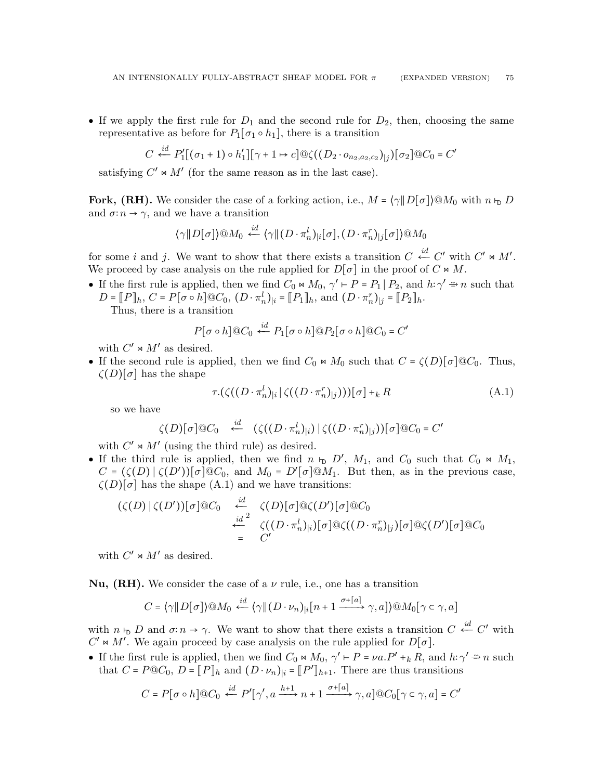• If we apply the first rule for  $D_1$  and the second rule for  $D_2$ , then, choosing the same representative as before for  $P_1[\sigma_1 \circ h_1]$ , there is a transition

$$
C \stackrel{id}{\leftarrow} P'_1[(\sigma_1 + 1) \circ h'_1][\gamma + 1 \mapsto c] \mathbb{Q}\zeta((D_2 \cdot o_{n_2, a_2, c_2})_{|j})[\sigma_2] \mathbb{Q}C_0 = C'
$$

satisfying  $C' \bowtie M'$  (for the same reason as in the last case).

Fork, (RH). We consider the case of a forking action, i.e.,  $M = \langle \gamma \| D[\sigma] \rangle \otimes M_0$  with  $n \vdash_D D$ and  $\sigma: n \to \gamma$ , and we have a transition

$$
\langle \gamma \| D[\sigma] \rangle @M_0 \stackrel{id}{\leftarrow} \langle \gamma \| (D \cdot \pi_n^l)_{|i} [\sigma], (D \cdot \pi_n^r)_{|j} [\sigma] \rangle @M_0
$$

for some *i* and *j*. We want to show that there exists a transition  $C \stackrel{id}{\leftarrow} C'$  with  $C' \Join M'$ . We proceed by case analysis on the rule applied for  $D[\sigma]$  in the proof of  $C \bowtie M$ .

• If the first rule is applied, then we find  $C_0 \Join M_0$ ,  $\gamma' \vdash P = P_1 | P_2$ , and  $h: \gamma' \Rightarrow n$  such that  $D = \llbracket P \rrbracket_h, C = P[\sigma \circ h] \tbinom{}{\circ} C_0, (D \cdot \pi_n^l)_{|i} = \llbracket P_1 \rrbracket_h, \text{ and } (D \cdot \pi_n^r)_{|j} = \llbracket P_2 \rrbracket_h.$ 

Thus, there is a transition

$$
P[\sigma \circ h] @ C_0 \stackrel{id}{\leftarrow} P_1[\sigma \circ h] @ P_2[\sigma \circ h] @ C_0 = C'
$$

with  $C' \bowtie M'$  as desired.

• If the second rule is applied, then we find  $C_0 \Join M_0$  such that  $C = \zeta(D)[\sigma] \otimes C_0$ . Thus,  $\zeta(D)[\sigma]$  has the shape

<span id="page-74-0"></span>
$$
\tau.(\zeta((D \cdot \pi_n^l)_i | \zeta((D \cdot \pi_n^r)_j)))[\sigma] +_k R \tag{A.1}
$$

so we have

$$
\zeta(D)[\sigma]\t\t@C_0 \quad \stackrel{id}{\leftarrow} \quad (\zeta((D \cdot \pi_n^l)_|i) \mid \zeta((D \cdot \pi_n^r)_|j))[\sigma]\t\t@C_0 = C'
$$

with  $C' \Join M'$  (using the third rule) as desired.

• If the third rule is applied, then we find  $n \vdash_D D'$ ,  $M_1$ , and  $C_0$  such that  $C_0 \bowtie M_1$ ,  $C = (\zeta(D) | \zeta(D'))[\sigma] @C_0$ , and  $M_0 = D'[\sigma] @M_1$ . But then, as in the previous case,  $\zeta(D)[\sigma]$  has the shape [\(A.1\)](#page-74-0) and we have transitions:

$$
(\zeta(D)|\zeta(D'))[\sigma]@C_0 \xleftarrow{\text{id} \atop \text{id}^2} \zeta(D)[\sigma]@ \zeta(D')[\sigma]@C_0
$$
  

$$
\xleftarrow{\text{id}^2} \zeta((D \cdot \pi_n^l)_i)[\sigma]@ \zeta((D \cdot \pi_n^r)_j)[\sigma]@ \zeta(D')[\sigma]@C_0
$$
  

$$
= C'
$$

with  $C' \Join M'$  as desired.

**Nu, (RH).** We consider the case of a  $\nu$  rule, i.e., one has a transition

$$
C = \langle \gamma \| D[\sigma] \rangle \textcircled{a} M_0 \stackrel{id}{\leftarrow} \langle \gamma \| (D \cdot \nu_n)_{|i} [n+1 \xrightarrow{\sigma + [a]} \gamma, a] \rangle \textcircled{a} M_0 [\gamma \subset \gamma, a]
$$

with  $n \vdash_{\mathsf{D}} D$  and  $\sigma: n \to \gamma$ . We want to show that there exists a transition  $C \stackrel{id}{\leftarrow} C'$  with  $C' \Join M'$ . We again proceed by case analysis on the rule applied for  $D[\sigma]$ .

• If the first rule is applied, then we find  $C_0 \Join M_0$ ,  $\gamma' \vdash P = \nu a.P' +_k R$ , and  $h: \gamma' \rightrightarrows n$  such that  $C = P \t{O} C_0$ ,  $D = [P]_h$  and  $(D \tcdot \nu_n)_{|i} = [P']_{h+1}$ . There are thus transitions

$$
C = P[\sigma \circ h] @ C_0 \stackrel{id}{\longleftarrow} P'[\gamma', a \xrightarrow{h+1} n+1 \xrightarrow{\sigma+[a]} \gamma, a] @ C_0[\gamma \in \gamma, a] = C'
$$